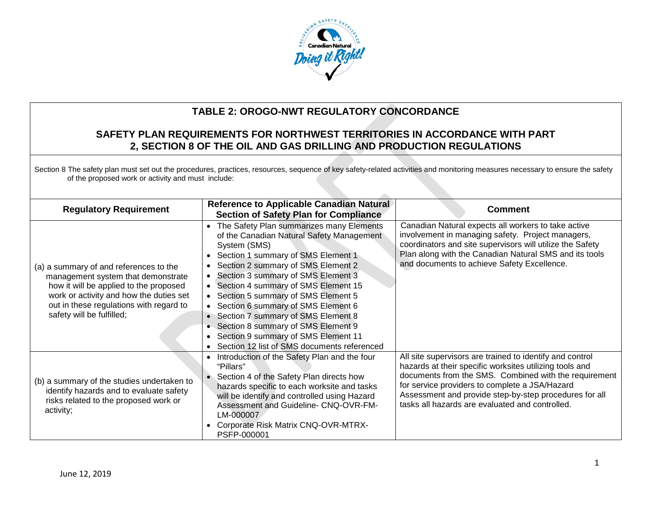

# **TABLE 2: OROGO-NWT REGULATORY CONCORDANCE**

# **SAFETY PLAN REQUIREMENTS FOR NORTHWEST TERRITORIES IN ACCORDANCE WITH PART 2, SECTION 8 OF THE OIL AND GAS DRILLING AND PRODUCTION REGULATIONS**

Section 8 The safety plan must set out the procedures, practices, resources, sequence of key safety-related activities and monitoring measures necessary to ensure the safety of the proposed work or activity and must include:

| <b>Regulatory Requirement</b>                                                                                                                                                                                                             | <b>Reference to Applicable Canadian Natural</b><br><b>Section of Safety Plan for Compliance</b>                                                                                                                                                                                                                                                                                                                                                                                                                                                        | <b>Comment</b>                                                                                                                                                                                                                                                                                                                              |
|-------------------------------------------------------------------------------------------------------------------------------------------------------------------------------------------------------------------------------------------|--------------------------------------------------------------------------------------------------------------------------------------------------------------------------------------------------------------------------------------------------------------------------------------------------------------------------------------------------------------------------------------------------------------------------------------------------------------------------------------------------------------------------------------------------------|---------------------------------------------------------------------------------------------------------------------------------------------------------------------------------------------------------------------------------------------------------------------------------------------------------------------------------------------|
| (a) a summary of and references to the<br>management system that demonstrate<br>how it will be applied to the proposed<br>work or activity and how the duties set<br>out in these regulations with regard to<br>safety will be fulfilled; | The Safety Plan summarizes many Elements<br>$\bullet$<br>of the Canadian Natural Safety Management<br>System (SMS)<br>Section 1 summary of SMS Element 1<br>$\bullet$<br>• Section 2 summary of SMS Element 2<br>• Section 3 summary of SMS Element 3<br>• Section 4 summary of SMS Element 15<br>• Section 5 summary of SMS Element 5<br>• Section 6 summary of SMS Element 6<br>• Section 7 summary of SMS Element 8<br>• Section 8 summary of SMS Element 9<br>• Section 9 summary of SMS Element 11<br>Section 12 list of SMS documents referenced | Canadian Natural expects all workers to take active<br>involvement in managing safety. Project managers,<br>coordinators and site supervisors will utilize the Safety<br>Plan along with the Canadian Natural SMS and its tools<br>and documents to achieve Safety Excellence.                                                              |
| (b) a summary of the studies undertaken to<br>identify hazards and to evaluate safety<br>risks related to the proposed work or<br>activity;                                                                                               | Introduction of the Safety Plan and the four<br>"Pillars"<br>Section 4 of the Safety Plan directs how<br>$\bullet$<br>hazards specific to each worksite and tasks<br>will be identify and controlled using Hazard<br>Assessment and Guideline- CNQ-OVR-FM-<br>LM-000007<br>Corporate Risk Matrix CNQ-OVR-MTRX-<br>$\bullet$<br>PSFP-000001                                                                                                                                                                                                             | All site supervisors are trained to identify and control<br>hazards at their specific worksites utilizing tools and<br>documents from the SMS. Combined with the requirement<br>for service providers to complete a JSA/Hazard<br>Assessment and provide step-by-step procedures for all<br>tasks all hazards are evaluated and controlled. |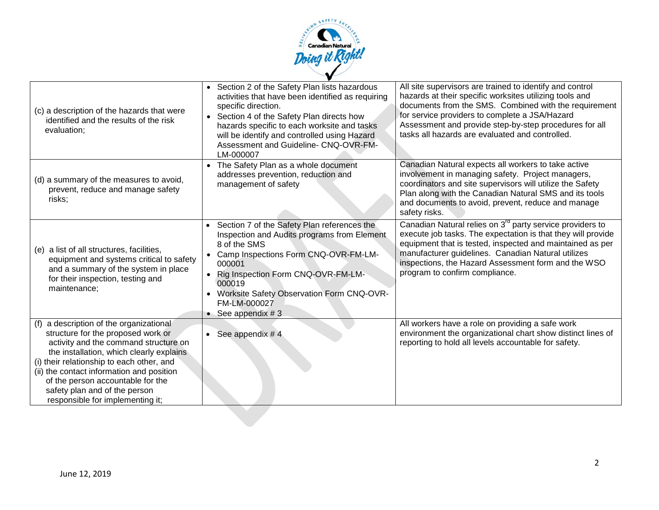

| (c) a description of the hazards that were<br>identified and the results of the risk<br>evaluation;                                                                                                                                                                                                                                                                    | Section 2 of the Safety Plan lists hazardous<br>$\bullet$<br>activities that have been identified as requiring<br>specific direction.<br>• Section 4 of the Safety Plan directs how<br>hazards specific to each worksite and tasks<br>will be identify and controlled using Hazard<br>Assessment and Guideline- CNQ-OVR-FM-<br>LM-000007 | All site supervisors are trained to identify and control<br>hazards at their specific worksites utilizing tools and<br>documents from the SMS. Combined with the requirement<br>for service providers to complete a JSA/Hazard<br>Assessment and provide step-by-step procedures for all<br>tasks all hazards are evaluated and controlled.       |
|------------------------------------------------------------------------------------------------------------------------------------------------------------------------------------------------------------------------------------------------------------------------------------------------------------------------------------------------------------------------|------------------------------------------------------------------------------------------------------------------------------------------------------------------------------------------------------------------------------------------------------------------------------------------------------------------------------------------|---------------------------------------------------------------------------------------------------------------------------------------------------------------------------------------------------------------------------------------------------------------------------------------------------------------------------------------------------|
| (d) a summary of the measures to avoid,<br>prevent, reduce and manage safety<br>risks;                                                                                                                                                                                                                                                                                 | The Safety Plan as a whole document<br>$\bullet$<br>addresses prevention, reduction and<br>management of safety                                                                                                                                                                                                                          | Canadian Natural expects all workers to take active<br>involvement in managing safety. Project managers,<br>coordinators and site supervisors will utilize the Safety<br>Plan along with the Canadian Natural SMS and its tools<br>and documents to avoid, prevent, reduce and manage<br>safety risks.                                            |
| (e) a list of all structures, facilities,<br>equipment and systems critical to safety<br>and a summary of the system in place<br>for their inspection, testing and<br>maintenance;                                                                                                                                                                                     | Section 7 of the Safety Plan references the<br>$\bullet$<br>Inspection and Audits programs from Element<br>8 of the SMS<br>Camp Inspections Form CNQ-OVR-FM-LM-<br>000001<br>Rig Inspection Form CNQ-OVR-FM-LM-<br>$\bullet$<br>000019<br><b>Worksite Safety Observation Form CNQ-OVR-</b><br>FM-LM-000027<br>See appendix # 3           | Canadian Natural relies on 3 <sup>rd</sup> party service providers to<br>execute job tasks. The expectation is that they will provide<br>equipment that is tested, inspected and maintained as per<br>manufacturer guidelines. Canadian Natural utilizes<br>inspections, the Hazard Assessment form and the WSO<br>program to confirm compliance. |
| (f) a description of the organizational<br>structure for the proposed work or<br>activity and the command structure on<br>the installation, which clearly explains<br>(i) their relationship to each other, and<br>(ii) the contact information and position<br>of the person accountable for the<br>safety plan and of the person<br>responsible for implementing it; | See appendix # 4<br>$\bullet$                                                                                                                                                                                                                                                                                                            | All workers have a role on providing a safe work<br>environment the organizational chart show distinct lines of<br>reporting to hold all levels accountable for safety.                                                                                                                                                                           |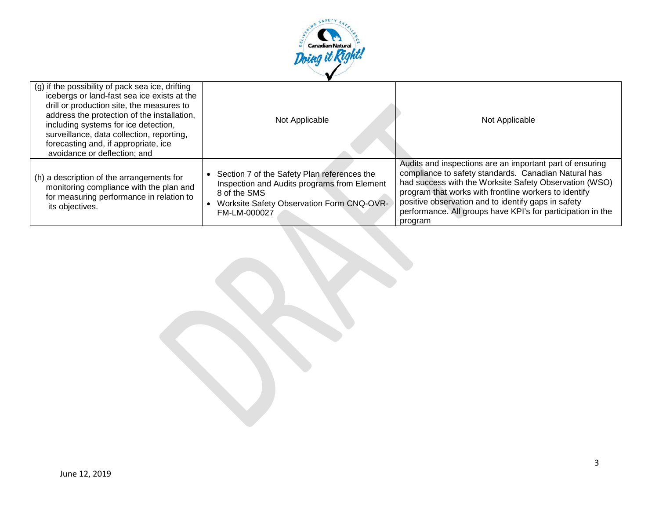

| (g) if the possibility of pack sea ice, drifting<br>icebergs or land-fast sea ice exists at the<br>drill or production site, the measures to<br>address the protection of the installation,<br>including systems for ice detection,<br>surveillance, data collection, reporting,<br>forecasting and, if appropriate, ice<br>avoidance or deflection; and | Not Applicable                                                                                                                                                          | Not Applicable                                                                                                                                                                                                                                                                                                                                                       |
|----------------------------------------------------------------------------------------------------------------------------------------------------------------------------------------------------------------------------------------------------------------------------------------------------------------------------------------------------------|-------------------------------------------------------------------------------------------------------------------------------------------------------------------------|----------------------------------------------------------------------------------------------------------------------------------------------------------------------------------------------------------------------------------------------------------------------------------------------------------------------------------------------------------------------|
| (h) a description of the arrangements for<br>monitoring compliance with the plan and<br>for measuring performance in relation to<br>its objectives.                                                                                                                                                                                                      | Section 7 of the Safety Plan references the<br>Inspection and Audits programs from Element<br>8 of the SMS<br>Worksite Safety Observation Form CNQ-OVR-<br>FM-LM-000027 | Audits and inspections are an important part of ensuring<br>compliance to safety standards. Canadian Natural has<br>had success with the Worksite Safety Observation (WSO)<br>program that works with frontline workers to identify<br>positive observation and to identify gaps in safety<br>performance. All groups have KPI's for participation in the<br>program |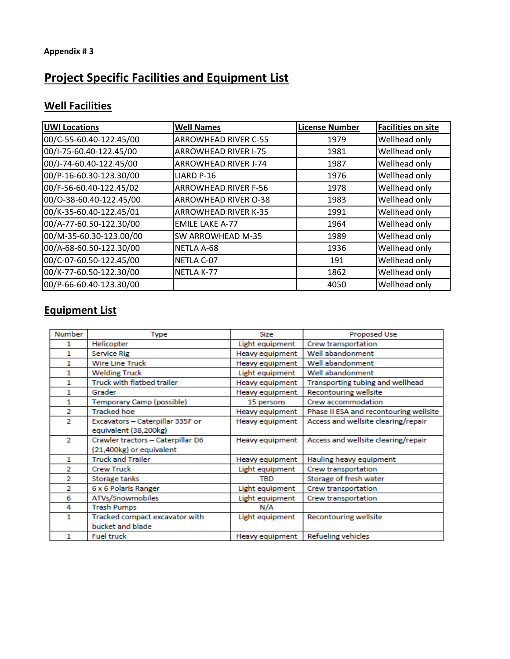# **Project Specific Facilities and Equipment List**

# **Well Facilities**

| <b>UWI Locations</b>    | <b>Well Names</b>           | <b>License Number</b> | <b>Facilities on site</b> |
|-------------------------|-----------------------------|-----------------------|---------------------------|
| 00/C-55-60.40-122.45/00 | <b>ARROWHEAD RIVER C-55</b> | 1979                  | Wellhead only             |
| 00/I-75-60.40-122.45/00 | <b>ARROWHEAD RIVER I-75</b> | 1981                  | Wellhead only             |
| 00/J-74-60.40-122.45/00 | <b>ARROWHEAD RIVER J-74</b> | 1987                  | Wellhead only             |
| 00/P-16-60.30-123.30/00 | LIARD P-16                  | 1976                  | Wellhead only             |
| 00/F-56-60.40-122.45/02 | <b>ARROWHEAD RIVER F-56</b> | 1978                  | Wellhead only             |
| 00/0-38-60.40-122.45/00 | <b>ARROWHEAD RIVER O-38</b> | 1983                  | Wellhead only             |
| 00/K-35-60.40-122.45/01 | <b>ARROWHEAD RIVER K-35</b> | 1991                  | Wellhead only             |
| 00/A-77-60.50-122.30/00 | <b>EMILE LAKE A-77</b>      | 1964                  | Wellhead only             |
| 00/M-35-60.30-123.00/00 | SW ARROWHEAD M-35           | 1989                  | Wellhead only             |
| 00/A-68-60.50-122.30/00 | NETLA A-68                  | 1936                  | Wellhead only             |
| 00/C-07-60.50-122.45/00 | NETLA C-07                  | 191                   | Wellhead only             |
| 00/K-77-60.50-122.30/00 | NETLA K-77                  | 1862                  | Wellhead only             |
| 00/P-66-60.40-123.30/00 |                             | 4050                  | Wellhead only             |

# **Equipment List**

| <b>Number</b>  | Type                                                      | Size            | Proposed Use                           |
|----------------|-----------------------------------------------------------|-----------------|----------------------------------------|
|                | Helicopter                                                | Light equipment | Crew transportation                    |
| 1              | Service Rig                                               | Heavy equipment | Well abandonment                       |
| 1              | <b>Wire Line Truck</b>                                    | Heavy equipment | Well abandonment                       |
| 1.             | <b>Welding Truck</b>                                      | Light equipment | Well abandonment                       |
| 1              | Truck with flatbed trailer                                | Heavy equipment | Transporting tubing and wellhead       |
| 1              | Grader                                                    | Heavy equipment | Recontouring wellsite                  |
| 1              | Temporary Camp (possible)                                 | 15 persons      | Crew accommodation                     |
| 2              | <b>Tracked hoe</b>                                        | Heavy equipment | Phase II ESA and recontouring wellsite |
| $\overline{2}$ | Excavators - Caterpillar 335F or<br>equivalent (38,200kg) | Heavy equipment | Access and wellsite clearing/repair    |
| 2              | Crawler tractors - Caterpillar D6                         | Heavy equipment | Access and wellsite clearing/repair    |
|                | (21,400kg) or equivalent                                  |                 |                                        |
| 1              | <b>Truck and Trailer</b>                                  | Heavy equipment | Hauling heavy equipment                |
| 2              | <b>Crew Truck</b>                                         | Light equipment | Crew transportation                    |
| 2              | Storage tanks                                             | <b>TBD</b>      | Storage of fresh water                 |
| 2              | 6 x 6 Polaris Ranger                                      | Light equipment | Crew transportation                    |
| 6              | ATVs/Snowmobiles                                          | Light equipment | Crew transportation                    |
| 4              | <b>Trash Pumps</b>                                        | N/A             |                                        |
| 1              | Tracked compact excavator with                            | Light equipment | Recontouring wellsite                  |
|                | bucket and blade                                          |                 |                                        |
| 1              | <b>Fuel truck</b>                                         | Heavy equipment | Refueling vehicles                     |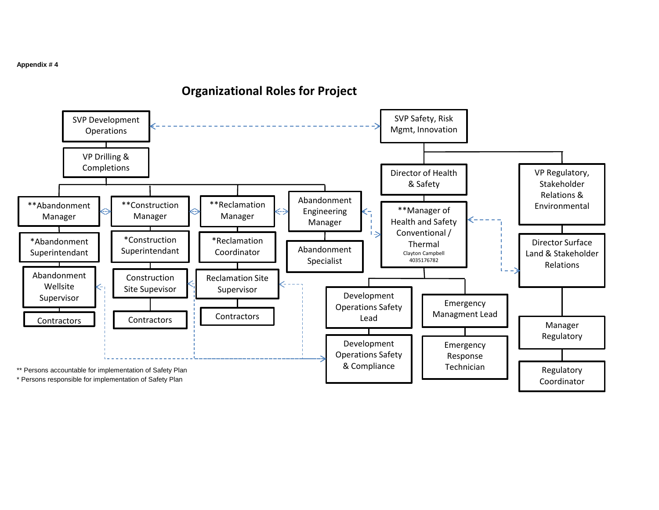\* Persons responsible for implementation of Safety Plan

SVP Development **Operations** 

> VP Drilling & Completions



# **Organizational Roles for Project**

SVP Safety, Risk Mgmt, Innovation

Coordinator

#### **Appendix # 4**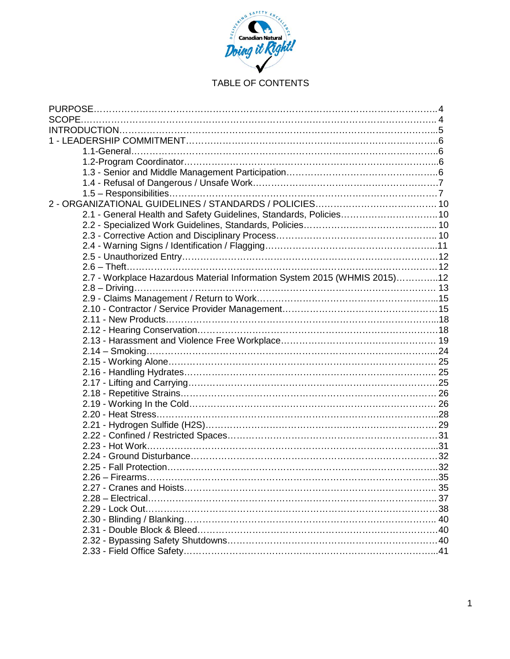

# TABLE OF CONTENTS

| 2.1 - General Health and Safety Guidelines, Standards, Policies 10        |  |
|---------------------------------------------------------------------------|--|
|                                                                           |  |
|                                                                           |  |
|                                                                           |  |
|                                                                           |  |
|                                                                           |  |
| 2.7 - Workplace Hazardous Material Information System 2015 (WHMIS 2015)12 |  |
|                                                                           |  |
|                                                                           |  |
|                                                                           |  |
|                                                                           |  |
|                                                                           |  |
|                                                                           |  |
|                                                                           |  |
|                                                                           |  |
|                                                                           |  |
|                                                                           |  |
|                                                                           |  |
|                                                                           |  |
|                                                                           |  |
|                                                                           |  |
|                                                                           |  |
|                                                                           |  |
|                                                                           |  |
|                                                                           |  |
|                                                                           |  |
|                                                                           |  |
|                                                                           |  |
|                                                                           |  |
|                                                                           |  |
|                                                                           |  |
|                                                                           |  |
|                                                                           |  |
|                                                                           |  |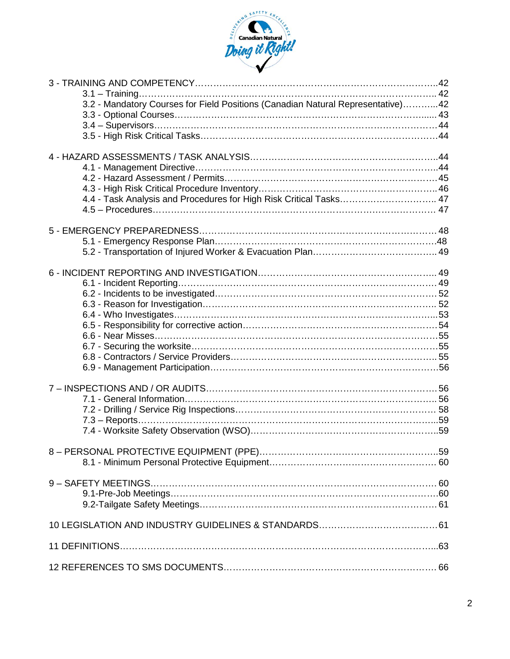

| 3.2 - Mandatory Courses for Field Positions (Canadian Natural Representative)42 |  |
|---------------------------------------------------------------------------------|--|
|                                                                                 |  |
|                                                                                 |  |
|                                                                                 |  |
|                                                                                 |  |
|                                                                                 |  |
|                                                                                 |  |
|                                                                                 |  |
|                                                                                 |  |
| 4.4 - Task Analysis and Procedures for High Risk Critical Tasks 47              |  |
|                                                                                 |  |
|                                                                                 |  |
|                                                                                 |  |
|                                                                                 |  |
|                                                                                 |  |
|                                                                                 |  |
|                                                                                 |  |
|                                                                                 |  |
|                                                                                 |  |
|                                                                                 |  |
|                                                                                 |  |
|                                                                                 |  |
|                                                                                 |  |
|                                                                                 |  |
|                                                                                 |  |
|                                                                                 |  |
|                                                                                 |  |
|                                                                                 |  |
|                                                                                 |  |
|                                                                                 |  |
|                                                                                 |  |
|                                                                                 |  |
|                                                                                 |  |
|                                                                                 |  |
|                                                                                 |  |
|                                                                                 |  |
|                                                                                 |  |
|                                                                                 |  |
|                                                                                 |  |
|                                                                                 |  |
|                                                                                 |  |
|                                                                                 |  |
|                                                                                 |  |
|                                                                                 |  |
|                                                                                 |  |
|                                                                                 |  |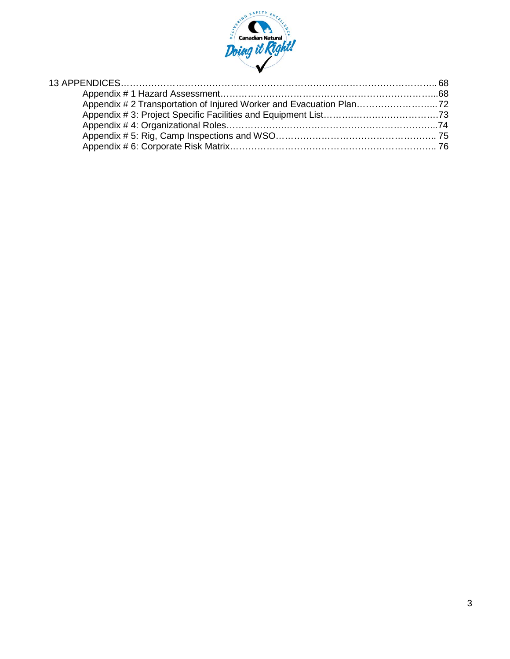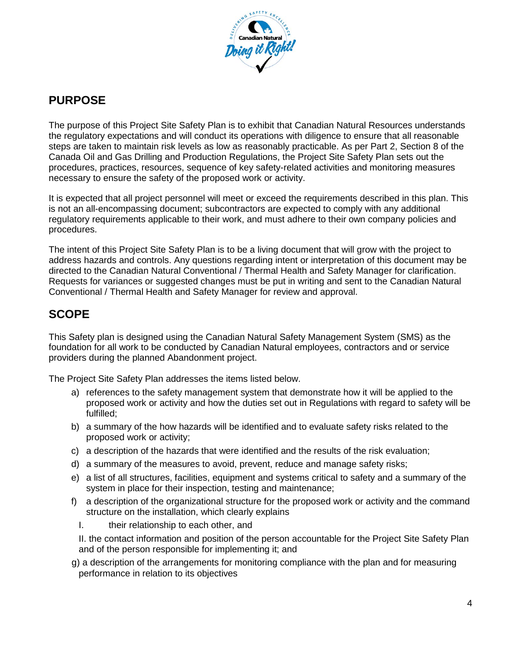

# **PURPOSE**

The purpose of this Project Site Safety Plan is to exhibit that Canadian Natural Resources understands the regulatory expectations and will conduct its operations with diligence to ensure that all reasonable steps are taken to maintain risk levels as low as reasonably practicable. As per Part 2, Section 8 of the Canada Oil and Gas Drilling and Production Regulations, the Project Site Safety Plan sets out the procedures, practices, resources, sequence of key safety-related activities and monitoring measures necessary to ensure the safety of the proposed work or activity.

It is expected that all project personnel will meet or exceed the requirements described in this plan. This is not an all-encompassing document; subcontractors are expected to comply with any additional regulatory requirements applicable to their work, and must adhere to their own company policies and procedures.

The intent of this Project Site Safety Plan is to be a living document that will grow with the project to address hazards and controls. Any questions regarding intent or interpretation of this document may be directed to the Canadian Natural Conventional / Thermal Health and Safety Manager for clarification. Requests for variances or suggested changes must be put in writing and sent to the Canadian Natural Conventional / Thermal Health and Safety Manager for review and approval.

# **SCOPE**

This Safety plan is designed using the Canadian Natural Safety Management System (SMS) as the foundation for all work to be conducted by Canadian Natural employees, contractors and or service providers during the planned Abandonment project.

The Project Site Safety Plan addresses the items listed below.

- a) references to the safety management system that demonstrate how it will be applied to the proposed work or activity and how the duties set out in Regulations with regard to safety will be fulfilled;
- b) a summary of the how hazards will be identified and to evaluate safety risks related to the proposed work or activity;
- c) a description of the hazards that were identified and the results of the risk evaluation;
- d) a summary of the measures to avoid, prevent, reduce and manage safety risks;
- e) a list of all structures, facilities, equipment and systems critical to safety and a summary of the system in place for their inspection, testing and maintenance;
- f) a description of the organizational structure for the proposed work or activity and the command structure on the installation, which clearly explains
	- I. their relationship to each other, and

II. the contact information and position of the person accountable for the Project Site Safety Plan and of the person responsible for implementing it; and

 g) a description of the arrangements for monitoring compliance with the plan and for measuring performance in relation to its objectives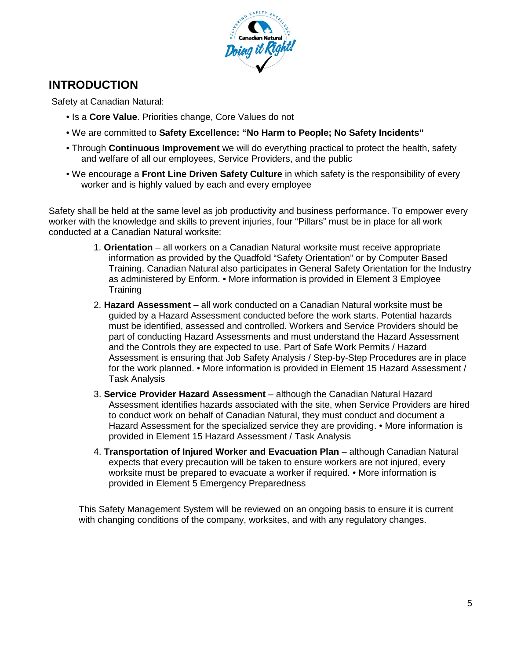

# **INTRODUCTION**

Safety at Canadian Natural:

- Is a **Core Value**. Priorities change, Core Values do not
- We are committed to **Safety Excellence: "No Harm to People; No Safety Incidents"**
- Through **Continuous Improvement** we will do everything practical to protect the health, safety and welfare of all our employees, Service Providers, and the public
- We encourage a **Front Line Driven Safety Culture** in which safety is the responsibility of every worker and is highly valued by each and every employee

Safety shall be held at the same level as job productivity and business performance. To empower every worker with the knowledge and skills to prevent injuries, four "Pillars" must be in place for all work conducted at a Canadian Natural worksite:

- 1. **Orientation**  all workers on a Canadian Natural worksite must receive appropriate information as provided by the Quadfold "Safety Orientation" or by Computer Based Training. Canadian Natural also participates in General Safety Orientation for the Industry as administered by Enform. • More information is provided in Element 3 Employee **Training**
- 2. **Hazard Assessment**  all work conducted on a Canadian Natural worksite must be guided by a Hazard Assessment conducted before the work starts. Potential hazards must be identified, assessed and controlled. Workers and Service Providers should be part of conducting Hazard Assessments and must understand the Hazard Assessment and the Controls they are expected to use. Part of Safe Work Permits / Hazard Assessment is ensuring that Job Safety Analysis / Step-by-Step Procedures are in place for the work planned. • More information is provided in Element 15 Hazard Assessment / Task Analysis
- 3. **Service Provider Hazard Assessment**  although the Canadian Natural Hazard Assessment identifies hazards associated with the site, when Service Providers are hired to conduct work on behalf of Canadian Natural, they must conduct and document a Hazard Assessment for the specialized service they are providing. • More information is provided in Element 15 Hazard Assessment / Task Analysis
- 4. **Transportation of Injured Worker and Evacuation Plan** although Canadian Natural expects that every precaution will be taken to ensure workers are not injured, every worksite must be prepared to evacuate a worker if required. • More information is provided in Element 5 Emergency Preparedness

This Safety Management System will be reviewed on an ongoing basis to ensure it is current with changing conditions of the company, worksites, and with any regulatory changes.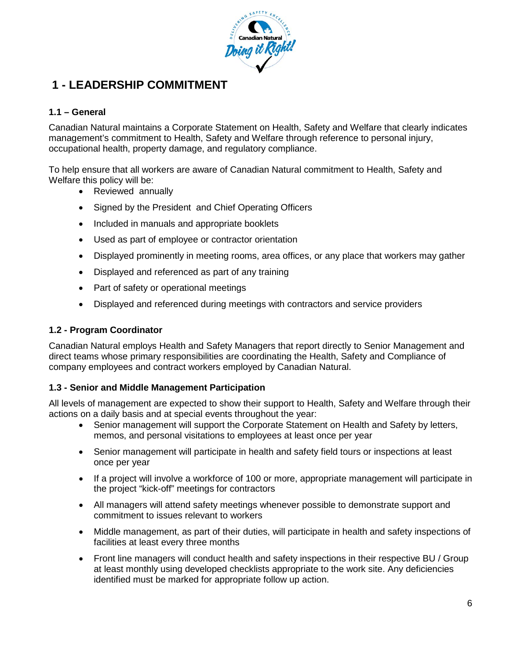

# **1 - LEADERSHIP COMMITMENT**

# **1.1 – General**

Canadian Natural maintains a Corporate Statement on Health, Safety and Welfare that clearly indicates management's commitment to Health, Safety and Welfare through reference to personal injury, occupational health, property damage, and regulatory compliance.

To help ensure that all workers are aware of Canadian Natural commitment to Health, Safety and Welfare this policy will be:

- Reviewed annually
- Signed by the President and Chief Operating Officers
- Included in manuals and appropriate booklets
- Used as part of employee or contractor orientation
- Displayed prominently in meeting rooms, area offices, or any place that workers may gather
- Displayed and referenced as part of any training
- Part of safety or operational meetings
- Displayed and referenced during meetings with contractors and service providers

#### **1.2 - Program Coordinator**

Canadian Natural employs Health and Safety Managers that report directly to Senior Management and direct teams whose primary responsibilities are coordinating the Health, Safety and Compliance of company employees and contract workers employed by Canadian Natural.

#### **1.3 - Senior and Middle Management Participation**

All levels of management are expected to show their support to Health, Safety and Welfare through their actions on a daily basis and at special events throughout the year:

- Senior management will support the Corporate Statement on Health and Safety by letters, memos, and personal visitations to employees at least once per year
- Senior management will participate in health and safety field tours or inspections at least once per year
- If a project will involve a workforce of 100 or more, appropriate management will participate in the project "kick-off" meetings for contractors
- All managers will attend safety meetings whenever possible to demonstrate support and commitment to issues relevant to workers
- Middle management, as part of their duties, will participate in health and safety inspections of facilities at least every three months
- Front line managers will conduct health and safety inspections in their respective BU / Group at least monthly using developed checklists appropriate to the work site. Any deficiencies identified must be marked for appropriate follow up action.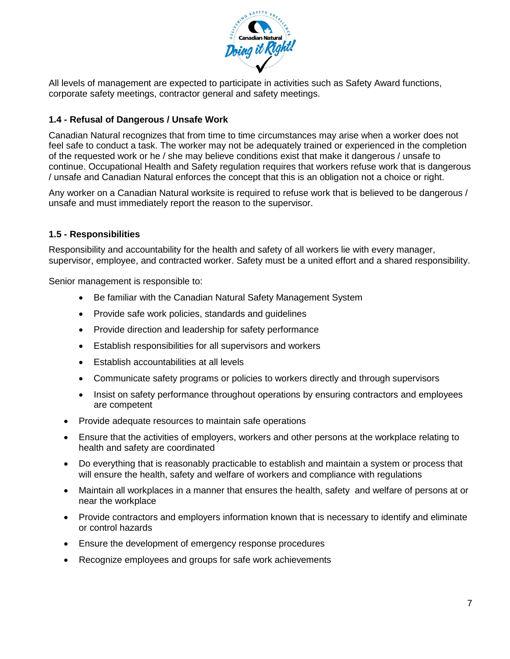

All levels of management are expected to participate in activities such as Safety Award functions, corporate safety meetings, contractor general and safety meetings.

# **1.4 - Refusal of Dangerous / Unsafe Work**

Canadian Natural recognizes that from time to time circumstances may arise when a worker does not feel safe to conduct a task. The worker may not be adequately trained or experienced in the completion of the requested work or he / she may believe conditions exist that make it dangerous / unsafe to continue. Occupational Health and Safety regulation requires that workers refuse work that is dangerous / unsafe and Canadian Natural enforces the concept that this is an obligation not a choice or right.

Any worker on a Canadian Natural worksite is required to refuse work that is believed to be dangerous / unsafe and must immediately report the reason to the supervisor.

## **1.5 - Responsibilities**

Responsibility and accountability for the health and safety of all workers lie with every manager, supervisor, employee, and contracted worker. Safety must be a united effort and a shared responsibility.

Senior management is responsible to:

- Be familiar with the Canadian Natural Safety Management System
- Provide safe work policies, standards and guidelines
- Provide direction and leadership for safety performance
- Establish responsibilities for all supervisors and workers
- Establish accountabilities at all levels
- Communicate safety programs or policies to workers directly and through supervisors
- Insist on safety performance throughout operations by ensuring contractors and employees are competent
- Provide adequate resources to maintain safe operations
- Ensure that the activities of employers, workers and other persons at the workplace relating to health and safety are coordinated
- Do everything that is reasonably practicable to establish and maintain a system or process that will ensure the health, safety and welfare of workers and compliance with regulations
- Maintain all workplaces in a manner that ensures the health, safety and welfare of persons at or near the workplace
- Provide contractors and employers information known that is necessary to identify and eliminate or control hazards
- Ensure the development of emergency response procedures
- Recognize employees and groups for safe work achievements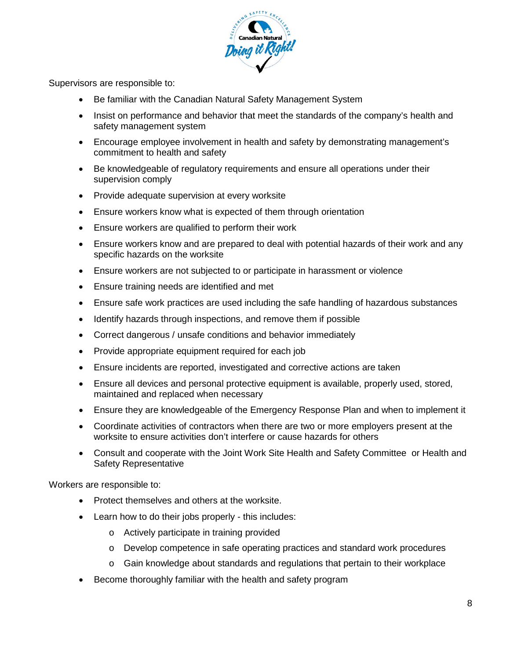

Supervisors are responsible to:

- Be familiar with the Canadian Natural Safety Management System
- Insist on performance and behavior that meet the standards of the company's health and safety management system
- Encourage employee involvement in health and safety by demonstrating management's commitment to health and safety
- Be knowledgeable of regulatory requirements and ensure all operations under their supervision comply
- Provide adequate supervision at every worksite
- Ensure workers know what is expected of them through orientation
- Ensure workers are qualified to perform their work
- Ensure workers know and are prepared to deal with potential hazards of their work and any specific hazards on the worksite
- Ensure workers are not subjected to or participate in harassment or violence
- Ensure training needs are identified and met
- Ensure safe work practices are used including the safe handling of hazardous substances
- Identify hazards through inspections, and remove them if possible
- Correct dangerous / unsafe conditions and behavior immediately
- Provide appropriate equipment required for each job
- Ensure incidents are reported, investigated and corrective actions are taken
- Ensure all devices and personal protective equipment is available, properly used, stored, maintained and replaced when necessary
- Ensure they are knowledgeable of the Emergency Response Plan and when to implement it
- Coordinate activities of contractors when there are two or more employers present at the worksite to ensure activities don't interfere or cause hazards for others
- Consult and cooperate with the Joint Work Site Health and Safety Committee or Health and Safety Representative

Workers are responsible to:

- Protect themselves and others at the worksite.
- Learn how to do their jobs properly this includes:
	- o Actively participate in training provided
	- o Develop competence in safe operating practices and standard work procedures
	- $\circ$  Gain knowledge about standards and regulations that pertain to their workplace
- Become thoroughly familiar with the health and safety program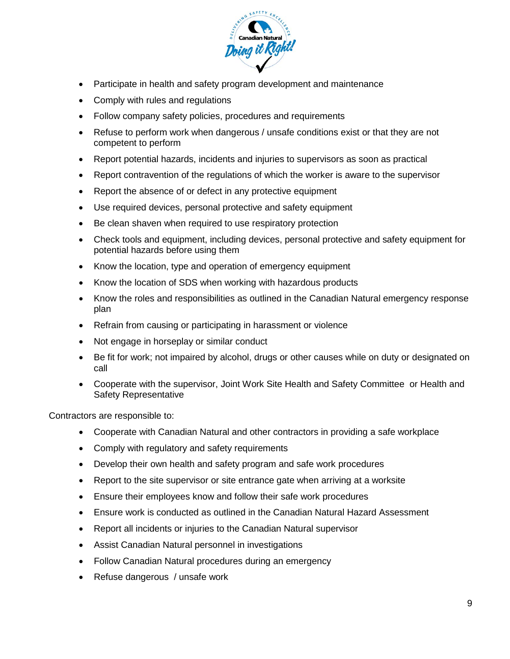

- Participate in health and safety program development and maintenance
- Comply with rules and regulations
- Follow company safety policies, procedures and requirements
- Refuse to perform work when dangerous / unsafe conditions exist or that they are not competent to perform
- Report potential hazards, incidents and injuries to supervisors as soon as practical
- Report contravention of the regulations of which the worker is aware to the supervisor
- Report the absence of or defect in any protective equipment
- Use required devices, personal protective and safety equipment
- Be clean shaven when required to use respiratory protection
- Check tools and equipment, including devices, personal protective and safety equipment for potential hazards before using them
- Know the location, type and operation of emergency equipment
- Know the location of SDS when working with hazardous products
- Know the roles and responsibilities as outlined in the Canadian Natural emergency response plan
- Refrain from causing or participating in harassment or violence
- Not engage in horseplay or similar conduct
- Be fit for work; not impaired by alcohol, drugs or other causes while on duty or designated on call
- Cooperate with the supervisor, Joint Work Site Health and Safety Committee or Health and Safety Representative

Contractors are responsible to:

- Cooperate with Canadian Natural and other contractors in providing a safe workplace
- Comply with regulatory and safety requirements
- Develop their own health and safety program and safe work procedures
- Report to the site supervisor or site entrance gate when arriving at a worksite
- Ensure their employees know and follow their safe work procedures
- Ensure work is conducted as outlined in the Canadian Natural Hazard Assessment
- Report all incidents or injuries to the Canadian Natural supervisor
- Assist Canadian Natural personnel in investigations
- Follow Canadian Natural procedures during an emergency
- Refuse dangerous / unsafe work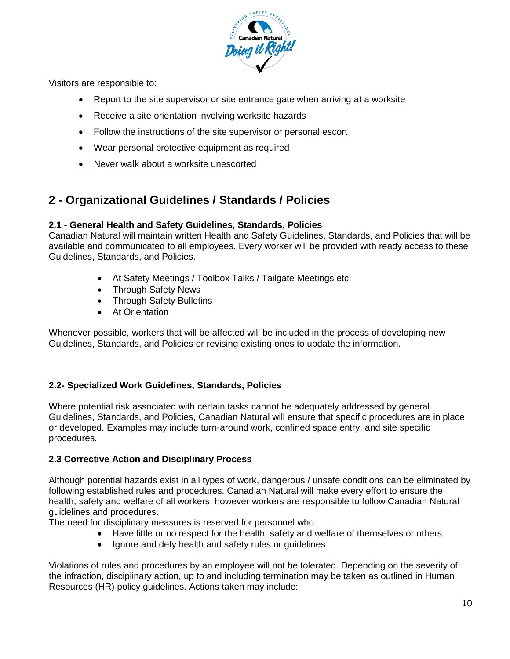

Visitors are responsible to:

- Report to the site supervisor or site entrance gate when arriving at a worksite
- Receive a site orientation involving worksite hazards
- Follow the instructions of the site supervisor or personal escort
- Wear personal protective equipment as required
- Never walk about a worksite unescorted

# **2 - Organizational Guidelines / Standards / Policies**

#### **2.1 - General Health and Safety Guidelines, Standards, Policies**

Canadian Natural will maintain written Health and Safety Guidelines, Standards, and Policies that will be available and communicated to all employees. Every worker will be provided with ready access to these Guidelines, Standards, and Policies.

- At Safety Meetings / Toolbox Talks / Tailgate Meetings etc.
- Through Safety News
- Through Safety Bulletins
- At Orientation

Whenever possible, workers that will be affected will be included in the process of developing new Guidelines, Standards, and Policies or revising existing ones to update the information.

#### **2.2- Specialized Work Guidelines, Standards, Policies**

Where potential risk associated with certain tasks cannot be adequately addressed by general Guidelines, Standards, and Policies, Canadian Natural will ensure that specific procedures are in place or developed. Examples may include turn-around work, confined space entry, and site specific procedures.

#### **2.3 Corrective Action and Disciplinary Process**

Although potential hazards exist in all types of work, dangerous / unsafe conditions can be eliminated by following established rules and procedures. Canadian Natural will make every effort to ensure the health, safety and welfare of all workers; however workers are responsible to follow Canadian Natural guidelines and procedures.

The need for disciplinary measures is reserved for personnel who:

- Have little or no respect for the health, safety and welfare of themselves or others
- Ignore and defy health and safety rules or guidelines

Violations of rules and procedures by an employee will not be tolerated. Depending on the severity of the infraction, disciplinary action, up to and including termination may be taken as outlined in Human Resources (HR) policy guidelines. Actions taken may include: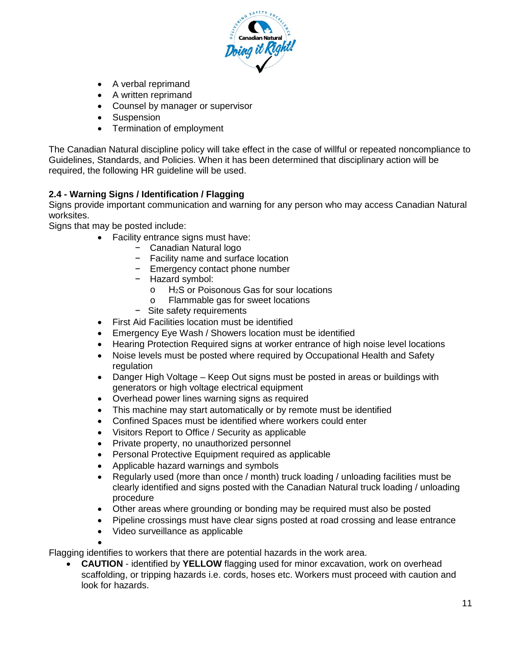

- A verbal reprimand
- A written reprimand
- Counsel by manager or supervisor
- Suspension
- Termination of employment

The Canadian Natural discipline policy will take effect in the case of willful or repeated noncompliance to Guidelines, Standards, and Policies. When it has been determined that disciplinary action will be required, the following HR guideline will be used.

## **2.4 - Warning Signs / Identification / Flagging**

Signs provide important communication and warning for any person who may access Canadian Natural worksites.

Signs that may be posted include:

- Facility entrance signs must have:
	- − Canadian Natural logo
	- − Facility name and surface location
	- − Emergency contact phone number
	- − Hazard symbol:
		- o H<sub>2</sub>S or Poisonous Gas for sour locations<br>
		o Flammable gas for sweet locations
		- Flammable gas for sweet locations
	- − Site safety requirements
- First Aid Facilities location must be identified
- Emergency Eye Wash / Showers location must be identified
- Hearing Protection Required signs at worker entrance of high noise level locations
- Noise levels must be posted where required by Occupational Health and Safety regulation
- Danger High Voltage Keep Out signs must be posted in areas or buildings with generators or high voltage electrical equipment
- Overhead power lines warning signs as required
- This machine may start automatically or by remote must be identified
- Confined Spaces must be identified where workers could enter
- Visitors Report to Office / Security as applicable
- Private property, no unauthorized personnel
- Personal Protective Equipment required as applicable
- Applicable hazard warnings and symbols
- Regularly used (more than once / month) truck loading / unloading facilities must be clearly identified and signs posted with the Canadian Natural truck loading / unloading procedure
- Other areas where grounding or bonding may be required must also be posted
- Pipeline crossings must have clear signs posted at road crossing and lease entrance
- Video surveillance as applicable

•

Flagging identifies to workers that there are potential hazards in the work area.

• **CAUTION** - identified by **YELLOW** flagging used for minor excavation, work on overhead scaffolding, or tripping hazards i.e. cords, hoses etc. Workers must proceed with caution and look for hazards.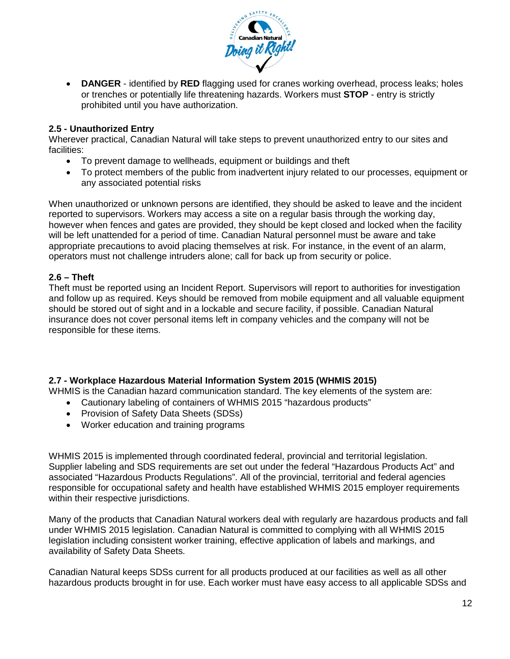

• **DANGER** - identified by **RED** flagging used for cranes working overhead, process leaks; holes or trenches or potentially life threatening hazards. Workers must **STOP** - entry is strictly prohibited until you have authorization.

## **2.5 - Unauthorized Entry**

Wherever practical, Canadian Natural will take steps to prevent unauthorized entry to our sites and facilities:

- To prevent damage to wellheads, equipment or buildings and theft
- To protect members of the public from inadvertent injury related to our processes, equipment or any associated potential risks

When unauthorized or unknown persons are identified, they should be asked to leave and the incident reported to supervisors. Workers may access a site on a regular basis through the working day, however when fences and gates are provided, they should be kept closed and locked when the facility will be left unattended for a period of time. Canadian Natural personnel must be aware and take appropriate precautions to avoid placing themselves at risk. For instance, in the event of an alarm, operators must not challenge intruders alone; call for back up from security or police.

## **2.6 – Theft**

Theft must be reported using an Incident Report. Supervisors will report to authorities for investigation and follow up as required. Keys should be removed from mobile equipment and all valuable equipment should be stored out of sight and in a lockable and secure facility, if possible. Canadian Natural insurance does not cover personal items left in company vehicles and the company will not be responsible for these items.

# **2.7 - Workplace Hazardous Material Information System 2015 (WHMIS 2015)**

WHMIS is the Canadian hazard communication standard. The key elements of the system are:

- Cautionary labeling of containers of WHMIS 2015 "hazardous products"
- Provision of Safety Data Sheets (SDSs)
- Worker education and training programs

WHMIS 2015 is implemented through coordinated federal, provincial and territorial legislation. Supplier labeling and SDS requirements are set out under the federal "Hazardous Products Act" and associated "Hazardous Products Regulations". All of the provincial, territorial and federal agencies responsible for occupational safety and health have established WHMIS 2015 employer requirements within their respective jurisdictions.

Many of the products that Canadian Natural workers deal with regularly are hazardous products and fall under WHMIS 2015 legislation. Canadian Natural is committed to complying with all WHMIS 2015 legislation including consistent worker training, effective application of labels and markings, and availability of Safety Data Sheets.

Canadian Natural keeps SDSs current for all products produced at our facilities as well as all other hazardous products brought in for use. Each worker must have easy access to all applicable SDSs and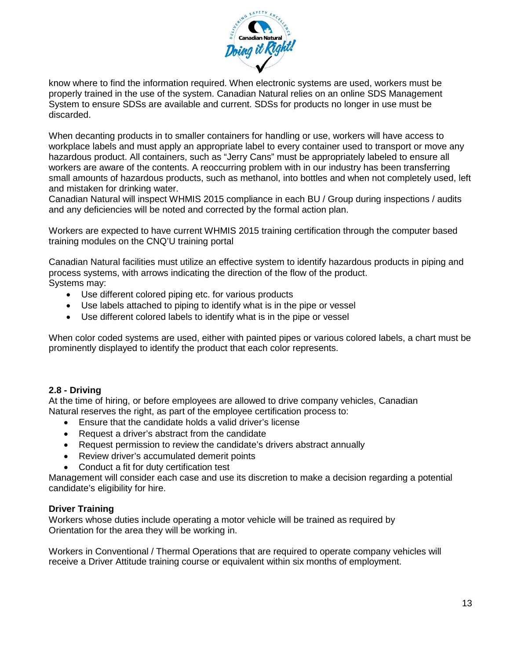

know where to find the information required. When electronic systems are used, workers must be properly trained in the use of the system. Canadian Natural relies on an online SDS Management System to ensure SDSs are available and current. SDSs for products no longer in use must be discarded.

When decanting products in to smaller containers for handling or use, workers will have access to workplace labels and must apply an appropriate label to every container used to transport or move any hazardous product. All containers, such as "Jerry Cans" must be appropriately labeled to ensure all workers are aware of the contents. A reoccurring problem with in our industry has been transferring small amounts of hazardous products, such as methanol, into bottles and when not completely used, left and mistaken for drinking water.

Canadian Natural will inspect WHMIS 2015 compliance in each BU / Group during inspections / audits and any deficiencies will be noted and corrected by the formal action plan.

Workers are expected to have current WHMIS 2015 training certification through the computer based training modules on the CNQ'U training portal

Canadian Natural facilities must utilize an effective system to identify hazardous products in piping and process systems, with arrows indicating the direction of the flow of the product. Systems may:

- Use different colored piping etc. for various products
- Use labels attached to piping to identify what is in the pipe or vessel
- Use different colored labels to identify what is in the pipe or vessel

When color coded systems are used, either with painted pipes or various colored labels, a chart must be prominently displayed to identify the product that each color represents.

#### **2.8 - Driving**

At the time of hiring, or before employees are allowed to drive company vehicles, Canadian Natural reserves the right, as part of the employee certification process to:

- Ensure that the candidate holds a valid driver's license
- Request a driver's abstract from the candidate
- Request permission to review the candidate's drivers abstract annually
- Review driver's accumulated demerit points
- Conduct a fit for duty certification test

Management will consider each case and use its discretion to make a decision regarding a potential candidate's eligibility for hire.

#### **Driver Training**

Workers whose duties include operating a motor vehicle will be trained as required by Orientation for the area they will be working in.

Workers in Conventional / Thermal Operations that are required to operate company vehicles will receive a Driver Attitude training course or equivalent within six months of employment.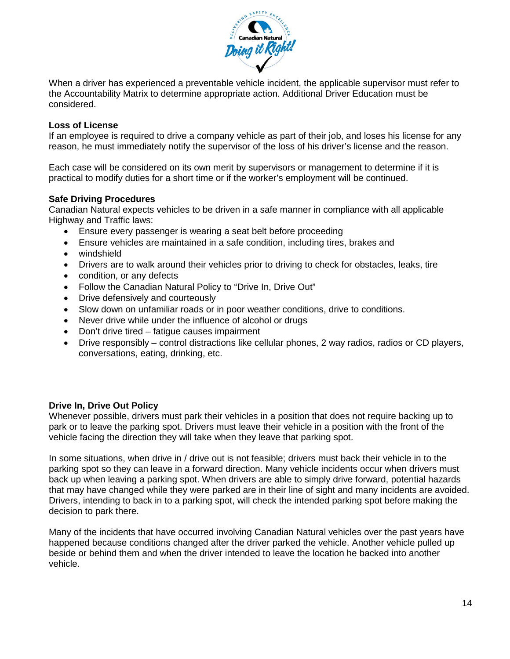

When a driver has experienced a preventable vehicle incident, the applicable supervisor must refer to the Accountability Matrix to determine appropriate action. Additional Driver Education must be considered.

#### **Loss of License**

If an employee is required to drive a company vehicle as part of their job, and loses his license for any reason, he must immediately notify the supervisor of the loss of his driver's license and the reason.

Each case will be considered on its own merit by supervisors or management to determine if it is practical to modify duties for a short time or if the worker's employment will be continued.

#### **Safe Driving Procedures**

Canadian Natural expects vehicles to be driven in a safe manner in compliance with all applicable Highway and Traffic laws:

- Ensure every passenger is wearing a seat belt before proceeding
- Ensure vehicles are maintained in a safe condition, including tires, brakes and
- windshield
- Drivers are to walk around their vehicles prior to driving to check for obstacles, leaks, tire
- condition, or any defects
- Follow the Canadian Natural Policy to "Drive In, Drive Out"
- Drive defensively and courteously
- Slow down on unfamiliar roads or in poor weather conditions, drive to conditions.
- Never drive while under the influence of alcohol or drugs
- Don't drive tired fatigue causes impairment
- Drive responsibly control distractions like cellular phones, 2 way radios, radios or CD players, conversations, eating, drinking, etc.

#### **Drive In, Drive Out Policy**

Whenever possible, drivers must park their vehicles in a position that does not require backing up to park or to leave the parking spot. Drivers must leave their vehicle in a position with the front of the vehicle facing the direction they will take when they leave that parking spot.

In some situations, when drive in / drive out is not feasible; drivers must back their vehicle in to the parking spot so they can leave in a forward direction. Many vehicle incidents occur when drivers must back up when leaving a parking spot. When drivers are able to simply drive forward, potential hazards that may have changed while they were parked are in their line of sight and many incidents are avoided. Drivers, intending to back in to a parking spot, will check the intended parking spot before making the decision to park there.

Many of the incidents that have occurred involving Canadian Natural vehicles over the past years have happened because conditions changed after the driver parked the vehicle. Another vehicle pulled up beside or behind them and when the driver intended to leave the location he backed into another vehicle.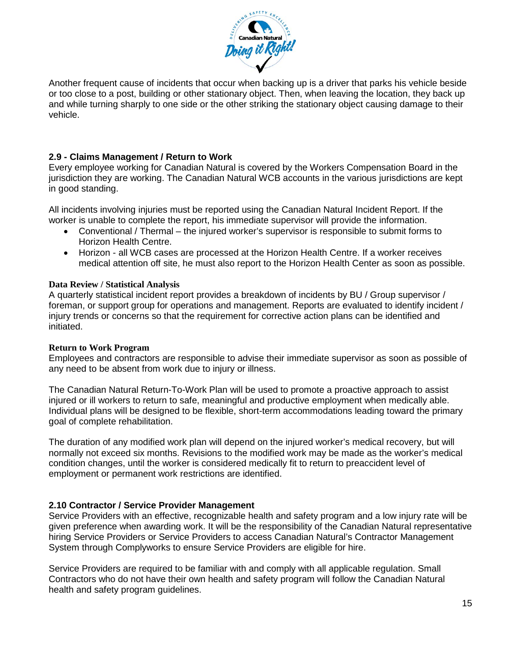

Another frequent cause of incidents that occur when backing up is a driver that parks his vehicle beside or too close to a post, building or other stationary object. Then, when leaving the location, they back up and while turning sharply to one side or the other striking the stationary object causing damage to their vehicle.

## **2.9 - Claims Management / Return to Work**

Every employee working for Canadian Natural is covered by the Workers Compensation Board in the jurisdiction they are working. The Canadian Natural WCB accounts in the various jurisdictions are kept in good standing.

All incidents involving injuries must be reported using the Canadian Natural Incident Report. If the worker is unable to complete the report, his immediate supervisor will provide the information.

- Conventional / Thermal the injured worker's supervisor is responsible to submit forms to Horizon Health Centre.
- Horizon all WCB cases are processed at the Horizon Health Centre. If a worker receives medical attention off site, he must also report to the Horizon Health Center as soon as possible.

#### **Data Review / Statistical Analysis**

A quarterly statistical incident report provides a breakdown of incidents by BU / Group supervisor / foreman, or support group for operations and management. Reports are evaluated to identify incident / injury trends or concerns so that the requirement for corrective action plans can be identified and initiated.

#### **Return to Work Program**

Employees and contractors are responsible to advise their immediate supervisor as soon as possible of any need to be absent from work due to injury or illness.

The Canadian Natural Return-To-Work Plan will be used to promote a proactive approach to assist injured or ill workers to return to safe, meaningful and productive employment when medically able. Individual plans will be designed to be flexible, short-term accommodations leading toward the primary goal of complete rehabilitation.

The duration of any modified work plan will depend on the injured worker's medical recovery, but will normally not exceed six months. Revisions to the modified work may be made as the worker's medical condition changes, until the worker is considered medically fit to return to preaccident level of employment or permanent work restrictions are identified.

#### **2.10 Contractor / Service Provider Management**

Service Providers with an effective, recognizable health and safety program and a low injury rate will be given preference when awarding work. It will be the responsibility of the Canadian Natural representative hiring Service Providers or Service Providers to access Canadian Natural's Contractor Management System through Complyworks to ensure Service Providers are eligible for hire.

Service Providers are required to be familiar with and comply with all applicable regulation. Small Contractors who do not have their own health and safety program will follow the Canadian Natural health and safety program guidelines.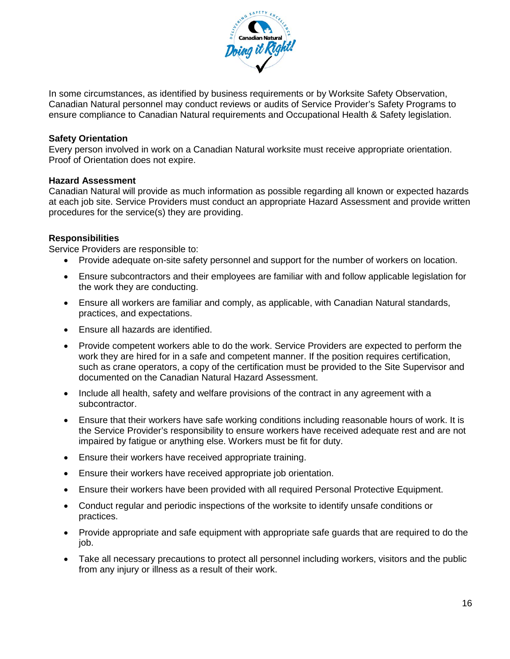

In some circumstances, as identified by business requirements or by Worksite Safety Observation, Canadian Natural personnel may conduct reviews or audits of Service Provider's Safety Programs to ensure compliance to Canadian Natural requirements and Occupational Health & Safety legislation.

#### **Safety Orientation**

Every person involved in work on a Canadian Natural worksite must receive appropriate orientation. Proof of Orientation does not expire.

#### **Hazard Assessment**

Canadian Natural will provide as much information as possible regarding all known or expected hazards at each job site. Service Providers must conduct an appropriate Hazard Assessment and provide written procedures for the service(s) they are providing.

#### **Responsibilities**

Service Providers are responsible to:

- Provide adequate on-site safety personnel and support for the number of workers on location.
- Ensure subcontractors and their employees are familiar with and follow applicable legislation for the work they are conducting.
- Ensure all workers are familiar and comply, as applicable, with Canadian Natural standards, practices, and expectations.
- Ensure all hazards are identified.
- Provide competent workers able to do the work. Service Providers are expected to perform the work they are hired for in a safe and competent manner. If the position requires certification, such as crane operators, a copy of the certification must be provided to the Site Supervisor and documented on the Canadian Natural Hazard Assessment.
- Include all health, safety and welfare provisions of the contract in any agreement with a subcontractor.
- Ensure that their workers have safe working conditions including reasonable hours of work. It is the Service Provider's responsibility to ensure workers have received adequate rest and are not impaired by fatigue or anything else. Workers must be fit for duty.
- Ensure their workers have received appropriate training.
- Ensure their workers have received appropriate job orientation.
- Ensure their workers have been provided with all required Personal Protective Equipment.
- Conduct regular and periodic inspections of the worksite to identify unsafe conditions or practices.
- Provide appropriate and safe equipment with appropriate safe guards that are required to do the job.
- Take all necessary precautions to protect all personnel including workers, visitors and the public from any injury or illness as a result of their work.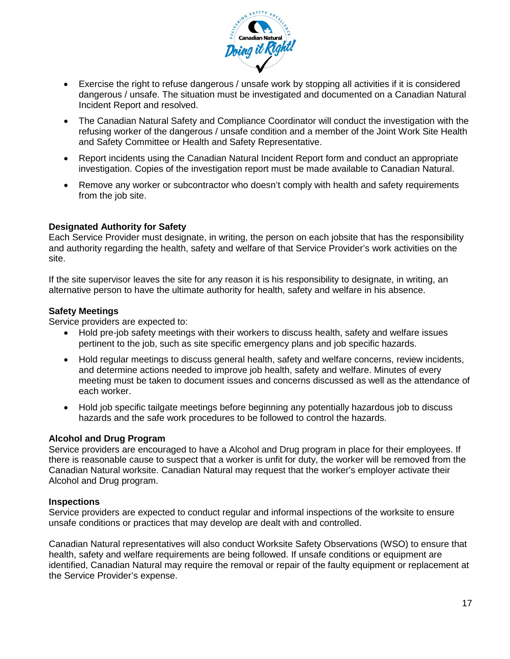

- Exercise the right to refuse dangerous / unsafe work by stopping all activities if it is considered dangerous / unsafe. The situation must be investigated and documented on a Canadian Natural Incident Report and resolved.
- The Canadian Natural Safety and Compliance Coordinator will conduct the investigation with the refusing worker of the dangerous / unsafe condition and a member of the Joint Work Site Health and Safety Committee or Health and Safety Representative.
- Report incidents using the Canadian Natural Incident Report form and conduct an appropriate investigation. Copies of the investigation report must be made available to Canadian Natural.
- Remove any worker or subcontractor who doesn't comply with health and safety requirements from the job site.

#### **Designated Authority for Safety**

Each Service Provider must designate, in writing, the person on each jobsite that has the responsibility and authority regarding the health, safety and welfare of that Service Provider's work activities on the site.

If the site supervisor leaves the site for any reason it is his responsibility to designate, in writing, an alternative person to have the ultimate authority for health, safety and welfare in his absence.

#### **Safety Meetings**

Service providers are expected to:

- Hold pre-job safety meetings with their workers to discuss health, safety and welfare issues pertinent to the job, such as site specific emergency plans and job specific hazards.
- Hold regular meetings to discuss general health, safety and welfare concerns, review incidents, and determine actions needed to improve job health, safety and welfare. Minutes of every meeting must be taken to document issues and concerns discussed as well as the attendance of each worker.
- Hold job specific tailgate meetings before beginning any potentially hazardous job to discuss hazards and the safe work procedures to be followed to control the hazards.

#### **Alcohol and Drug Program**

Service providers are encouraged to have a Alcohol and Drug program in place for their employees. If there is reasonable cause to suspect that a worker is unfit for duty, the worker will be removed from the Canadian Natural worksite. Canadian Natural may request that the worker's employer activate their Alcohol and Drug program.

#### **Inspections**

Service providers are expected to conduct regular and informal inspections of the worksite to ensure unsafe conditions or practices that may develop are dealt with and controlled.

Canadian Natural representatives will also conduct Worksite Safety Observations (WSO) to ensure that health, safety and welfare requirements are being followed. If unsafe conditions or equipment are identified, Canadian Natural may require the removal or repair of the faulty equipment or replacement at the Service Provider's expense.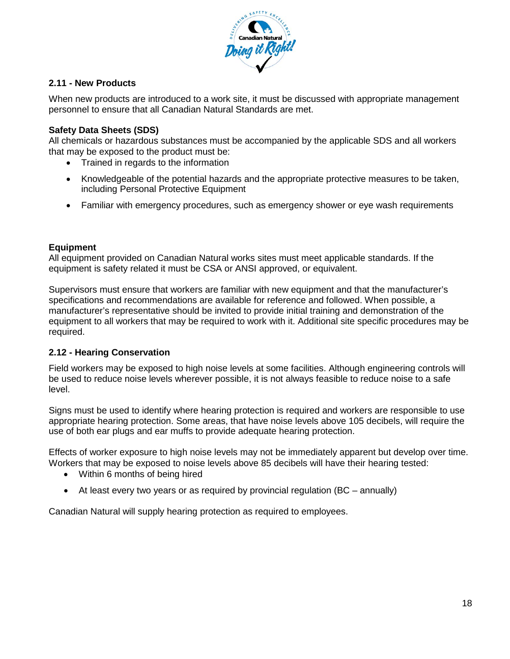

# **2.11 - New Products**

When new products are introduced to a work site, it must be discussed with appropriate management personnel to ensure that all Canadian Natural Standards are met.

#### **Safety Data Sheets (SDS)**

All chemicals or hazardous substances must be accompanied by the applicable SDS and all workers that may be exposed to the product must be:

- Trained in regards to the information
- Knowledgeable of the potential hazards and the appropriate protective measures to be taken, including Personal Protective Equipment
- Familiar with emergency procedures, such as emergency shower or eye wash requirements

#### **Equipment**

All equipment provided on Canadian Natural works sites must meet applicable standards. If the equipment is safety related it must be CSA or ANSI approved, or equivalent.

Supervisors must ensure that workers are familiar with new equipment and that the manufacturer's specifications and recommendations are available for reference and followed. When possible, a manufacturer's representative should be invited to provide initial training and demonstration of the equipment to all workers that may be required to work with it. Additional site specific procedures may be required.

#### **2.12 - Hearing Conservation**

Field workers may be exposed to high noise levels at some facilities. Although engineering controls will be used to reduce noise levels wherever possible, it is not always feasible to reduce noise to a safe level.

Signs must be used to identify where hearing protection is required and workers are responsible to use appropriate hearing protection. Some areas, that have noise levels above 105 decibels, will require the use of both ear plugs and ear muffs to provide adequate hearing protection.

Effects of worker exposure to high noise levels may not be immediately apparent but develop over time. Workers that may be exposed to noise levels above 85 decibels will have their hearing tested:

- Within 6 months of being hired
- At least every two years or as required by provincial regulation (BC annually)

Canadian Natural will supply hearing protection as required to employees.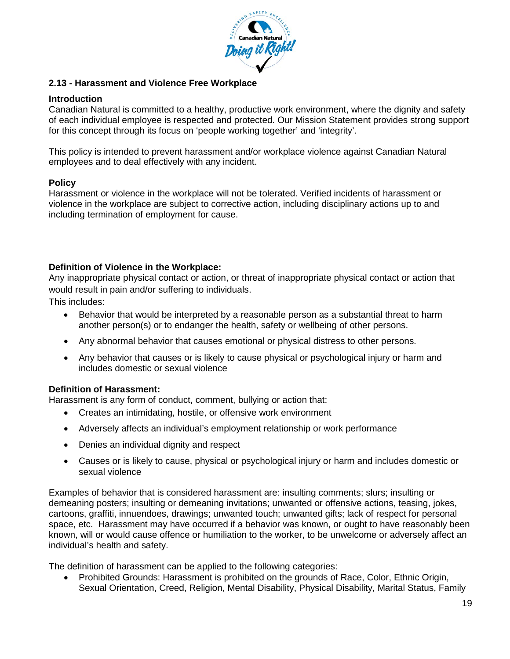

#### **2.13 - Harassment and Violence Free Workplace**

#### **Introduction**

Canadian Natural is committed to a healthy, productive work environment, where the dignity and safety of each individual employee is respected and protected. Our Mission Statement provides strong support for this concept through its focus on 'people working together' and 'integrity'.

This policy is intended to prevent harassment and/or workplace violence against Canadian Natural employees and to deal effectively with any incident.

#### **Policy**

Harassment or violence in the workplace will not be tolerated. Verified incidents of harassment or violence in the workplace are subject to corrective action, including disciplinary actions up to and including termination of employment for cause.

## **Definition of Violence in the Workplace:**

Any inappropriate physical contact or action, or threat of inappropriate physical contact or action that would result in pain and/or suffering to individuals.

This includes:

- Behavior that would be interpreted by a reasonable person as a substantial threat to harm another person(s) or to endanger the health, safety or wellbeing of other persons.
- Any abnormal behavior that causes emotional or physical distress to other persons.
- Any behavior that causes or is likely to cause physical or psychological injury or harm and includes domestic or sexual violence

#### **Definition of Harassment:**

Harassment is any form of conduct, comment, bullying or action that:

- Creates an intimidating, hostile, or offensive work environment
- Adversely affects an individual's employment relationship or work performance
- Denies an individual dignity and respect
- Causes or is likely to cause, physical or psychological injury or harm and includes domestic or sexual violence

Examples of behavior that is considered harassment are: insulting comments; slurs; insulting or demeaning posters; insulting or demeaning invitations; unwanted or offensive actions, teasing, jokes, cartoons, graffiti, innuendoes, drawings; unwanted touch; unwanted gifts; lack of respect for personal space, etc. Harassment may have occurred if a behavior was known, or ought to have reasonably been known, will or would cause offence or humiliation to the worker, to be unwelcome or adversely affect an individual's health and safety.

The definition of harassment can be applied to the following categories:

• Prohibited Grounds: Harassment is prohibited on the grounds of Race, Color, Ethnic Origin, Sexual Orientation, Creed, Religion, Mental Disability, Physical Disability, Marital Status, Family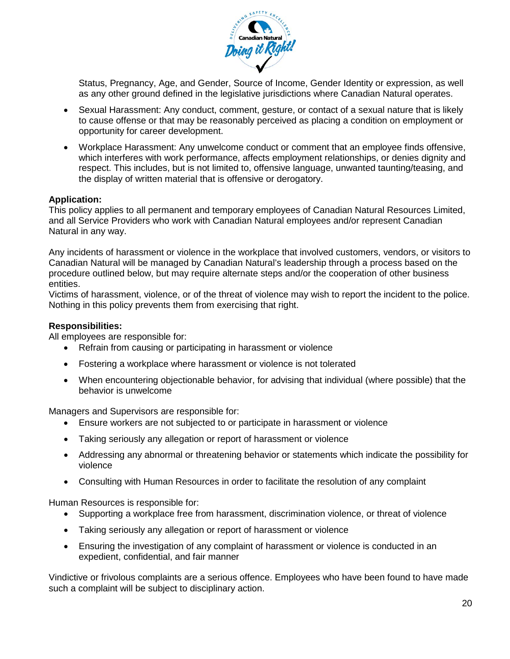

Status, Pregnancy, Age, and Gender, Source of Income, Gender Identity or expression, as well as any other ground defined in the legislative jurisdictions where Canadian Natural operates.

- Sexual Harassment: Any conduct, comment, gesture, or contact of a sexual nature that is likely to cause offense or that may be reasonably perceived as placing a condition on employment or opportunity for career development.
- Workplace Harassment: Any unwelcome conduct or comment that an employee finds offensive, which interferes with work performance, affects employment relationships, or denies dignity and respect. This includes, but is not limited to, offensive language, unwanted taunting/teasing, and the display of written material that is offensive or derogatory.

#### **Application:**

This policy applies to all permanent and temporary employees of Canadian Natural Resources Limited, and all Service Providers who work with Canadian Natural employees and/or represent Canadian Natural in any way.

Any incidents of harassment or violence in the workplace that involved customers, vendors, or visitors to Canadian Natural will be managed by Canadian Natural's leadership through a process based on the procedure outlined below, but may require alternate steps and/or the cooperation of other business entities.

Victims of harassment, violence, or of the threat of violence may wish to report the incident to the police. Nothing in this policy prevents them from exercising that right.

#### **Responsibilities:**

All employees are responsible for:

- Refrain from causing or participating in harassment or violence
- Fostering a workplace where harassment or violence is not tolerated
- When encountering objectionable behavior, for advising that individual (where possible) that the behavior is unwelcome

Managers and Supervisors are responsible for:

- Ensure workers are not subjected to or participate in harassment or violence
- Taking seriously any allegation or report of harassment or violence
- Addressing any abnormal or threatening behavior or statements which indicate the possibility for violence
- Consulting with Human Resources in order to facilitate the resolution of any complaint

Human Resources is responsible for:

- Supporting a workplace free from harassment, discrimination violence, or threat of violence
- Taking seriously any allegation or report of harassment or violence
- Ensuring the investigation of any complaint of harassment or violence is conducted in an expedient, confidential, and fair manner

Vindictive or frivolous complaints are a serious offence. Employees who have been found to have made such a complaint will be subject to disciplinary action.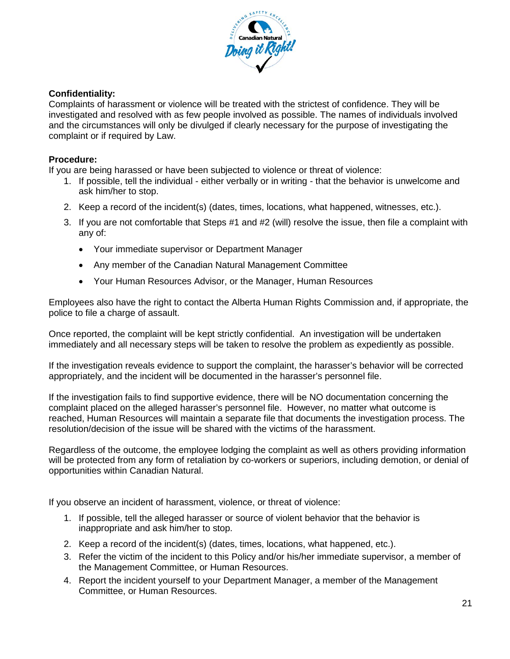

# **Confidentiality:**

Complaints of harassment or violence will be treated with the strictest of confidence. They will be investigated and resolved with as few people involved as possible. The names of individuals involved and the circumstances will only be divulged if clearly necessary for the purpose of investigating the complaint or if required by Law.

#### **Procedure:**

If you are being harassed or have been subjected to violence or threat of violence:

- 1. If possible, tell the individual either verbally or in writing that the behavior is unwelcome and ask him/her to stop.
- 2. Keep a record of the incident(s) (dates, times, locations, what happened, witnesses, etc.).
- 3. If you are not comfortable that Steps #1 and #2 (will) resolve the issue, then file a complaint with any of:
	- Your immediate supervisor or Department Manager
	- Any member of the Canadian Natural Management Committee
	- Your Human Resources Advisor, or the Manager, Human Resources

Employees also have the right to contact the Alberta Human Rights Commission and, if appropriate, the police to file a charge of assault.

Once reported, the complaint will be kept strictly confidential. An investigation will be undertaken immediately and all necessary steps will be taken to resolve the problem as expediently as possible.

If the investigation reveals evidence to support the complaint, the harasser's behavior will be corrected appropriately, and the incident will be documented in the harasser's personnel file.

If the investigation fails to find supportive evidence, there will be NO documentation concerning the complaint placed on the alleged harasser's personnel file. However, no matter what outcome is reached, Human Resources will maintain a separate file that documents the investigation process. The resolution/decision of the issue will be shared with the victims of the harassment.

Regardless of the outcome, the employee lodging the complaint as well as others providing information will be protected from any form of retaliation by co-workers or superiors, including demotion, or denial of opportunities within Canadian Natural.

If you observe an incident of harassment, violence, or threat of violence:

- 1. If possible, tell the alleged harasser or source of violent behavior that the behavior is inappropriate and ask him/her to stop.
- 2. Keep a record of the incident(s) (dates, times, locations, what happened, etc.).
- 3. Refer the victim of the incident to this Policy and/or his/her immediate supervisor, a member of the Management Committee, or Human Resources.
- 4. Report the incident yourself to your Department Manager, a member of the Management Committee, or Human Resources.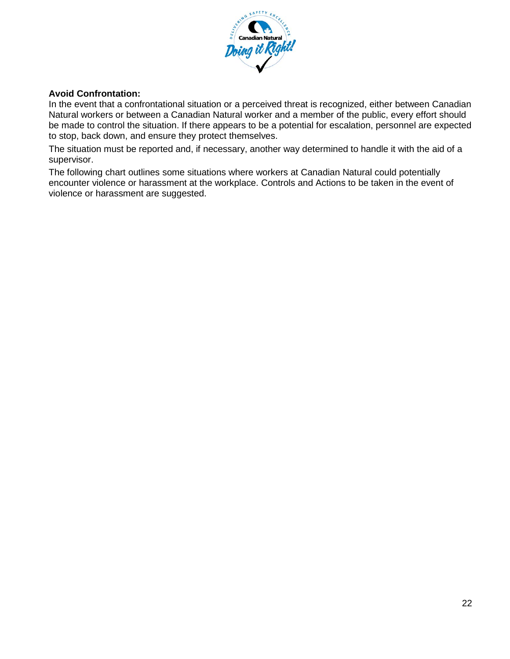

#### **Avoid Confrontation:**

In the event that a confrontational situation or a perceived threat is recognized, either between Canadian Natural workers or between a Canadian Natural worker and a member of the public, every effort should be made to control the situation. If there appears to be a potential for escalation, personnel are expected to stop, back down, and ensure they protect themselves.

The situation must be reported and, if necessary, another way determined to handle it with the aid of a supervisor.

The following chart outlines some situations where workers at Canadian Natural could potentially encounter violence or harassment at the workplace. Controls and Actions to be taken in the event of violence or harassment are suggested.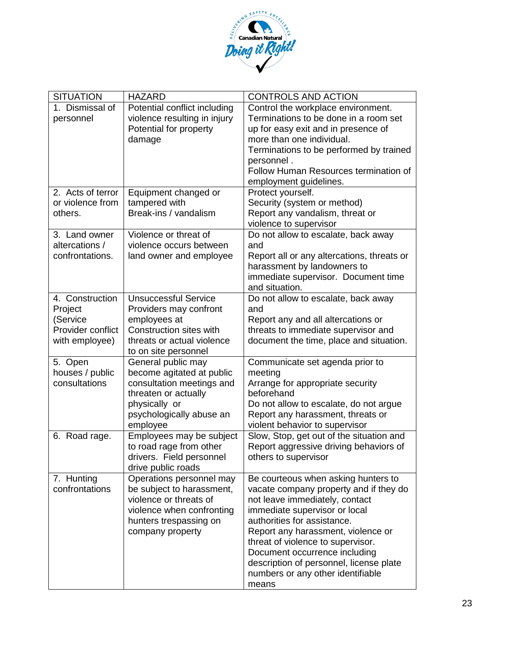

| <b>SITUATION</b>  | <b>HAZARD</b>                              | <b>CONTROLS AND ACTION</b>                 |
|-------------------|--------------------------------------------|--------------------------------------------|
| 1. Dismissal of   | Potential conflict including               | Control the workplace environment.         |
| personnel         | violence resulting in injury               | Terminations to be done in a room set      |
|                   | Potential for property                     | up for easy exit and in presence of        |
|                   | damage                                     | more than one individual.                  |
|                   |                                            | Terminations to be performed by trained    |
|                   |                                            | personnel.                                 |
|                   |                                            | Follow Human Resources termination of      |
|                   |                                            | employment guidelines.                     |
| 2. Acts of terror | Equipment changed or                       | Protect yourself.                          |
| or violence from  | tampered with                              | Security (system or method)                |
| others.           | Break-ins / vandalism                      | Report any vandalism, threat or            |
|                   |                                            | violence to supervisor                     |
| 3. Land owner     | Violence or threat of                      | Do not allow to escalate, back away        |
| altercations /    | violence occurs between                    | and                                        |
| confrontations.   | land owner and employee                    | Report all or any altercations, threats or |
|                   |                                            | harassment by landowners to                |
|                   |                                            | immediate supervisor. Document time        |
|                   |                                            | and situation.                             |
| 4. Construction   | <b>Unsuccessful Service</b>                | Do not allow to escalate, back away        |
| Project           | Providers may confront                     | and                                        |
| (Service          | employees at                               | Report any and all altercations or         |
| Provider conflict | Construction sites with                    | threats to immediate supervisor and        |
| with employee)    | threats or actual violence                 | document the time, place and situation.    |
| 5. Open           | to on site personnel<br>General public may | Communicate set agenda prior to            |
| houses / public   | become agitated at public                  | meeting                                    |
| consultations     | consultation meetings and                  | Arrange for appropriate security           |
|                   | threaten or actually                       | beforehand                                 |
|                   | physically or                              | Do not allow to escalate, do not argue     |
|                   | psychologically abuse an                   | Report any harassment, threats or          |
|                   | employee                                   | violent behavior to supervisor             |
| 6. Road rage.     | Employees may be subject                   | Slow, Stop, get out of the situation and   |
|                   | to road rage from other                    | Report aggressive driving behaviors of     |
|                   | drivers. Field personnel                   | others to supervisor                       |
|                   | drive public roads                         |                                            |
| 7. Hunting        | Operations personnel may                   | Be courteous when asking hunters to        |
| confrontations    | be subject to harassment,                  | vacate company property and if they do     |
|                   | violence or threats of                     | not leave immediately, contact             |
|                   | violence when confronting                  | immediate supervisor or local              |
|                   | hunters trespassing on                     | authorities for assistance.                |
|                   | company property                           | Report any harassment, violence or         |
|                   |                                            | threat of violence to supervisor.          |
|                   |                                            | Document occurrence including              |
|                   |                                            | description of personnel, license plate    |
|                   |                                            | numbers or any other identifiable          |
|                   |                                            | means                                      |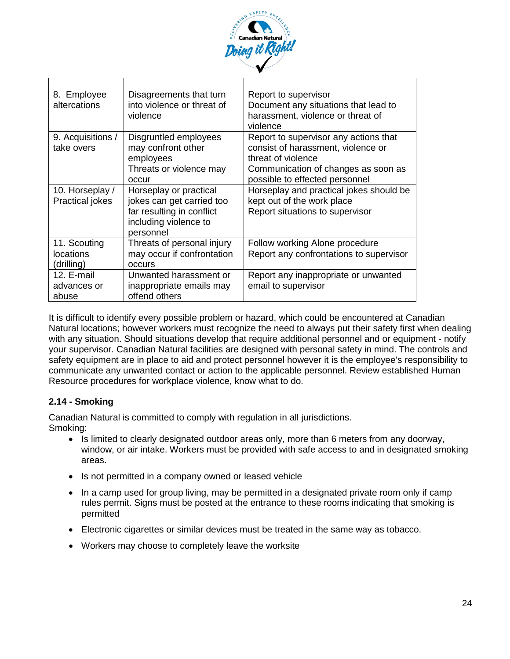

| 8. Employee<br>altercations               | Disagreements that turn<br>into violence or threat of<br>violence                                                      | Report to supervisor<br>Document any situations that lead to<br>harassment, violence or threat of<br>violence                                                              |
|-------------------------------------------|------------------------------------------------------------------------------------------------------------------------|----------------------------------------------------------------------------------------------------------------------------------------------------------------------------|
| 9. Acquisitions /<br>take overs           | Disgruntled employees<br>may confront other<br>employees<br>Threats or violence may<br>occur                           | Report to supervisor any actions that<br>consist of harassment, violence or<br>threat of violence<br>Communication of changes as soon as<br>possible to effected personnel |
| 10. Horseplay /<br><b>Practical jokes</b> | Horseplay or practical<br>jokes can get carried too<br>far resulting in conflict<br>including violence to<br>personnel | Horseplay and practical jokes should be<br>kept out of the work place<br>Report situations to supervisor                                                                   |
| 11. Scouting<br>locations<br>(drilling)   | Threats of personal injury<br>may occur if confrontation<br><b>OCCULS</b>                                              | Follow working Alone procedure<br>Report any confrontations to supervisor                                                                                                  |
| 12. E-mail<br>advances or<br>abuse        | Unwanted harassment or<br>inappropriate emails may<br>offend others                                                    | Report any inappropriate or unwanted<br>email to supervisor                                                                                                                |

It is difficult to identify every possible problem or hazard, which could be encountered at Canadian Natural locations; however workers must recognize the need to always put their safety first when dealing with any situation. Should situations develop that require additional personnel and or equipment - notify your supervisor. Canadian Natural facilities are designed with personal safety in mind. The controls and safety equipment are in place to aid and protect personnel however it is the employee's responsibility to communicate any unwanted contact or action to the applicable personnel. Review established Human Resource procedures for workplace violence, know what to do.

# **2.14 - Smoking**

Canadian Natural is committed to comply with regulation in all jurisdictions. Smoking:

- Is limited to clearly designated outdoor areas only, more than 6 meters from any doorway, window, or air intake. Workers must be provided with safe access to and in designated smoking areas.
- Is not permitted in a company owned or leased vehicle
- In a camp used for group living, may be permitted in a designated private room only if camp rules permit. Signs must be posted at the entrance to these rooms indicating that smoking is permitted
- Electronic cigarettes or similar devices must be treated in the same way as tobacco.
- Workers may choose to completely leave the worksite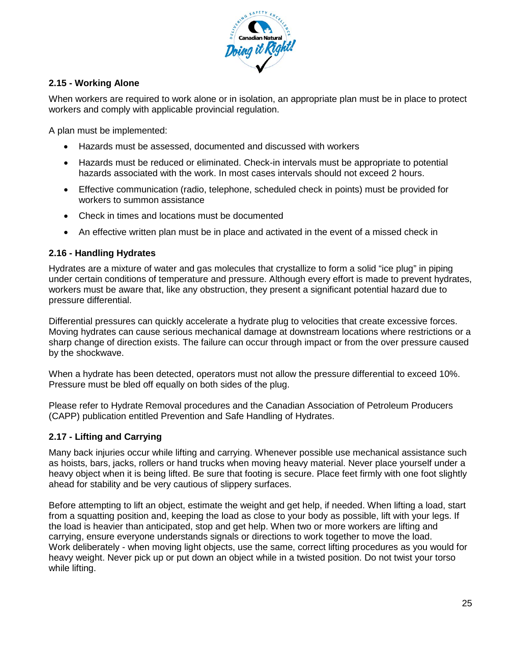

# **2.15 - Working Alone**

When workers are required to work alone or in isolation, an appropriate plan must be in place to protect workers and comply with applicable provincial regulation.

A plan must be implemented:

- Hazards must be assessed, documented and discussed with workers
- Hazards must be reduced or eliminated. Check-in intervals must be appropriate to potential hazards associated with the work. In most cases intervals should not exceed 2 hours.
- Effective communication (radio, telephone, scheduled check in points) must be provided for workers to summon assistance
- Check in times and locations must be documented
- An effective written plan must be in place and activated in the event of a missed check in

#### **2.16 - Handling Hydrates**

Hydrates are a mixture of water and gas molecules that crystallize to form a solid "ice plug" in piping under certain conditions of temperature and pressure. Although every effort is made to prevent hydrates, workers must be aware that, like any obstruction, they present a significant potential hazard due to pressure differential.

Differential pressures can quickly accelerate a hydrate plug to velocities that create excessive forces. Moving hydrates can cause serious mechanical damage at downstream locations where restrictions or a sharp change of direction exists. The failure can occur through impact or from the over pressure caused by the shockwave.

When a hydrate has been detected, operators must not allow the pressure differential to exceed 10%. Pressure must be bled off equally on both sides of the plug.

Please refer to Hydrate Removal procedures and the Canadian Association of Petroleum Producers (CAPP) publication entitled Prevention and Safe Handling of Hydrates.

#### **2.17 - Lifting and Carrying**

Many back injuries occur while lifting and carrying. Whenever possible use mechanical assistance such as hoists, bars, jacks, rollers or hand trucks when moving heavy material. Never place yourself under a heavy object when it is being lifted. Be sure that footing is secure. Place feet firmly with one foot slightly ahead for stability and be very cautious of slippery surfaces.

Before attempting to lift an object, estimate the weight and get help, if needed. When lifting a load, start from a squatting position and, keeping the load as close to your body as possible, lift with your legs. If the load is heavier than anticipated, stop and get help. When two or more workers are lifting and carrying, ensure everyone understands signals or directions to work together to move the load. Work deliberately - when moving light objects, use the same, correct lifting procedures as you would for heavy weight. Never pick up or put down an object while in a twisted position. Do not twist your torso while lifting.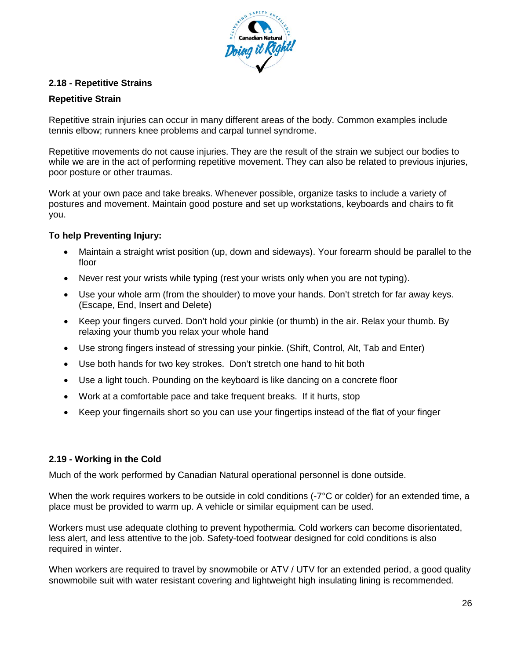

## **2.18 - Repetitive Strains**

#### **Repetitive Strain**

Repetitive strain injuries can occur in many different areas of the body. Common examples include tennis elbow; runners knee problems and carpal tunnel syndrome.

Repetitive movements do not cause injuries. They are the result of the strain we subject our bodies to while we are in the act of performing repetitive movement. They can also be related to previous injuries, poor posture or other traumas.

Work at your own pace and take breaks. Whenever possible, organize tasks to include a variety of postures and movement. Maintain good posture and set up workstations, keyboards and chairs to fit you.

## **To help Preventing Injury:**

- Maintain a straight wrist position (up, down and sideways). Your forearm should be parallel to the floor
- Never rest your wrists while typing (rest your wrists only when you are not typing).
- Use your whole arm (from the shoulder) to move your hands. Don't stretch for far away keys. (Escape, End, Insert and Delete)
- Keep your fingers curved. Don't hold your pinkie (or thumb) in the air. Relax your thumb. By relaxing your thumb you relax your whole hand
- Use strong fingers instead of stressing your pinkie. (Shift, Control, Alt, Tab and Enter)
- Use both hands for two key strokes. Don't stretch one hand to hit both
- Use a light touch. Pounding on the keyboard is like dancing on a concrete floor
- Work at a comfortable pace and take frequent breaks. If it hurts, stop
- Keep your fingernails short so you can use your fingertips instead of the flat of your finger

#### **2.19 - Working in the Cold**

Much of the work performed by Canadian Natural operational personnel is done outside.

When the work requires workers to be outside in cold conditions (-7°C or colder) for an extended time, a place must be provided to warm up. A vehicle or similar equipment can be used.

Workers must use adequate clothing to prevent hypothermia. Cold workers can become disorientated, less alert, and less attentive to the job. Safety-toed footwear designed for cold conditions is also required in winter.

When workers are required to travel by snowmobile or ATV / UTV for an extended period, a good quality snowmobile suit with water resistant covering and lightweight high insulating lining is recommended.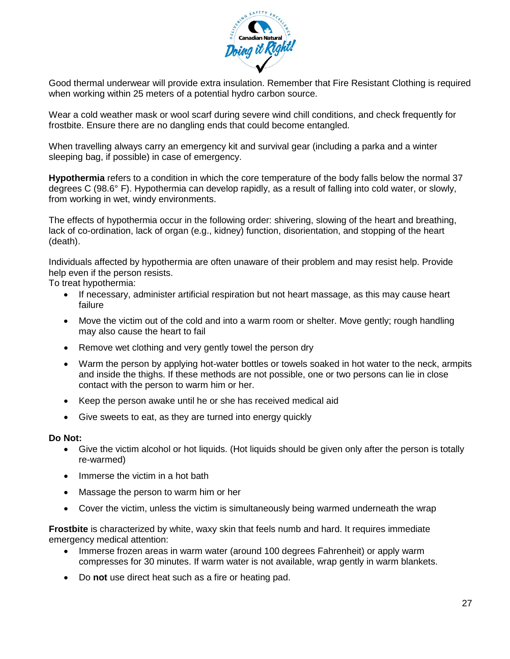

Good thermal underwear will provide extra insulation. Remember that Fire Resistant Clothing is required when working within 25 meters of a potential hydro carbon source.

Wear a cold weather mask or wool scarf during severe wind chill conditions, and check frequently for frostbite. Ensure there are no dangling ends that could become entangled.

When travelling always carry an emergency kit and survival gear (including a parka and a winter sleeping bag, if possible) in case of emergency.

**Hypothermia** refers to a condition in which the core temperature of the body falls below the normal 37 degrees C (98.6° F). Hypothermia can develop rapidly, as a result of falling into cold water, or slowly, from working in wet, windy environments.

The effects of hypothermia occur in the following order: shivering, slowing of the heart and breathing, lack of co-ordination, lack of organ (e.g., kidney) function, disorientation, and stopping of the heart (death).

Individuals affected by hypothermia are often unaware of their problem and may resist help. Provide help even if the person resists.

To treat hypothermia:

- If necessary, administer artificial respiration but not heart massage, as this may cause heart failure
- Move the victim out of the cold and into a warm room or shelter. Move gently; rough handling may also cause the heart to fail
- Remove wet clothing and very gently towel the person dry
- Warm the person by applying hot-water bottles or towels soaked in hot water to the neck, armpits and inside the thighs. If these methods are not possible, one or two persons can lie in close contact with the person to warm him or her.
- Keep the person awake until he or she has received medical aid
- Give sweets to eat, as they are turned into energy quickly

#### **Do Not:**

- Give the victim alcohol or hot liquids. (Hot liquids should be given only after the person is totally re-warmed)
- Immerse the victim in a hot bath
- Massage the person to warm him or her
- Cover the victim, unless the victim is simultaneously being warmed underneath the wrap

**Frostbite** is characterized by white, waxy skin that feels numb and hard. It requires immediate emergency medical attention:

- Immerse frozen areas in warm water (around 100 degrees Fahrenheit) or apply warm compresses for 30 minutes. If warm water is not available, wrap gently in warm blankets.
- Do **not** use direct heat such as a fire or heating pad.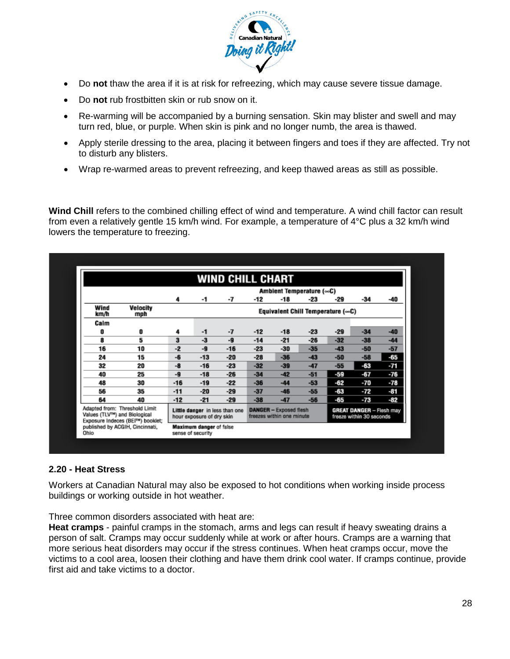

- Do **not** thaw the area if it is at risk for refreezing, which may cause severe tissue damage.
- Do **not** rub frostbitten skin or rub snow on it.
- Re-warming will be accompanied by a burning sensation. Skin may blister and swell and may turn red, blue, or purple. When skin is pink and no longer numb, the area is thawed.
- Apply sterile dressing to the area, placing it between fingers and toes if they are affected. Try not to disturb any blisters.
- Wrap re-warmed areas to prevent refreezing, and keep thawed areas as still as possible.

**Wind Chill** refers to the combined chilling effect of wind and temperature. A wind chill factor can result from even a relatively gentle 15 km/h wind. For example, a temperature of 4°C plus a 32 km/h wind lowers the temperature to freezing.

| -7<br>-7<br>-9 | -12<br>$-12$                                                                           | Ambient Temperature (∞C)<br>-18<br>$-18$ | -23   | $-29$<br>Equivalent Chill Temperature (∞C)                 | -34   | -40                                                         |
|----------------|----------------------------------------------------------------------------------------|------------------------------------------|-------|------------------------------------------------------------|-------|-------------------------------------------------------------|
|                |                                                                                        |                                          |       |                                                            |       |                                                             |
|                |                                                                                        |                                          |       |                                                            |       |                                                             |
|                |                                                                                        |                                          |       |                                                            |       |                                                             |
|                |                                                                                        |                                          |       |                                                            |       |                                                             |
|                |                                                                                        |                                          | $-23$ | $-29$                                                      | $-34$ | $-40$                                                       |
|                | $-14$                                                                                  | $-21$                                    | $-26$ | $-32$                                                      | $-38$ | $-44$                                                       |
| $-16$          | $-23$                                                                                  | $-30$                                    | $-35$ | $-43$                                                      | $-50$ | $-57$                                                       |
| $-20$          | $-28$                                                                                  | $-36$                                    | $-43$ | $-50$                                                      | $-58$ | -65                                                         |
| $-23$          | $-32$                                                                                  | $-39$                                    | $-47$ | $-55$                                                      | -63   | -71                                                         |
| $-26$          | $-34$                                                                                  | $-42$                                    | $-51$ | -59                                                        | -67   | $-76$                                                       |
| $-22$          | $-36$                                                                                  | $-44$                                    | $-53$ | -62                                                        | -70   | $-78$                                                       |
| $-29$          | $-37$                                                                                  | $-46$                                    | $-55$ | -63                                                        | -72   | -81                                                         |
| $-29$          | $-38$                                                                                  | $-47$                                    | $-56$ | -65                                                        | -73   | -82                                                         |
|                |                                                                                        |                                          |       |                                                            |       |                                                             |
|                | Little danger in less than one<br>hour exposure of dry skin<br>Maximum danger of false |                                          |       | <b>DANGER - Exposed flesh</b><br>freezes within one minute |       | <b>GREAT DANGER - Flesh may</b><br>freeze within 30 seconds |

#### **2.20 - Heat Stress**

Workers at Canadian Natural may also be exposed to hot conditions when working inside process buildings or working outside in hot weather.

Three common disorders associated with heat are:

**Heat cramps** - painful cramps in the stomach, arms and legs can result if heavy sweating drains a person of salt. Cramps may occur suddenly while at work or after hours. Cramps are a warning that more serious heat disorders may occur if the stress continues. When heat cramps occur, move the victims to a cool area, loosen their clothing and have them drink cool water. If cramps continue, provide first aid and take victims to a doctor.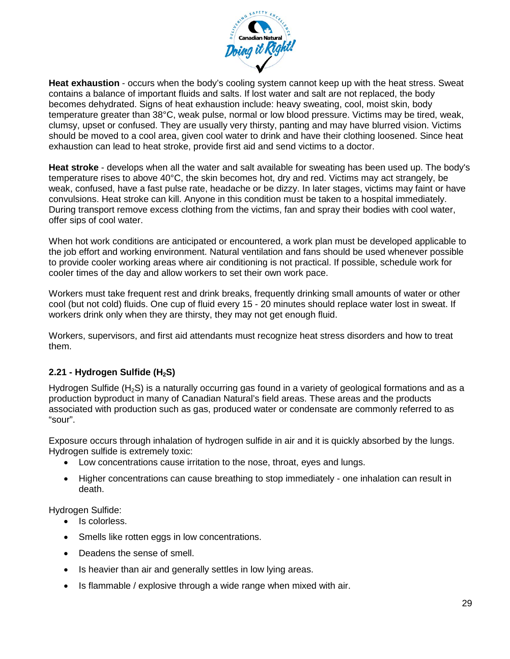

**Heat exhaustion** - occurs when the body's cooling system cannot keep up with the heat stress. Sweat contains a balance of important fluids and salts. If lost water and salt are not replaced, the body becomes dehydrated. Signs of heat exhaustion include: heavy sweating, cool, moist skin, body temperature greater than 38°C, weak pulse, normal or low blood pressure. Victims may be tired, weak, clumsy, upset or confused. They are usually very thirsty, panting and may have blurred vision. Victims should be moved to a cool area, given cool water to drink and have their clothing loosened. Since heat exhaustion can lead to heat stroke, provide first aid and send victims to a doctor.

**Heat stroke** - develops when all the water and salt available for sweating has been used up. The body's temperature rises to above 40°C, the skin becomes hot, dry and red. Victims may act strangely, be weak, confused, have a fast pulse rate, headache or be dizzy. In later stages, victims may faint or have convulsions. Heat stroke can kill. Anyone in this condition must be taken to a hospital immediately. During transport remove excess clothing from the victims, fan and spray their bodies with cool water, offer sips of cool water.

When hot work conditions are anticipated or encountered, a work plan must be developed applicable to the job effort and working environment. Natural ventilation and fans should be used whenever possible to provide cooler working areas where air conditioning is not practical. If possible, schedule work for cooler times of the day and allow workers to set their own work pace.

Workers must take frequent rest and drink breaks, frequently drinking small amounts of water or other cool (but not cold) fluids. One cup of fluid every 15 - 20 minutes should replace water lost in sweat. If workers drink only when they are thirsty, they may not get enough fluid.

Workers, supervisors, and first aid attendants must recognize heat stress disorders and how to treat them.

# **2.21 - Hydrogen Sulfide (H<sub>2</sub>S)**

Hydrogen Sulfide  $(H<sub>2</sub>S)$  is a naturally occurring gas found in a variety of geological formations and as a production byproduct in many of Canadian Natural's field areas. These areas and the products associated with production such as gas, produced water or condensate are commonly referred to as "sour".

Exposure occurs through inhalation of hydrogen sulfide in air and it is quickly absorbed by the lungs. Hydrogen sulfide is extremely toxic:

- Low concentrations cause irritation to the nose, throat, eyes and lungs.
- Higher concentrations can cause breathing to stop immediately one inhalation can result in death.

Hydrogen Sulfide:

- Is colorless.
- Smells like rotten eggs in low concentrations.
- Deadens the sense of smell.
- Is heavier than air and generally settles in low lying areas.
- Is flammable / explosive through a wide range when mixed with air.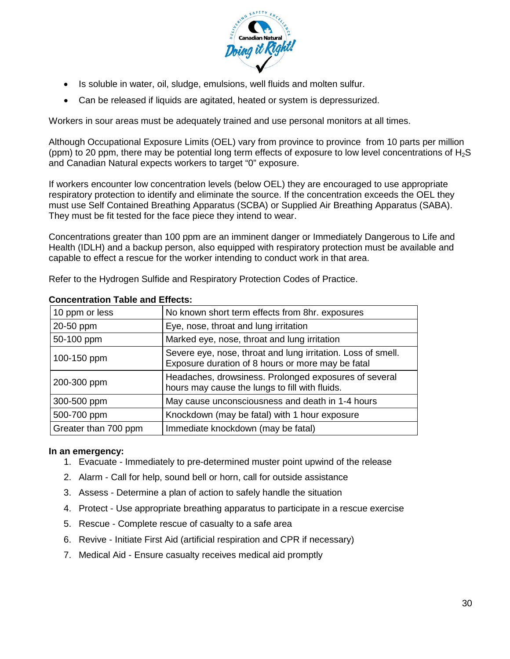

- Is soluble in water, oil, sludge, emulsions, well fluids and molten sulfur.
- Can be released if liquids are agitated, heated or system is depressurized.

Workers in sour areas must be adequately trained and use personal monitors at all times.

Although Occupational Exposure Limits (OEL) vary from province to province from 10 parts per million (ppm) to 20 ppm, there may be potential long term effects of exposure to low level concentrations of  $H_2S$ and Canadian Natural expects workers to target "0" exposure.

If workers encounter low concentration levels (below OEL) they are encouraged to use appropriate respiratory protection to identify and eliminate the source. If the concentration exceeds the OEL they must use Self Contained Breathing Apparatus (SCBA) or Supplied Air Breathing Apparatus (SABA). They must be fit tested for the face piece they intend to wear.

Concentrations greater than 100 ppm are an imminent danger or Immediately Dangerous to Life and Health (IDLH) and a backup person, also equipped with respiratory protection must be available and capable to effect a rescue for the worker intending to conduct work in that area.

Refer to the Hydrogen Sulfide and Respiratory Protection Codes of Practice.

| 10 ppm or less       | No known short term effects from 8hr. exposures                                                                   |
|----------------------|-------------------------------------------------------------------------------------------------------------------|
| 20-50 ppm            | Eye, nose, throat and lung irritation                                                                             |
| 50-100 ppm           | Marked eye, nose, throat and lung irritation                                                                      |
| 100-150 ppm          | Severe eye, nose, throat and lung irritation. Loss of smell.<br>Exposure duration of 8 hours or more may be fatal |
| 200-300 ppm          | Headaches, drowsiness. Prolonged exposures of several<br>hours may cause the lungs to fill with fluids.           |
| 300-500 ppm          | May cause unconsciousness and death in 1-4 hours                                                                  |
| 500-700 ppm          | Knockdown (may be fatal) with 1 hour exposure                                                                     |
| Greater than 700 ppm | Immediate knockdown (may be fatal)                                                                                |

#### **Concentration Table and Effects:**

#### **In an emergency:**

- 1. Evacuate Immediately to pre-determined muster point upwind of the release
- 2. Alarm Call for help, sound bell or horn, call for outside assistance
- 3. Assess Determine a plan of action to safely handle the situation
- 4. Protect Use appropriate breathing apparatus to participate in a rescue exercise
- 5. Rescue Complete rescue of casualty to a safe area
- 6. Revive Initiate First Aid (artificial respiration and CPR if necessary)
- 7. Medical Aid Ensure casualty receives medical aid promptly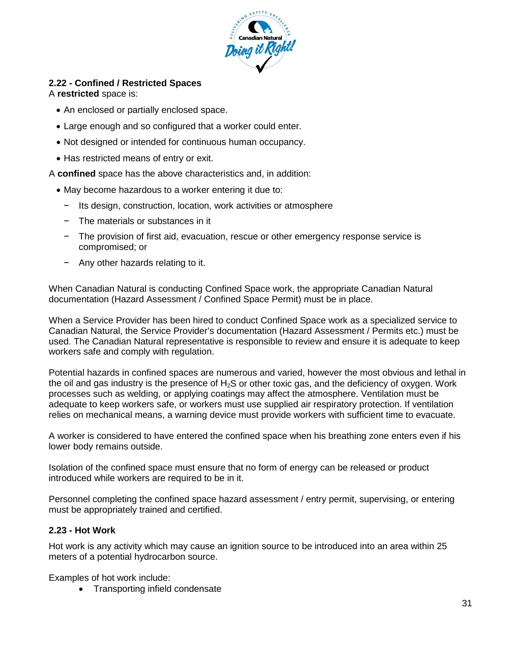

## **2.22 - Confined / Restricted Spaces**

## A **restricted** space is:

- An enclosed or partially enclosed space.
- Large enough and so configured that a worker could enter.
- Not designed or intended for continuous human occupancy.
- Has restricted means of entry or exit.

A **confined** space has the above characteristics and, in addition:

- May become hazardous to a worker entering it due to:
	- − Its design, construction, location, work activities or atmosphere
	- − The materials or substances in it
	- − The provision of first aid, evacuation, rescue or other emergency response service is compromised; or
	- − Any other hazards relating to it.

When Canadian Natural is conducting Confined Space work, the appropriate Canadian Natural documentation (Hazard Assessment / Confined Space Permit) must be in place.

When a Service Provider has been hired to conduct Confined Space work as a specialized service to Canadian Natural, the Service Provider's documentation (Hazard Assessment / Permits etc.) must be used. The Canadian Natural representative is responsible to review and ensure it is adequate to keep workers safe and comply with regulation.

Potential hazards in confined spaces are numerous and varied, however the most obvious and lethal in the oil and gas industry is the presence of  $H_2S$  or other toxic gas, and the deficiency of oxygen. Work processes such as welding, or applying coatings may affect the atmosphere. Ventilation must be adequate to keep workers safe, or workers must use supplied air respiratory protection. If ventilation relies on mechanical means, a warning device must provide workers with sufficient time to evacuate.

A worker is considered to have entered the confined space when his breathing zone enters even if his lower body remains outside.

Isolation of the confined space must ensure that no form of energy can be released or product introduced while workers are required to be in it.

Personnel completing the confined space hazard assessment / entry permit, supervising, or entering must be appropriately trained and certified.

## **2.23 - Hot Work**

Hot work is any activity which may cause an ignition source to be introduced into an area within 25 meters of a potential hydrocarbon source.

Examples of hot work include:

• Transporting infield condensate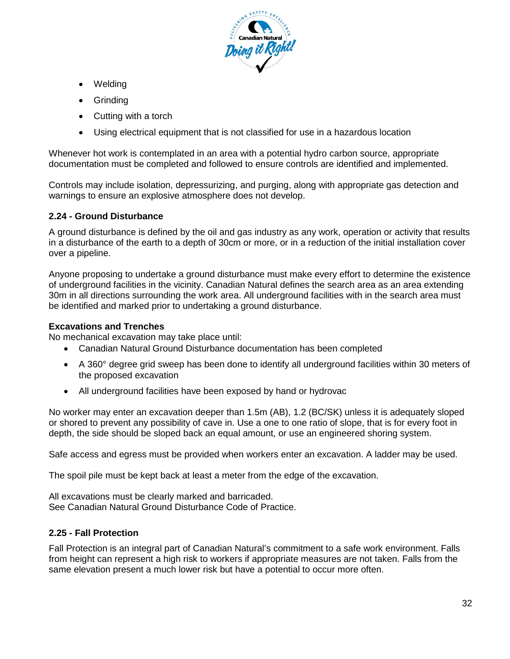

- Welding
- **Grinding**
- Cutting with a torch
- Using electrical equipment that is not classified for use in a hazardous location

Whenever hot work is contemplated in an area with a potential hydro carbon source, appropriate documentation must be completed and followed to ensure controls are identified and implemented.

Controls may include isolation, depressurizing, and purging, along with appropriate gas detection and warnings to ensure an explosive atmosphere does not develop.

## **2.24 - Ground Disturbance**

A ground disturbance is defined by the oil and gas industry as any work, operation or activity that results in a disturbance of the earth to a depth of 30cm or more, or in a reduction of the initial installation cover over a pipeline.

Anyone proposing to undertake a ground disturbance must make every effort to determine the existence of underground facilities in the vicinity. Canadian Natural defines the search area as an area extending 30m in all directions surrounding the work area. All underground facilities with in the search area must be identified and marked prior to undertaking a ground disturbance.

#### **Excavations and Trenches**

No mechanical excavation may take place until:

- Canadian Natural Ground Disturbance documentation has been completed
- A 360° degree grid sweep has been done to identify all underground facilities within 30 meters of the proposed excavation
- All underground facilities have been exposed by hand or hydrovac

No worker may enter an excavation deeper than 1.5m (AB), 1.2 (BC/SK) unless it is adequately sloped or shored to prevent any possibility of cave in. Use a one to one ratio of slope, that is for every foot in depth, the side should be sloped back an equal amount, or use an engineered shoring system.

Safe access and egress must be provided when workers enter an excavation. A ladder may be used.

The spoil pile must be kept back at least a meter from the edge of the excavation.

All excavations must be clearly marked and barricaded. See Canadian Natural Ground Disturbance Code of Practice.

#### **2.25 - Fall Protection**

Fall Protection is an integral part of Canadian Natural's commitment to a safe work environment. Falls from height can represent a high risk to workers if appropriate measures are not taken. Falls from the same elevation present a much lower risk but have a potential to occur more often.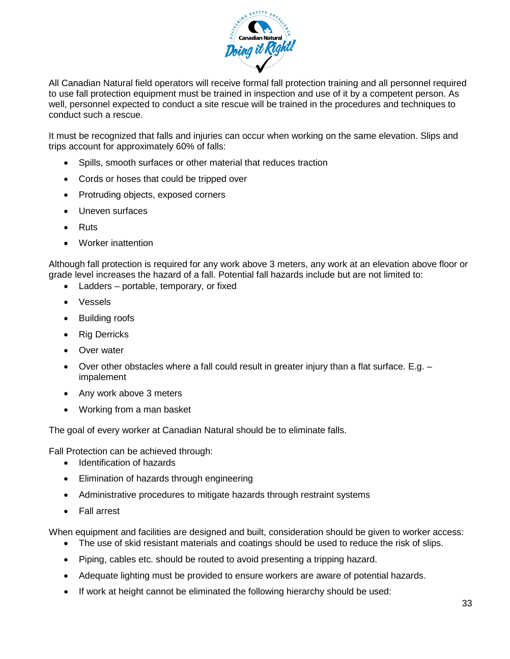

All Canadian Natural field operators will receive formal fall protection training and all personnel required to use fall protection equipment must be trained in inspection and use of it by a competent person. As well, personnel expected to conduct a site rescue will be trained in the procedures and techniques to conduct such a rescue.

It must be recognized that falls and injuries can occur when working on the same elevation. Slips and trips account for approximately 60% of falls:

- Spills, smooth surfaces or other material that reduces traction
- Cords or hoses that could be tripped over
- Protruding objects, exposed corners
- Uneven surfaces
- Ruts
- Worker inattention

Although fall protection is required for any work above 3 meters, any work at an elevation above floor or grade level increases the hazard of a fall. Potential fall hazards include but are not limited to:

- Ladders portable, temporary, or fixed
- Vessels
- Building roofs
- Rig Derricks
- Over water
- Over other obstacles where a fall could result in greater injury than a flat surface. E.g. impalement
- Any work above 3 meters
- Working from a man basket

The goal of every worker at Canadian Natural should be to eliminate falls.

Fall Protection can be achieved through:

- Identification of hazards
- Elimination of hazards through engineering
- Administrative procedures to mitigate hazards through restraint systems
- Fall arrest

When equipment and facilities are designed and built, consideration should be given to worker access:

- The use of skid resistant materials and coatings should be used to reduce the risk of slips.
- Piping, cables etc. should be routed to avoid presenting a tripping hazard.
- Adequate lighting must be provided to ensure workers are aware of potential hazards.
- If work at height cannot be eliminated the following hierarchy should be used: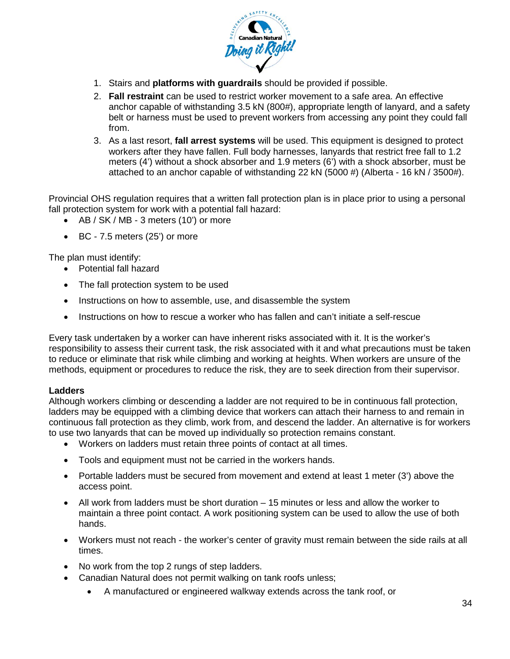

- 1. Stairs and **platforms with guardrails** should be provided if possible.
- 2. **Fall restraint** can be used to restrict worker movement to a safe area. An effective anchor capable of withstanding 3.5 kN (800#), appropriate length of lanyard, and a safety belt or harness must be used to prevent workers from accessing any point they could fall from.
- 3. As a last resort, **fall arrest systems** will be used. This equipment is designed to protect workers after they have fallen. Full body harnesses, lanyards that restrict free fall to 1.2 meters (4') without a shock absorber and 1.9 meters (6') with a shock absorber, must be attached to an anchor capable of withstanding 22 kN (5000 #) (Alberta - 16 kN / 3500#).

Provincial OHS regulation requires that a written fall protection plan is in place prior to using a personal fall protection system for work with a potential fall hazard:

- AB / SK / MB 3 meters (10') or more
- BC 7.5 meters (25') or more

The plan must identify:

- Potential fall hazard
- The fall protection system to be used
- Instructions on how to assemble, use, and disassemble the system
- Instructions on how to rescue a worker who has fallen and can't initiate a self-rescue

Every task undertaken by a worker can have inherent risks associated with it. It is the worker's responsibility to assess their current task, the risk associated with it and what precautions must be taken to reduce or eliminate that risk while climbing and working at heights. When workers are unsure of the methods, equipment or procedures to reduce the risk, they are to seek direction from their supervisor.

#### **Ladders**

Although workers climbing or descending a ladder are not required to be in continuous fall protection, ladders may be equipped with a climbing device that workers can attach their harness to and remain in continuous fall protection as they climb, work from, and descend the ladder. An alternative is for workers to use two lanyards that can be moved up individually so protection remains constant.

- Workers on ladders must retain three points of contact at all times.
- Tools and equipment must not be carried in the workers hands.
- Portable ladders must be secured from movement and extend at least 1 meter (3') above the access point.
- All work from ladders must be short duration 15 minutes or less and allow the worker to maintain a three point contact. A work positioning system can be used to allow the use of both hands.
- Workers must not reach the worker's center of gravity must remain between the side rails at all times.
- No work from the top 2 rungs of step ladders.
- Canadian Natural does not permit walking on tank roofs unless;
	- A manufactured or engineered walkway extends across the tank roof, or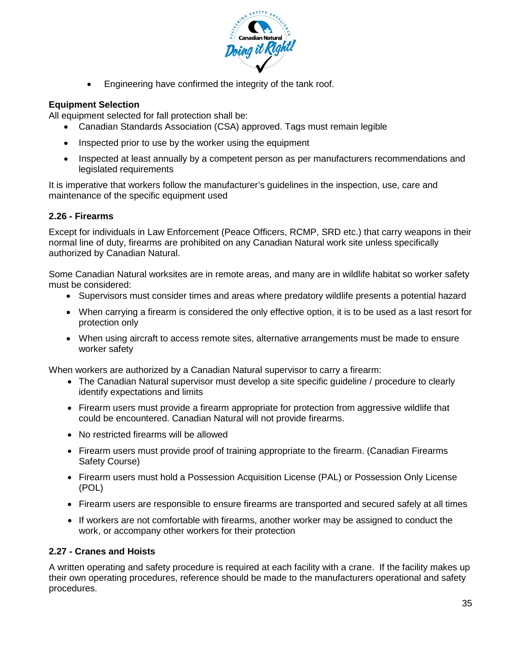

• Engineering have confirmed the integrity of the tank roof.

## **Equipment Selection**

All equipment selected for fall protection shall be:

- Canadian Standards Association (CSA) approved. Tags must remain legible
- Inspected prior to use by the worker using the equipment
- Inspected at least annually by a competent person as per manufacturers recommendations and legislated requirements

It is imperative that workers follow the manufacturer's guidelines in the inspection, use, care and maintenance of the specific equipment used

## **2.26 - Firearms**

Except for individuals in Law Enforcement (Peace Officers, RCMP, SRD etc.) that carry weapons in their normal line of duty, firearms are prohibited on any Canadian Natural work site unless specifically authorized by Canadian Natural.

Some Canadian Natural worksites are in remote areas, and many are in wildlife habitat so worker safety must be considered:

- Supervisors must consider times and areas where predatory wildlife presents a potential hazard
- When carrying a firearm is considered the only effective option, it is to be used as a last resort for protection only
- When using aircraft to access remote sites, alternative arrangements must be made to ensure worker safety

When workers are authorized by a Canadian Natural supervisor to carry a firearm:

- The Canadian Natural supervisor must develop a site specific guideline / procedure to clearly identify expectations and limits
- Firearm users must provide a firearm appropriate for protection from aggressive wildlife that could be encountered. Canadian Natural will not provide firearms.
- No restricted firearms will be allowed
- Firearm users must provide proof of training appropriate to the firearm. (Canadian Firearms Safety Course)
- Firearm users must hold a Possession Acquisition License (PAL) or Possession Only License (POL)
- Firearm users are responsible to ensure firearms are transported and secured safely at all times
- If workers are not comfortable with firearms, another worker may be assigned to conduct the work, or accompany other workers for their protection

## **2.27 - Cranes and Hoists**

A written operating and safety procedure is required at each facility with a crane. If the facility makes up their own operating procedures, reference should be made to the manufacturers operational and safety procedures.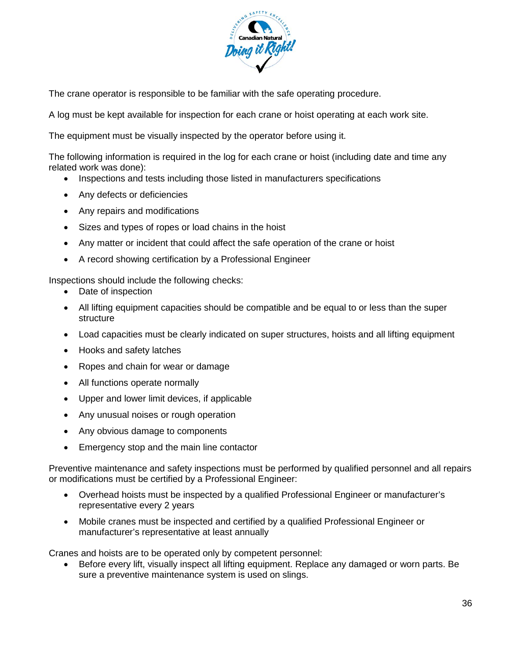

The crane operator is responsible to be familiar with the safe operating procedure.

A log must be kept available for inspection for each crane or hoist operating at each work site.

The equipment must be visually inspected by the operator before using it.

The following information is required in the log for each crane or hoist (including date and time any related work was done):

- Inspections and tests including those listed in manufacturers specifications
- Any defects or deficiencies
- Any repairs and modifications
- Sizes and types of ropes or load chains in the hoist
- Any matter or incident that could affect the safe operation of the crane or hoist
- A record showing certification by a Professional Engineer

Inspections should include the following checks:

- Date of inspection
- All lifting equipment capacities should be compatible and be equal to or less than the super structure
- Load capacities must be clearly indicated on super structures, hoists and all lifting equipment
- Hooks and safety latches
- Ropes and chain for wear or damage
- All functions operate normally
- Upper and lower limit devices, if applicable
- Any unusual noises or rough operation
- Any obvious damage to components
- Emergency stop and the main line contactor

Preventive maintenance and safety inspections must be performed by qualified personnel and all repairs or modifications must be certified by a Professional Engineer:

- Overhead hoists must be inspected by a qualified Professional Engineer or manufacturer's representative every 2 years
- Mobile cranes must be inspected and certified by a qualified Professional Engineer or manufacturer's representative at least annually

Cranes and hoists are to be operated only by competent personnel:

• Before every lift, visually inspect all lifting equipment. Replace any damaged or worn parts. Be sure a preventive maintenance system is used on slings.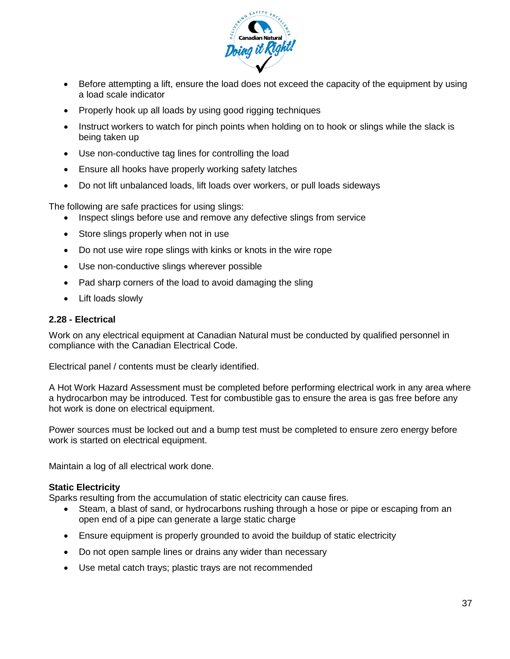

- Before attempting a lift, ensure the load does not exceed the capacity of the equipment by using a load scale indicator
- Properly hook up all loads by using good rigging techniques
- Instruct workers to watch for pinch points when holding on to hook or slings while the slack is being taken up
- Use non-conductive tag lines for controlling the load
- Ensure all hooks have properly working safety latches
- Do not lift unbalanced loads, lift loads over workers, or pull loads sideways

The following are safe practices for using slings:

- Inspect slings before use and remove any defective slings from service
- Store slings properly when not in use
- Do not use wire rope slings with kinks or knots in the wire rope
- Use non-conductive slings wherever possible
- Pad sharp corners of the load to avoid damaging the sling
- Lift loads slowly

#### **2.28 - Electrical**

Work on any electrical equipment at Canadian Natural must be conducted by qualified personnel in compliance with the Canadian Electrical Code.

Electrical panel / contents must be clearly identified.

A Hot Work Hazard Assessment must be completed before performing electrical work in any area where a hydrocarbon may be introduced. Test for combustible gas to ensure the area is gas free before any hot work is done on electrical equipment.

Power sources must be locked out and a bump test must be completed to ensure zero energy before work is started on electrical equipment.

Maintain a log of all electrical work done.

#### **Static Electricity**

Sparks resulting from the accumulation of static electricity can cause fires.

- Steam, a blast of sand, or hydrocarbons rushing through a hose or pipe or escaping from an open end of a pipe can generate a large static charge
- Ensure equipment is properly grounded to avoid the buildup of static electricity
- Do not open sample lines or drains any wider than necessary
- Use metal catch trays; plastic trays are not recommended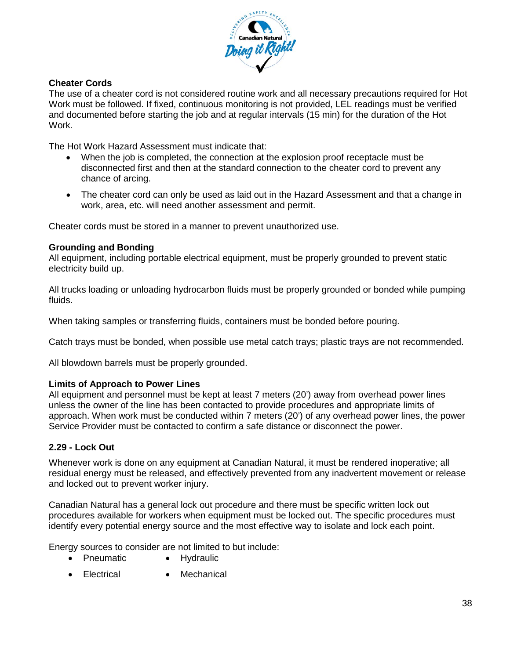

#### **Cheater Cords**

The use of a cheater cord is not considered routine work and all necessary precautions required for Hot Work must be followed. If fixed, continuous monitoring is not provided, LEL readings must be verified and documented before starting the job and at regular intervals (15 min) for the duration of the Hot Work.

The Hot Work Hazard Assessment must indicate that:

- When the job is completed, the connection at the explosion proof receptacle must be disconnected first and then at the standard connection to the cheater cord to prevent any chance of arcing.
- The cheater cord can only be used as laid out in the Hazard Assessment and that a change in work, area, etc. will need another assessment and permit.

Cheater cords must be stored in a manner to prevent unauthorized use.

#### **Grounding and Bonding**

All equipment, including portable electrical equipment, must be properly grounded to prevent static electricity build up.

All trucks loading or unloading hydrocarbon fluids must be properly grounded or bonded while pumping fluids.

When taking samples or transferring fluids, containers must be bonded before pouring.

Catch trays must be bonded, when possible use metal catch trays; plastic trays are not recommended.

All blowdown barrels must be properly grounded.

#### **Limits of Approach to Power Lines**

All equipment and personnel must be kept at least 7 meters (20') away from overhead power lines unless the owner of the line has been contacted to provide procedures and appropriate limits of approach. When work must be conducted within 7 meters (20') of any overhead power lines, the power Service Provider must be contacted to confirm a safe distance or disconnect the power.

#### **2.29 - Lock Out**

Whenever work is done on any equipment at Canadian Natural, it must be rendered inoperative; all residual energy must be released, and effectively prevented from any inadvertent movement or release and locked out to prevent worker injury.

Canadian Natural has a general lock out procedure and there must be specific written lock out procedures available for workers when equipment must be locked out. The specific procedures must identify every potential energy source and the most effective way to isolate and lock each point.

Energy sources to consider are not limited to but include:

- Pneumatic Hydraulic
- Electrical Mechanical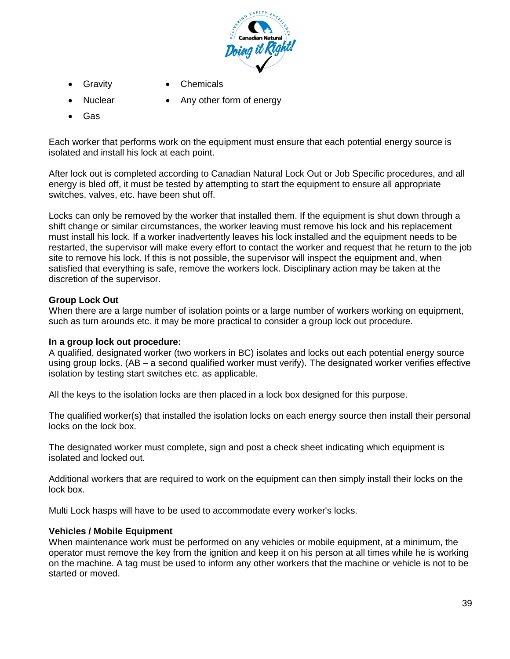

- - Gravity Chemicals
- 
- Nuclear Any other form of energy
- Gas

Each worker that performs work on the equipment must ensure that each potential energy source is isolated and install his lock at each point.

After lock out is completed according to Canadian Natural Lock Out or Job Specific procedures, and all energy is bled off, it must be tested by attempting to start the equipment to ensure all appropriate switches, valves, etc. have been shut off.

Locks can only be removed by the worker that installed them. If the equipment is shut down through a shift change or similar circumstances, the worker leaving must remove his lock and his replacement must install his lock. If a worker inadvertently leaves his lock installed and the equipment needs to be restarted, the supervisor will make every effort to contact the worker and request that he return to the job site to remove his lock. If this is not possible, the supervisor will inspect the equipment and, when satisfied that everything is safe, remove the workers lock. Disciplinary action may be taken at the discretion of the supervisor.

#### **Group Lock Out**

When there are a large number of isolation points or a large number of workers working on equipment, such as turn arounds etc. it may be more practical to consider a group lock out procedure.

#### **In a group lock out procedure:**

A qualified, designated worker (two workers in BC) isolates and locks out each potential energy source using group locks. (AB – a second qualified worker must verify). The designated worker verifies effective isolation by testing start switches etc. as applicable.

All the keys to the isolation locks are then placed in a lock box designed for this purpose.

The qualified worker(s) that installed the isolation locks on each energy source then install their personal locks on the lock box.

The designated worker must complete, sign and post a check sheet indicating which equipment is isolated and locked out.

Additional workers that are required to work on the equipment can then simply install their locks on the lock box.

Multi Lock hasps will have to be used to accommodate every worker's locks.

#### **Vehicles / Mobile Equipment**

When maintenance work must be performed on any vehicles or mobile equipment, at a minimum, the operator must remove the key from the ignition and keep it on his person at all times while he is working on the machine. A tag must be used to inform any other workers that the machine or vehicle is not to be started or moved.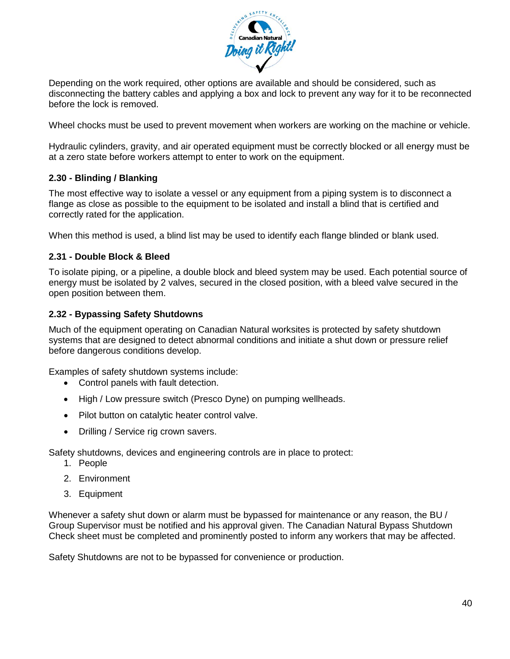

Depending on the work required, other options are available and should be considered, such as disconnecting the battery cables and applying a box and lock to prevent any way for it to be reconnected before the lock is removed.

Wheel chocks must be used to prevent movement when workers are working on the machine or vehicle.

Hydraulic cylinders, gravity, and air operated equipment must be correctly blocked or all energy must be at a zero state before workers attempt to enter to work on the equipment.

#### **2.30 - Blinding / Blanking**

The most effective way to isolate a vessel or any equipment from a piping system is to disconnect a flange as close as possible to the equipment to be isolated and install a blind that is certified and correctly rated for the application.

When this method is used, a blind list may be used to identify each flange blinded or blank used.

#### **2.31 - Double Block & Bleed**

To isolate piping, or a pipeline, a double block and bleed system may be used. Each potential source of energy must be isolated by 2 valves, secured in the closed position, with a bleed valve secured in the open position between them.

#### **2.32 - Bypassing Safety Shutdowns**

Much of the equipment operating on Canadian Natural worksites is protected by safety shutdown systems that are designed to detect abnormal conditions and initiate a shut down or pressure relief before dangerous conditions develop.

Examples of safety shutdown systems include:

- Control panels with fault detection.
- High / Low pressure switch (Presco Dyne) on pumping wellheads.
- Pilot button on catalytic heater control valve.
- Drilling / Service rig crown savers.

Safety shutdowns, devices and engineering controls are in place to protect:

- 1. People
- 2. Environment
- 3. Equipment

Whenever a safety shut down or alarm must be bypassed for maintenance or any reason, the BU / Group Supervisor must be notified and his approval given. The Canadian Natural Bypass Shutdown Check sheet must be completed and prominently posted to inform any workers that may be affected.

Safety Shutdowns are not to be bypassed for convenience or production.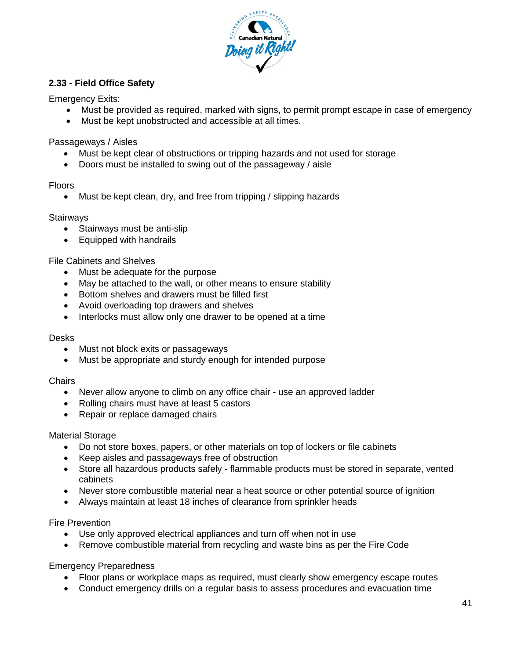

## **2.33 - Field Office Safety**

Emergency Exits:

- Must be provided as required, marked with signs, to permit prompt escape in case of emergency
- Must be kept unobstructed and accessible at all times.

Passageways / Aisles

- Must be kept clear of obstructions or tripping hazards and not used for storage
- Doors must be installed to swing out of the passageway / aisle

#### Floors

• Must be kept clean, dry, and free from tripping / slipping hazards

#### **Stairways**

- Stairways must be anti-slip
- Equipped with handrails

File Cabinets and Shelves

- Must be adequate for the purpose
- May be attached to the wall, or other means to ensure stability
- Bottom shelves and drawers must be filled first
- Avoid overloading top drawers and shelves
- Interlocks must allow only one drawer to be opened at a time

#### Desks

- Must not block exits or passageways
- Must be appropriate and sturdy enough for intended purpose

#### **Chairs**

- Never allow anyone to climb on any office chair use an approved ladder
- Rolling chairs must have at least 5 castors
- Repair or replace damaged chairs

#### Material Storage

- Do not store boxes, papers, or other materials on top of lockers or file cabinets
- Keep aisles and passageways free of obstruction
- Store all hazardous products safely flammable products must be stored in separate, vented cabinets
- Never store combustible material near a heat source or other potential source of ignition
- Always maintain at least 18 inches of clearance from sprinkler heads

#### Fire Prevention

- Use only approved electrical appliances and turn off when not in use
- Remove combustible material from recycling and waste bins as per the Fire Code

Emergency Preparedness

- Floor plans or workplace maps as required, must clearly show emergency escape routes
- Conduct emergency drills on a regular basis to assess procedures and evacuation time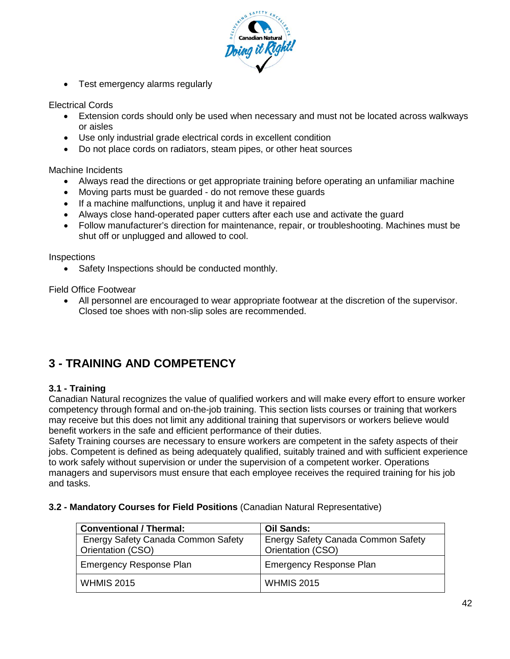

• Test emergency alarms regularly

Electrical Cords

- Extension cords should only be used when necessary and must not be located across walkways or aisles
- Use only industrial grade electrical cords in excellent condition
- Do not place cords on radiators, steam pipes, or other heat sources

Machine Incidents

- Always read the directions or get appropriate training before operating an unfamiliar machine
- Moving parts must be guarded do not remove these guards
- If a machine malfunctions, unplug it and have it repaired
- Always close hand-operated paper cutters after each use and activate the guard
- Follow manufacturer's direction for maintenance, repair, or troubleshooting. Machines must be shut off or unplugged and allowed to cool.

Inspections

• Safety Inspections should be conducted monthly.

Field Office Footwear

• All personnel are encouraged to wear appropriate footwear at the discretion of the supervisor. Closed toe shoes with non-slip soles are recommended.

## **3 - TRAINING AND COMPETENCY**

#### **3.1 - Training**

Canadian Natural recognizes the value of qualified workers and will make every effort to ensure worker competency through formal and on-the-job training. This section lists courses or training that workers may receive but this does not limit any additional training that supervisors or workers believe would benefit workers in the safe and efficient performance of their duties.

Safety Training courses are necessary to ensure workers are competent in the safety aspects of their jobs. Competent is defined as being adequately qualified, suitably trained and with sufficient experience to work safely without supervision or under the supervision of a competent worker. Operations managers and supervisors must ensure that each employee receives the required training for his job and tasks.

#### **3.2 - Mandatory Courses for Field Positions** (Canadian Natural Representative)

| <b>Conventional / Thermal:</b>                          | <b>Oil Sands:</b>                                              |
|---------------------------------------------------------|----------------------------------------------------------------|
| Energy Safety Canada Common Safety<br>Orientation (CSO) | <b>Energy Safety Canada Common Safety</b><br>Orientation (CSO) |
| <b>Emergency Response Plan</b>                          | <b>Emergency Response Plan</b>                                 |
| <b>WHMIS 2015</b>                                       | <b>WHMIS 2015</b>                                              |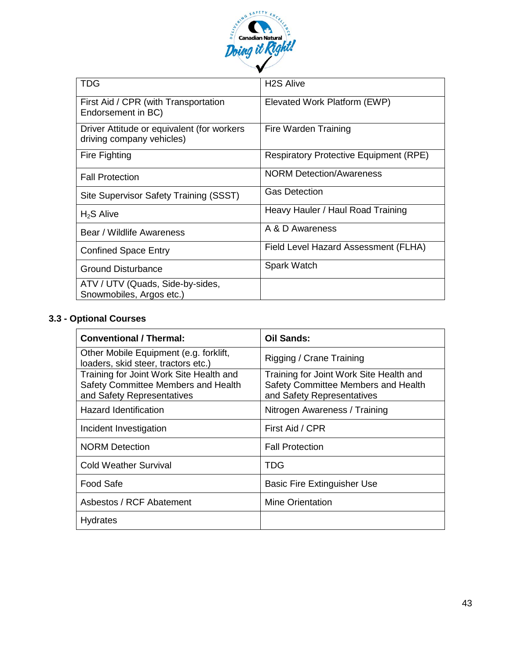

| <b>TDG</b>                                                              | <b>H2S Alive</b>                              |
|-------------------------------------------------------------------------|-----------------------------------------------|
| First Aid / CPR (with Transportation<br>Endorsement in BC)              | Elevated Work Platform (EWP)                  |
| Driver Attitude or equivalent (for workers<br>driving company vehicles) | Fire Warden Training                          |
| <b>Fire Fighting</b>                                                    | <b>Respiratory Protective Equipment (RPE)</b> |
| <b>Fall Protection</b>                                                  | <b>NORM Detection/Awareness</b>               |
| Site Supervisor Safety Training (SSST)                                  | <b>Gas Detection</b>                          |
| $H2S$ Alive                                                             | Heavy Hauler / Haul Road Training             |
| Bear / Wildlife Awareness                                               | A & D Awareness                               |
| <b>Confined Space Entry</b>                                             | Field Level Hazard Assessment (FLHA)          |
| <b>Ground Disturbance</b>                                               | Spark Watch                                   |
| ATV / UTV (Quads, Side-by-sides,<br>Snowmobiles, Argos etc.)            |                                               |

## **3.3 - Optional Courses**

| <b>Conventional / Thermal:</b>                                                                               | <b>Oil Sands:</b>                                                                                            |
|--------------------------------------------------------------------------------------------------------------|--------------------------------------------------------------------------------------------------------------|
| Other Mobile Equipment (e.g. forklift,<br>loaders, skid steer, tractors etc.)                                | Rigging / Crane Training                                                                                     |
| Training for Joint Work Site Health and<br>Safety Committee Members and Health<br>and Safety Representatives | Training for Joint Work Site Health and<br>Safety Committee Members and Health<br>and Safety Representatives |
| <b>Hazard Identification</b>                                                                                 | Nitrogen Awareness / Training                                                                                |
| Incident Investigation                                                                                       | First Aid / CPR                                                                                              |
| <b>NORM Detection</b>                                                                                        | <b>Fall Protection</b>                                                                                       |
| <b>Cold Weather Survival</b>                                                                                 | TDG                                                                                                          |
| Food Safe                                                                                                    | <b>Basic Fire Extinguisher Use</b>                                                                           |
| Asbestos / RCF Abatement                                                                                     | Mine Orientation                                                                                             |
| <b>Hydrates</b>                                                                                              |                                                                                                              |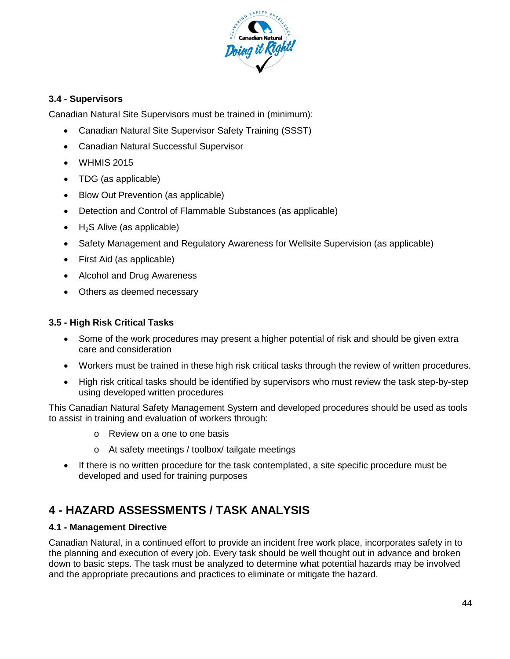

## **3.4 - Supervisors**

Canadian Natural Site Supervisors must be trained in (minimum):

- Canadian Natural Site Supervisor Safety Training (SSST)
- Canadian Natural Successful Supervisor
- WHMIS 2015
- TDG (as applicable)
- Blow Out Prevention (as applicable)
- Detection and Control of Flammable Substances (as applicable)
- $\bullet$  H<sub>2</sub>S Alive (as applicable)
- [Safety Management and Regulatory Awareness for Wellsite Supervision](http://www.pits.ca/safety_programs/safety_management_courses/sara.htm) (as applicable)
- First Aid (as applicable)
- Alcohol and Drug Awareness
- Others as deemed necessary

## **3.5 - High Risk Critical Tasks**

- Some of the work procedures may present a higher potential of risk and should be given extra care and consideration
- Workers must be trained in these high risk critical tasks through the review of written procedures.
- High risk critical tasks should be identified by supervisors who must review the task step-by-step using developed written procedures

This Canadian Natural Safety Management System and developed procedures should be used as tools to assist in training and evaluation of workers through:

- o Review on a one to one basis
- o At safety meetings / toolbox/ tailgate meetings
- If there is no written procedure for the task contemplated, a site specific procedure must be developed and used for training purposes

# **4 - HAZARD ASSESSMENTS / TASK ANALYSIS**

## **4.1 - Management Directive**

Canadian Natural, in a continued effort to provide an incident free work place, incorporates safety in to the planning and execution of every job. Every task should be well thought out in advance and broken down to basic steps. The task must be analyzed to determine what potential hazards may be involved and the appropriate precautions and practices to eliminate or mitigate the hazard.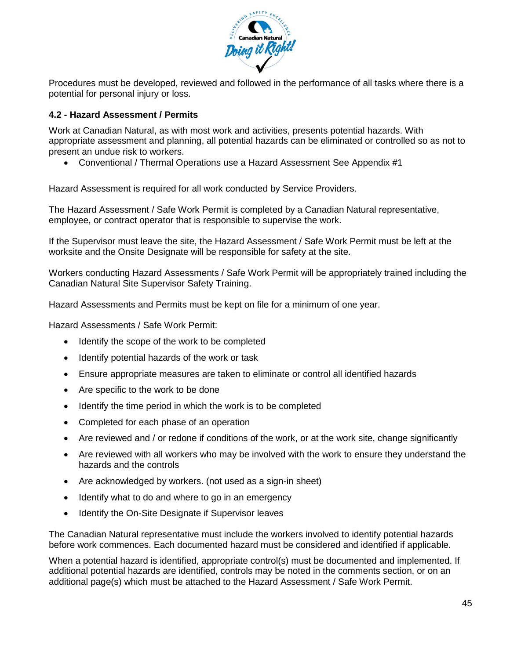

Procedures must be developed, reviewed and followed in the performance of all tasks where there is a potential for personal injury or loss.

## **4.2 - Hazard Assessment / Permits**

Work at Canadian Natural, as with most work and activities, presents potential hazards. With appropriate assessment and planning, all potential hazards can be eliminated or controlled so as not to present an undue risk to workers.

• Conventional / Thermal Operations use a Hazard Assessment See Appendix #1

Hazard Assessment is required for all work conducted by Service Providers.

The Hazard Assessment / Safe Work Permit is completed by a Canadian Natural representative, employee, or contract operator that is responsible to supervise the work.

If the Supervisor must leave the site, the Hazard Assessment / Safe Work Permit must be left at the worksite and the Onsite Designate will be responsible for safety at the site.

Workers conducting Hazard Assessments / Safe Work Permit will be appropriately trained including the Canadian Natural Site Supervisor Safety Training.

Hazard Assessments and Permits must be kept on file for a minimum of one year.

Hazard Assessments / Safe Work Permit:

- Identify the scope of the work to be completed
- Identify potential hazards of the work or task
- Ensure appropriate measures are taken to eliminate or control all identified hazards
- Are specific to the work to be done
- Identify the time period in which the work is to be completed
- Completed for each phase of an operation
- Are reviewed and / or redone if conditions of the work, or at the work site, change significantly
- Are reviewed with all workers who may be involved with the work to ensure they understand the hazards and the controls
- Are acknowledged by workers. (not used as a sign-in sheet)
- Identify what to do and where to go in an emergency
- Identify the On-Site Designate if Supervisor leaves

The Canadian Natural representative must include the workers involved to identify potential hazards before work commences. Each documented hazard must be considered and identified if applicable.

When a potential hazard is identified, appropriate control(s) must be documented and implemented. If additional potential hazards are identified, controls may be noted in the comments section, or on an additional page(s) which must be attached to the Hazard Assessment / Safe Work Permit.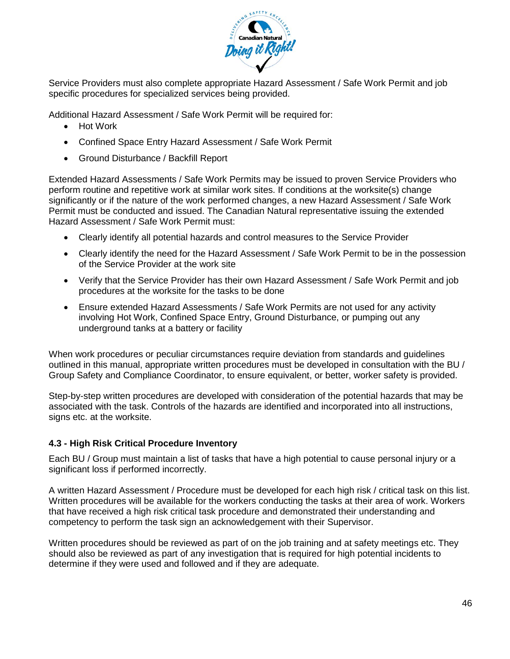

Service Providers must also complete appropriate Hazard Assessment / Safe Work Permit and job specific procedures for specialized services being provided.

Additional Hazard Assessment / Safe Work Permit will be required for:

- Hot Work
- Confined Space Entry Hazard Assessment / Safe Work Permit
- Ground Disturbance / Backfill Report

Extended Hazard Assessments / Safe Work Permits may be issued to proven Service Providers who perform routine and repetitive work at similar work sites. If conditions at the worksite(s) change significantly or if the nature of the work performed changes, a new Hazard Assessment / Safe Work Permit must be conducted and issued. The Canadian Natural representative issuing the extended Hazard Assessment / Safe Work Permit must:

- Clearly identify all potential hazards and control measures to the Service Provider
- Clearly identify the need for the Hazard Assessment / Safe Work Permit to be in the possession of the Service Provider at the work site
- Verify that the Service Provider has their own Hazard Assessment / Safe Work Permit and job procedures at the worksite for the tasks to be done
- Ensure extended Hazard Assessments / Safe Work Permits are not used for any activity involving Hot Work, Confined Space Entry, Ground Disturbance, or pumping out any underground tanks at a battery or facility

When work procedures or peculiar circumstances require deviation from standards and guidelines outlined in this manual, appropriate written procedures must be developed in consultation with the BU / Group Safety and Compliance Coordinator, to ensure equivalent, or better, worker safety is provided.

Step-by-step written procedures are developed with consideration of the potential hazards that may be associated with the task. Controls of the hazards are identified and incorporated into all instructions, signs etc. at the worksite.

## **4.3 - High Risk Critical Procedure Inventory**

Each BU / Group must maintain a list of tasks that have a high potential to cause personal injury or a significant loss if performed incorrectly.

A written Hazard Assessment / Procedure must be developed for each high risk / critical task on this list. Written procedures will be available for the workers conducting the tasks at their area of work. Workers that have received a high risk critical task procedure and demonstrated their understanding and competency to perform the task sign an acknowledgement with their Supervisor.

Written procedures should be reviewed as part of on the job training and at safety meetings etc. They should also be reviewed as part of any investigation that is required for high potential incidents to determine if they were used and followed and if they are adequate.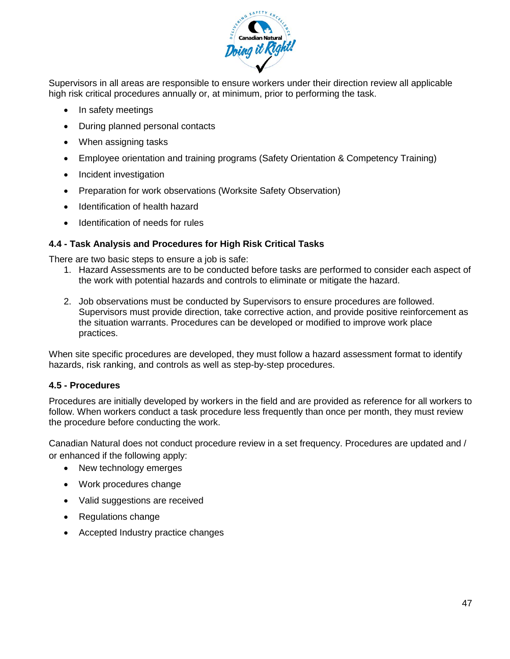

Supervisors in all areas are responsible to ensure workers under their direction review all applicable high risk critical procedures annually or, at minimum, prior to performing the task.

- In safety meetings
- During planned personal contacts
- When assigning tasks
- Employee orientation and training programs (Safety Orientation & Competency Training)
- Incident investigation
- Preparation for work observations (Worksite Safety Observation)
- Identification of health hazard
- Identification of needs for rules

## **4.4 - Task Analysis and Procedures for High Risk Critical Tasks**

There are two basic steps to ensure a job is safe:

- 1. Hazard Assessments are to be conducted before tasks are performed to consider each aspect of the work with potential hazards and controls to eliminate or mitigate the hazard.
- 2. Job observations must be conducted by Supervisors to ensure procedures are followed. Supervisors must provide direction, take corrective action, and provide positive reinforcement as the situation warrants. Procedures can be developed or modified to improve work place practices.

When site specific procedures are developed, they must follow a hazard assessment format to identify hazards, risk ranking, and controls as well as step-by-step procedures.

#### **4.5 - Procedures**

Procedures are initially developed by workers in the field and are provided as reference for all workers to follow. When workers conduct a task procedure less frequently than once per month, they must review the procedure before conducting the work.

Canadian Natural does not conduct procedure review in a set frequency. Procedures are updated and / or enhanced if the following apply:

- New technology emerges
- Work procedures change
- Valid suggestions are received
- Regulations change
- Accepted Industry practice changes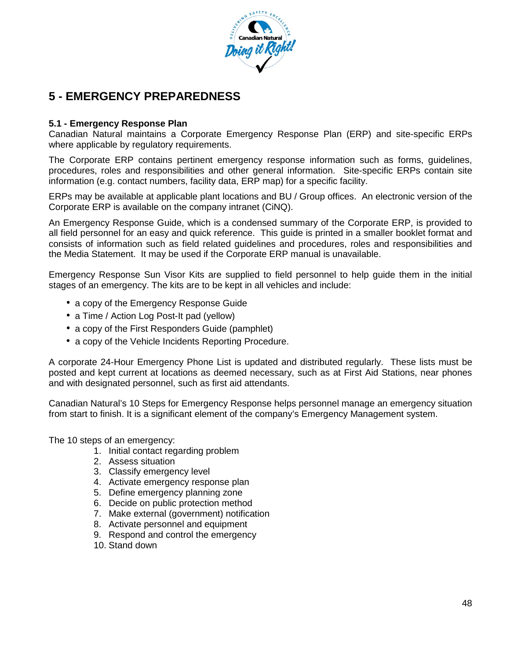

## **5 - EMERGENCY PREPAREDNESS**

## **5.1 - Emergency Response Plan**

Canadian Natural maintains a Corporate Emergency Response Plan (ERP) and site-specific ERPs where applicable by regulatory requirements.

The Corporate ERP contains pertinent emergency response information such as forms, guidelines, procedures, roles and responsibilities and other general information. Site-specific ERPs contain site information (e.g. contact numbers, facility data, ERP map) for a specific facility.

ERPs may be available at applicable plant locations and BU / Group offices. An electronic version of the Corporate ERP is available on the company intranet (CiNQ).

An Emergency Response Guide, which is a condensed summary of the Corporate ERP, is provided to all field personnel for an easy and quick reference. This guide is printed in a smaller booklet format and consists of information such as field related guidelines and procedures, roles and responsibilities and the Media Statement. It may be used if the Corporate ERP manual is unavailable.

Emergency Response Sun Visor Kits are supplied to field personnel to help guide them in the initial stages of an emergency. The kits are to be kept in all vehicles and include:

- a copy of the Emergency Response Guide
- a Time / Action Log Post-It pad (yellow)
- a copy of the First Responders Guide (pamphlet)
- a copy of the Vehicle Incidents Reporting Procedure.

A corporate 24-Hour Emergency Phone List is updated and distributed regularly. These lists must be posted and kept current at locations as deemed necessary, such as at First Aid Stations, near phones and with designated personnel, such as first aid attendants.

Canadian Natural's 10 Steps for Emergency Response helps personnel manage an emergency situation from start to finish. It is a significant element of the company's Emergency Management system.

The 10 steps of an emergency:

- 1. Initial contact regarding problem
- 2. Assess situation
- 3. Classify emergency level
- 4. Activate emergency response plan
- 5. Define emergency planning zone
- 6. Decide on public protection method
- 7. Make external (government) notification
- 8. Activate personnel and equipment
- 9. Respond and control the emergency
- 10. Stand down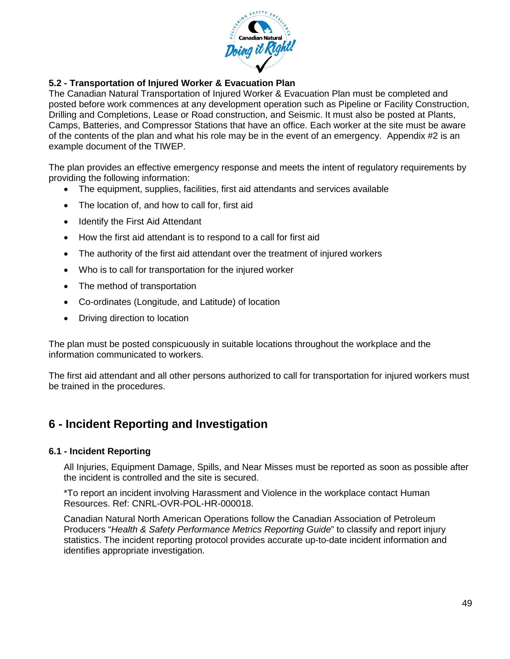

## **5.2 - Transportation of Injured Worker & Evacuation Plan**

The Canadian Natural Transportation of Injured Worker & Evacuation Plan must be completed and posted before work commences at any development operation such as Pipeline or Facility Construction, Drilling and Completions, Lease or Road construction, and Seismic. It must also be posted at Plants, Camps, Batteries, and Compressor Stations that have an office. Each worker at the site must be aware of the contents of the plan and what his role may be in the event of an emergency. Appendix #2 is an example document of the TIWEP.

The plan provides an effective emergency response and meets the intent of regulatory requirements by providing the following information:

- The equipment, supplies, facilities, first aid attendants and services available
- The location of, and how to call for, first aid
- Identify the First Aid Attendant
- How the first aid attendant is to respond to a call for first aid
- The authority of the first aid attendant over the treatment of injured workers
- Who is to call for transportation for the injured worker
- The method of transportation
- Co-ordinates (Longitude, and Latitude) of location
- Driving direction to location

The plan must be posted conspicuously in suitable locations throughout the workplace and the information communicated to workers.

The first aid attendant and all other persons authorized to call for transportation for injured workers must be trained in the procedures.

## **6 - Incident Reporting and Investigation**

#### **6.1 - Incident Reporting**

All Injuries, Equipment Damage, Spills, and Near Misses must be reported as soon as possible after the incident is controlled and the site is secured.

\*To report an incident involving Harassment and Violence in the workplace contact Human Resources. Ref: CNRL-OVR-POL-HR-000018.

Canadian Natural North American Operations follow the Canadian Association of Petroleum Producers "*Health & Safety Performance Metrics Reporting Guide*" to classify and report injury statistics. The incident reporting protocol provides accurate up-to-date incident information and identifies appropriate investigation.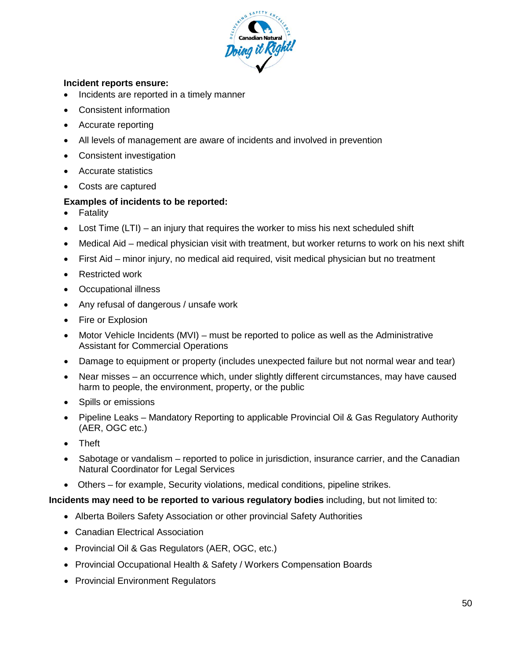

#### **Incident reports ensure:**

- Incidents are reported in a timely manner
- Consistent information
- Accurate reporting
- All levels of management are aware of incidents and involved in prevention
- Consistent investigation
- Accurate statistics
- Costs are captured

#### **Examples of incidents to be reported:**

- Fatality
- Lost Time (LTI) an injury that requires the worker to miss his next scheduled shift
- Medical Aid medical physician visit with treatment, but worker returns to work on his next shift
- First Aid minor injury, no medical aid required, visit medical physician but no treatment
- Restricted work
- Occupational illness
- Any refusal of dangerous / unsafe work
- Fire or Explosion
- Motor Vehicle Incidents (MVI) must be reported to police as well as the Administrative Assistant for Commercial Operations
- Damage to equipment or property (includes unexpected failure but not normal wear and tear)
- Near misses an occurrence which, under slightly different circumstances, may have caused harm to people, the environment, property, or the public
- Spills or emissions
- Pipeline Leaks Mandatory Reporting to applicable Provincial Oil & Gas Regulatory Authority (AER, OGC etc.)
- Theft
- Sabotage or vandalism reported to police in jurisdiction, insurance carrier, and the Canadian Natural Coordinator for Legal Services
- Others for example, Security violations, medical conditions, pipeline strikes.

#### **Incidents may need to be reported to various regulatory bodies** including, but not limited to:

- Alberta Boilers Safety Association or other provincial Safety Authorities
- Canadian Electrical Association
- Provincial Oil & Gas Regulators (AER, OGC, etc.)
- Provincial Occupational Health & Safety / Workers Compensation Boards
- Provincial Environment Regulators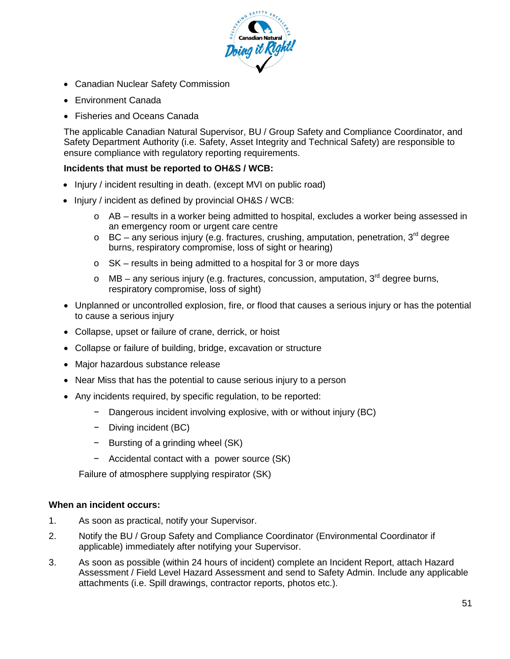

- Canadian Nuclear Safety Commission
- Environment Canada
- Fisheries and Oceans Canada

The applicable Canadian Natural Supervisor, BU / Group Safety and Compliance Coordinator, and Safety Department Authority (i.e. Safety, Asset Integrity and Technical Safety) are responsible to ensure compliance with regulatory reporting requirements.

#### **Incidents that must be reported to OH&S / WCB:**

- Injury / incident resulting in death. (except MVI on public road)
- Injury / incident as defined by provincial OH&S / WCB:
	- $\circ$  AB results in a worker being admitted to hospital, excludes a worker being assessed in an emergency room or urgent care centre
	- $\circ$  BC any serious injury (e.g. fractures, crushing, amputation, penetration, 3<sup>rd</sup> degree burns, respiratory compromise, loss of sight or hearing)
	- o SK results in being admitted to a hospital for 3 or more days
	- o MB any serious injury (e.g. fractures, concussion, amputation,  $3<sup>rd</sup>$  degree burns, respiratory compromise, loss of sight)
- Unplanned or uncontrolled explosion, fire, or flood that causes a serious injury or has the potential to cause a serious injury
- Collapse, upset or failure of crane, derrick, or hoist
- Collapse or failure of building, bridge, excavation or structure
- Major hazardous substance release
- Near Miss that has the potential to cause serious injury to a person
- Any incidents required, by specific regulation, to be reported:
	- − Dangerous incident involving explosive, with or without injury (BC)
	- − Diving incident (BC)
	- − Bursting of a grinding wheel (SK)
	- − Accidental contact with a power source (SK)

Failure of atmosphere supplying respirator (SK)

#### **When an incident occurs:**

- 1. As soon as practical, notify your Supervisor.
- 2. Notify the BU / Group Safety and Compliance Coordinator (Environmental Coordinator if applicable) immediately after notifying your Supervisor.
- 3. As soon as possible (within 24 hours of incident) complete an Incident Report, attach Hazard Assessment / Field Level Hazard Assessment and send to Safety Admin. Include any applicable attachments (i.e. Spill drawings, contractor reports, photos etc.).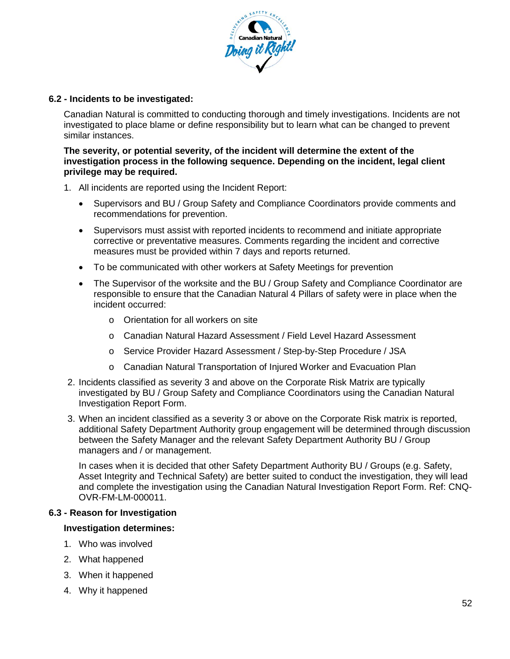

#### **6.2 - Incidents to be investigated:**

Canadian Natural is committed to conducting thorough and timely investigations. Incidents are not investigated to place blame or define responsibility but to learn what can be changed to prevent similar instances.

#### **The severity, or potential severity, of the incident will determine the extent of the investigation process in the following sequence. Depending on the incident, legal client privilege may be required.**

- 1. All incidents are reported using the Incident Report:
	- Supervisors and BU / Group Safety and Compliance Coordinators provide comments and recommendations for prevention.
	- Supervisors must assist with reported incidents to recommend and initiate appropriate corrective or preventative measures. Comments regarding the incident and corrective measures must be provided within 7 days and reports returned.
	- To be communicated with other workers at Safety Meetings for prevention
	- The Supervisor of the worksite and the BU / Group Safety and Compliance Coordinator are responsible to ensure that the Canadian Natural 4 Pillars of safety were in place when the incident occurred:
		- o Orientation for all workers on site
		- o Canadian Natural Hazard Assessment / Field Level Hazard Assessment
		- o Service Provider Hazard Assessment / Step-by-Step Procedure / JSA
		- o Canadian Natural Transportation of Injured Worker and Evacuation Plan
- 2. Incidents classified as severity 3 and above on the Corporate Risk Matrix are typically investigated by BU / Group Safety and Compliance Coordinators using the Canadian Natural Investigation Report Form.
- 3. When an incident classified as a severity 3 or above on the Corporate Risk matrix is reported, additional Safety Department Authority group engagement will be determined through discussion between the Safety Manager and the relevant Safety Department Authority BU / Group managers and / or management.

In cases when it is decided that other Safety Department Authority BU / Groups (e.g. Safety, Asset Integrity and Technical Safety) are better suited to conduct the investigation, they will lead and complete the investigation using the Canadian Natural Investigation Report Form. Ref: CNQ-OVR-FM-LM-000011.

#### **6.3 - Reason for Investigation**

#### **Investigation determines:**

- 1. Who was involved
- 2. What happened
- 3. When it happened
- 4. Why it happened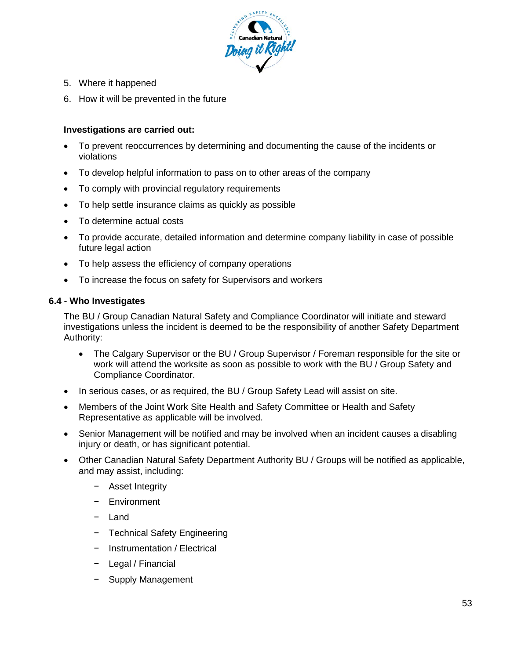

- 5. Where it happened
- 6. How it will be prevented in the future

## **Investigations are carried out:**

- To prevent reoccurrences by determining and documenting the cause of the incidents or violations
- To develop helpful information to pass on to other areas of the company
- To comply with provincial regulatory requirements
- To help settle insurance claims as quickly as possible
- To determine actual costs
- To provide accurate, detailed information and determine company liability in case of possible future legal action
- To help assess the efficiency of company operations
- To increase the focus on safety for Supervisors and workers

#### **6.4 - Who Investigates**

The BU / Group Canadian Natural Safety and Compliance Coordinator will initiate and steward investigations unless the incident is deemed to be the responsibility of another Safety Department Authority:

- The Calgary Supervisor or the BU / Group Supervisor / Foreman responsible for the site or work will attend the worksite as soon as possible to work with the BU / Group Safety and Compliance Coordinator.
- In serious cases, or as required, the BU / Group Safety Lead will assist on site.
- Members of the Joint Work Site Health and Safety Committee or Health and Safety Representative as applicable will be involved.
- Senior Management will be notified and may be involved when an incident causes a disabling injury or death, or has significant potential.
- Other Canadian Natural Safety Department Authority BU / Groups will be notified as applicable, and may assist, including:
	- − Asset Integrity
	- − Environment
	- − Land
	- − Technical Safety Engineering
	- − Instrumentation / Electrical
	- − Legal / Financial
	- − Supply Management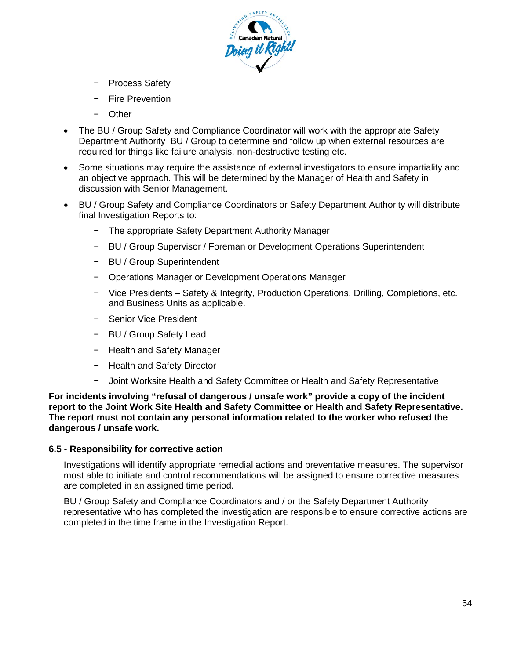

- − Process Safety
- Fire Prevention
- Other
- The BU / Group Safety and Compliance Coordinator will work with the appropriate Safety Department Authority BU / Group to determine and follow up when external resources are required for things like failure analysis, non-destructive testing etc.
- Some situations may require the assistance of external investigators to ensure impartiality and an objective approach. This will be determined by the Manager of Health and Safety in discussion with Senior Management.
- BU / Group Safety and Compliance Coordinators or Safety Department Authority will distribute final Investigation Reports to:
	- − The appropriate Safety Department Authority Manager
	- − BU / Group Supervisor / Foreman or Development Operations Superintendent
	- − BU / Group Superintendent
	- − Operations Manager or Development Operations Manager
	- − Vice Presidents Safety & Integrity, Production Operations, Drilling, Completions, etc. and Business Units as applicable.
	- − Senior Vice President
	- − BU / Group Safety Lead
	- − Health and Safety Manager
	- − Health and Safety Director
	- − Joint Worksite Health and Safety Committee or Health and Safety Representative

**For incidents involving "refusal of dangerous / unsafe work" provide a copy of the incident report to the Joint Work Site Health and Safety Committee or Health and Safety Representative. The report must not contain any personal information related to the worker who refused the dangerous / unsafe work.**

#### **6.5 - Responsibility for corrective action**

Investigations will identify appropriate remedial actions and preventative measures. The supervisor most able to initiate and control recommendations will be assigned to ensure corrective measures are completed in an assigned time period.

BU / Group Safety and Compliance Coordinators and / or the Safety Department Authority representative who has completed the investigation are responsible to ensure corrective actions are completed in the time frame in the Investigation Report.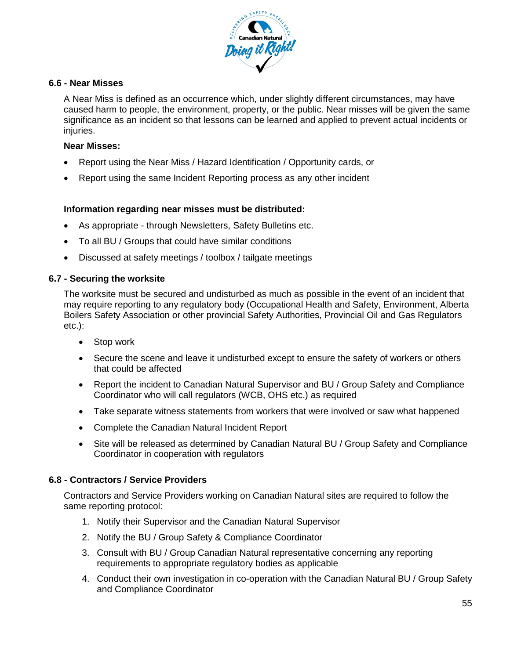

#### **6.6 - Near Misses**

A Near Miss is defined as an occurrence which, under slightly different circumstances, may have caused harm to people, the environment, property, or the public. Near misses will be given the same significance as an incident so that lessons can be learned and applied to prevent actual incidents or injuries.

#### **Near Misses:**

- Report using the Near Miss / Hazard Identification / Opportunity cards, or
- Report using the same Incident Reporting process as any other incident

#### **Information regarding near misses must be distributed:**

- As appropriate through Newsletters, Safety Bulletins etc.
- To all BU / Groups that could have similar conditions
- Discussed at safety meetings / toolbox / tailgate meetings

#### **6.7 - Securing the worksite**

The worksite must be secured and undisturbed as much as possible in the event of an incident that may require reporting to any regulatory body (Occupational Health and Safety, Environment, Alberta Boilers Safety Association or other provincial Safety Authorities, Provincial Oil and Gas Regulators etc.):

- Stop work
- Secure the scene and leave it undisturbed except to ensure the safety of workers or others that could be affected
- Report the incident to Canadian Natural Supervisor and BU / Group Safety and Compliance Coordinator who will call regulators (WCB, OHS etc.) as required
- Take separate witness statements from workers that were involved or saw what happened
- Complete the Canadian Natural Incident Report
- Site will be released as determined by Canadian Natural BU / Group Safety and Compliance Coordinator in cooperation with regulators

#### **6.8 - Contractors / Service Providers**

Contractors and Service Providers working on Canadian Natural sites are required to follow the same reporting protocol:

- 1. Notify their Supervisor and the Canadian Natural Supervisor
- 2. Notify the BU / Group Safety & Compliance Coordinator
- 3. Consult with BU / Group Canadian Natural representative concerning any reporting requirements to appropriate regulatory bodies as applicable
- 4. Conduct their own investigation in co-operation with the Canadian Natural BU / Group Safety and Compliance Coordinator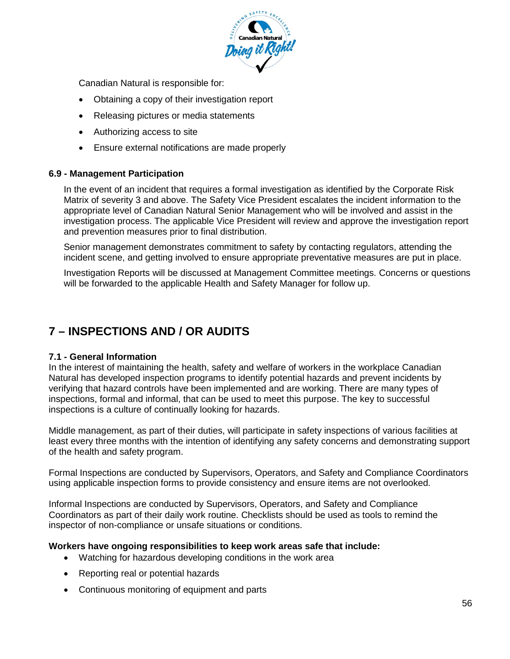

Canadian Natural is responsible for:

- Obtaining a copy of their investigation report
- Releasing pictures or media statements
- Authorizing access to site
- Ensure external notifications are made properly

#### **6.9 - Management Participation**

In the event of an incident that requires a formal investigation as identified by the Corporate Risk Matrix of severity 3 and above. The Safety Vice President escalates the incident information to the appropriate level of Canadian Natural Senior Management who will be involved and assist in the investigation process. The applicable Vice President will review and approve the investigation report and prevention measures prior to final distribution.

Senior management demonstrates commitment to safety by contacting regulators, attending the incident scene, and getting involved to ensure appropriate preventative measures are put in place.

Investigation Reports will be discussed at Management Committee meetings. Concerns or questions will be forwarded to the applicable Health and Safety Manager for follow up.

## **7 – INSPECTIONS AND / OR AUDITS**

#### **7.1 - General Information**

In the interest of maintaining the health, safety and welfare of workers in the workplace Canadian Natural has developed inspection programs to identify potential hazards and prevent incidents by verifying that hazard controls have been implemented and are working. There are many types of inspections, formal and informal, that can be used to meet this purpose. The key to successful inspections is a culture of continually looking for hazards.

Middle management, as part of their duties, will participate in safety inspections of various facilities at least every three months with the intention of identifying any safety concerns and demonstrating support of the health and safety program.

Formal Inspections are conducted by Supervisors, Operators, and Safety and Compliance Coordinators using applicable inspection forms to provide consistency and ensure items are not overlooked.

Informal Inspections are conducted by Supervisors, Operators, and Safety and Compliance Coordinators as part of their daily work routine. Checklists should be used as tools to remind the inspector of non-compliance or unsafe situations or conditions.

#### **Workers have ongoing responsibilities to keep work areas safe that include:**

- Watching for hazardous developing conditions in the work area
- Reporting real or potential hazards
- Continuous monitoring of equipment and parts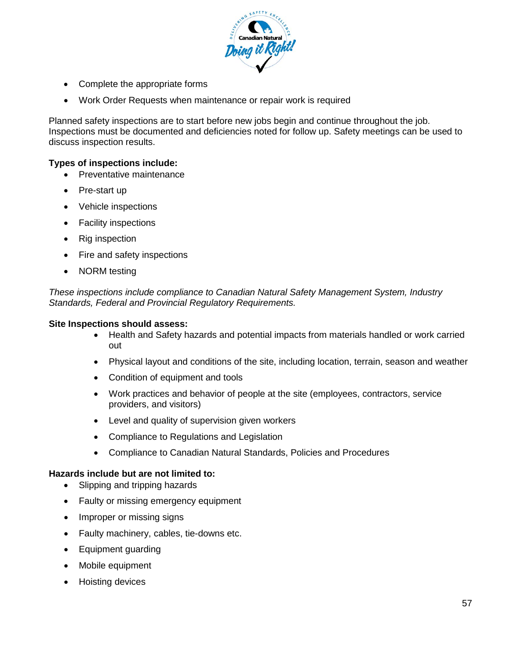

- Complete the appropriate forms
- Work Order Requests when maintenance or repair work is required

Planned safety inspections are to start before new jobs begin and continue throughout the job. Inspections must be documented and deficiencies noted for follow up. Safety meetings can be used to discuss inspection results.

#### **Types of inspections include:**

- Preventative maintenance
- Pre-start up
- Vehicle inspections
- Facility inspections
- Rig inspection
- Fire and safety inspections
- NORM testing

*These inspections include compliance to Canadian Natural Safety Management System, Industry Standards, Federal and Provincial Regulatory Requirements.*

#### **Site Inspections should assess:**

- Health and Safety hazards and potential impacts from materials handled or work carried out
- Physical layout and conditions of the site, including location, terrain, season and weather
- Condition of equipment and tools
- Work practices and behavior of people at the site (employees, contractors, service providers, and visitors)
- Level and quality of supervision given workers
- Compliance to Regulations and Legislation
- Compliance to Canadian Natural Standards, Policies and Procedures

#### **Hazards include but are not limited to:**

- Slipping and tripping hazards
- Faulty or missing emergency equipment
- Improper or missing signs
- Faulty machinery, cables, tie-downs etc.
- Equipment guarding
- Mobile equipment
- Hoisting devices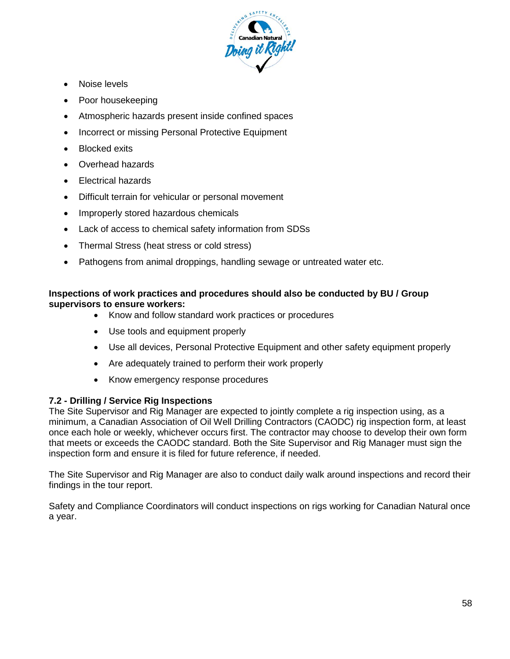

- Noise levels
- Poor housekeeping
- Atmospheric hazards present inside confined spaces
- Incorrect or missing Personal Protective Equipment
- Blocked exits
- Overhead hazards
- Electrical hazards
- Difficult terrain for vehicular or personal movement
- Improperly stored hazardous chemicals
- Lack of access to chemical safety information from SDSs
- Thermal Stress (heat stress or cold stress)
- Pathogens from animal droppings, handling sewage or untreated water etc.

## **Inspections of work practices and procedures should also be conducted by BU / Group supervisors to ensure workers:**

- Know and follow standard work practices or procedures
- Use tools and equipment properly
- Use all devices, Personal Protective Equipment and other safety equipment properly
- Are adequately trained to perform their work properly
- Know emergency response procedures

## **7.2 - Drilling / Service Rig Inspections**

The Site Supervisor and Rig Manager are expected to jointly complete a rig inspection using, as a minimum, a Canadian Association of Oil Well Drilling Contractors (CAODC) rig inspection form, at least once each hole or weekly, whichever occurs first. The contractor may choose to develop their own form that meets or exceeds the CAODC standard. Both the Site Supervisor and Rig Manager must sign the inspection form and ensure it is filed for future reference, if needed.

The Site Supervisor and Rig Manager are also to conduct daily walk around inspections and record their findings in the tour report.

Safety and Compliance Coordinators will conduct inspections on rigs working for Canadian Natural once a year.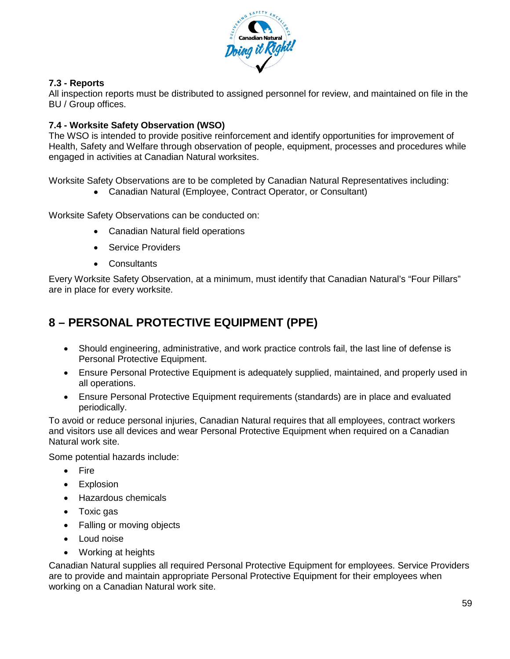

## **7.3 - Reports**

All inspection reports must be distributed to assigned personnel for review, and maintained on file in the BU / Group offices.

## **7.4 - Worksite Safety Observation (WSO)**

The WSO is intended to provide positive reinforcement and identify opportunities for improvement of Health, Safety and Welfare through observation of people, equipment, processes and procedures while engaged in activities at Canadian Natural worksites.

Worksite Safety Observations are to be completed by Canadian Natural Representatives including:

• Canadian Natural (Employee, Contract Operator, or Consultant)

Worksite Safety Observations can be conducted on:

- Canadian Natural field operations
- Service Providers
- Consultants

Every Worksite Safety Observation, at a minimum, must identify that Canadian Natural's "Four Pillars" are in place for every worksite.

# **8 – PERSONAL PROTECTIVE EQUIPMENT (PPE)**

- Should engineering, administrative, and work practice controls fail, the last line of defense is Personal Protective Equipment.
- Ensure Personal Protective Equipment is adequately supplied, maintained, and properly used in all operations.
- Ensure Personal Protective Equipment requirements (standards) are in place and evaluated periodically.

To avoid or reduce personal injuries, Canadian Natural requires that all employees, contract workers and visitors use all devices and wear Personal Protective Equipment when required on a Canadian Natural work site.

Some potential hazards include:

- Fire
- Explosion
- Hazardous chemicals
- Toxic gas
- Falling or moving objects
- Loud noise
- Working at heights

Canadian Natural supplies all required Personal Protective Equipment for employees. Service Providers are to provide and maintain appropriate Personal Protective Equipment for their employees when working on a Canadian Natural work site.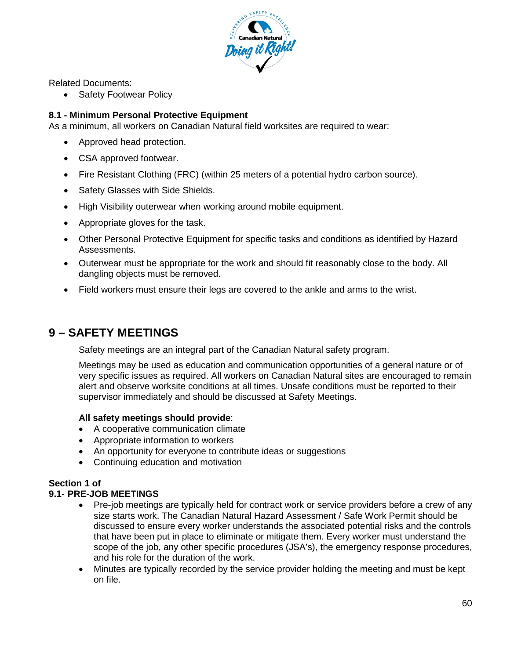

Related Documents:

• Safety Footwear Policy

## **8.1 - Minimum Personal Protective Equipment**

As a minimum, all workers on Canadian Natural field worksites are required to wear:

- Approved head protection.
- CSA approved footwear.
- Fire Resistant Clothing (FRC) (within 25 meters of a potential hydro carbon source).
- Safety Glasses with Side Shields.
- High Visibility outerwear when working around mobile equipment.
- Appropriate gloves for the task.
- Other Personal Protective Equipment for specific tasks and conditions as identified by Hazard Assessments.
- Outerwear must be appropriate for the work and should fit reasonably close to the body. All dangling objects must be removed.
- Field workers must ensure their legs are covered to the ankle and arms to the wrist.

## **9 – SAFETY MEETINGS**

Safety meetings are an integral part of the Canadian Natural safety program.

Meetings may be used as education and communication opportunities of a general nature or of very specific issues as required. All workers on Canadian Natural sites are encouraged to remain alert and observe worksite conditions at all times. Unsafe conditions must be reported to their supervisor immediately and should be discussed at Safety Meetings.

#### **All safety meetings should provide**:

- A cooperative communication climate
- Appropriate information to workers
- An opportunity for everyone to contribute ideas or suggestions
- Continuing education and motivation

## **Section 1 of**

#### **9.1- PRE-JOB MEETINGS**

- Pre-job meetings are typically held for contract work or service providers before a crew of any size starts work. The Canadian Natural Hazard Assessment / Safe Work Permit should be discussed to ensure every worker understands the associated potential risks and the controls that have been put in place to eliminate or mitigate them. Every worker must understand the scope of the job, any other specific procedures (JSA's), the emergency response procedures, and his role for the duration of the work.
- Minutes are typically recorded by the service provider holding the meeting and must be kept on file.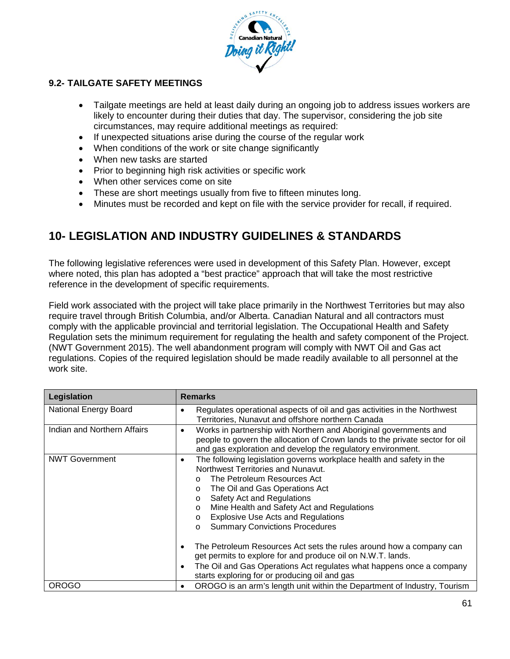

## **9.2- TAILGATE SAFETY MEETINGS**

- Tailgate meetings are held at least daily during an ongoing job to address issues workers are likely to encounter during their duties that day. The supervisor, considering the job site circumstances, may require additional meetings as required:
- If unexpected situations arise during the course of the regular work
- When conditions of the work or site change significantly
- When new tasks are started
- Prior to beginning high risk activities or specific work
- When other services come on site
- These are short meetings usually from five to fifteen minutes long.
- Minutes must be recorded and kept on file with the service provider for recall, if required.

## **10- LEGISLATION AND INDUSTRY GUIDELINES & STANDARDS**

The following legislative references were used in development of this Safety Plan. However, except where noted, this plan has adopted a "best practice" approach that will take the most restrictive reference in the development of specific requirements.

Field work associated with the project will take place primarily in the Northwest Territories but may also require travel through British Columbia, and/or Alberta. Canadian Natural and all contractors must comply with the applicable provincial and territorial legislation. The Occupational Health and Safety Regulation sets the minimum requirement for regulating the health and safety component of the Project. (NWT Government 2015). The well abandonment program will comply with NWT Oil and Gas act regulations. Copies of the required legislation should be made readily available to all personnel at the work site.

| Legislation                  | <b>Remarks</b>                                                                                                                                                                                                                                                                                                                                                                                                                                                                                                                                                                                                                                                                                    |
|------------------------------|---------------------------------------------------------------------------------------------------------------------------------------------------------------------------------------------------------------------------------------------------------------------------------------------------------------------------------------------------------------------------------------------------------------------------------------------------------------------------------------------------------------------------------------------------------------------------------------------------------------------------------------------------------------------------------------------------|
| <b>National Energy Board</b> | Regulates operational aspects of oil and gas activities in the Northwest<br>Territories, Nunavut and offshore northern Canada                                                                                                                                                                                                                                                                                                                                                                                                                                                                                                                                                                     |
| Indian and Northern Affairs  | Works in partnership with Northern and Aboriginal governments and<br>٠<br>people to govern the allocation of Crown lands to the private sector for oil<br>and gas exploration and develop the regulatory environment.                                                                                                                                                                                                                                                                                                                                                                                                                                                                             |
| <b>NWT Government</b>        | The following legislation governs workplace health and safety in the<br>٠<br>Northwest Territories and Nunavut.<br>The Petroleum Resources Act<br>$\cap$<br>The Oil and Gas Operations Act<br>$\Omega$<br>Safety Act and Regulations<br>$\circ$<br>Mine Health and Safety Act and Regulations<br>$\circ$<br><b>Explosive Use Acts and Regulations</b><br>$\Omega$<br><b>Summary Convictions Procedures</b><br>$\circ$<br>The Petroleum Resources Act sets the rules around how a company can<br>get permits to explore for and produce oil on N.W.T. lands.<br>The Oil and Gas Operations Act regulates what happens once a company<br>$\bullet$<br>starts exploring for or producing oil and gas |
| OROGO                        | OROGO is an arm's length unit within the Department of Industry, Tourism                                                                                                                                                                                                                                                                                                                                                                                                                                                                                                                                                                                                                          |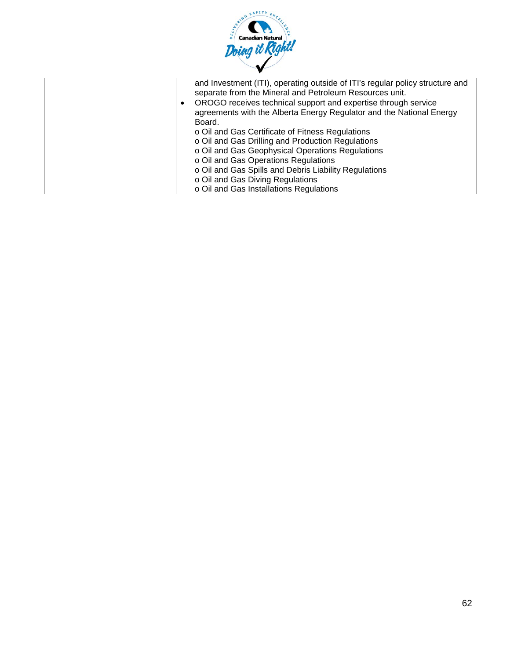

| and Investment (ITI), operating outside of ITI's regular policy structure and<br>separate from the Mineral and Petroleum Resources unit.<br>OROGO receives technical support and expertise through service<br>$\bullet$<br>agreements with the Alberta Energy Regulator and the National Energy<br>Board. |
|-----------------------------------------------------------------------------------------------------------------------------------------------------------------------------------------------------------------------------------------------------------------------------------------------------------|
| o Oil and Gas Certificate of Fitness Regulations                                                                                                                                                                                                                                                          |
| o Oil and Gas Drilling and Production Regulations                                                                                                                                                                                                                                                         |
| o Oil and Gas Geophysical Operations Regulations                                                                                                                                                                                                                                                          |
| o Oil and Gas Operations Regulations                                                                                                                                                                                                                                                                      |
| o Oil and Gas Spills and Debris Liability Regulations                                                                                                                                                                                                                                                     |
| o Oil and Gas Diving Regulations                                                                                                                                                                                                                                                                          |
| o Oil and Gas Installations Regulations                                                                                                                                                                                                                                                                   |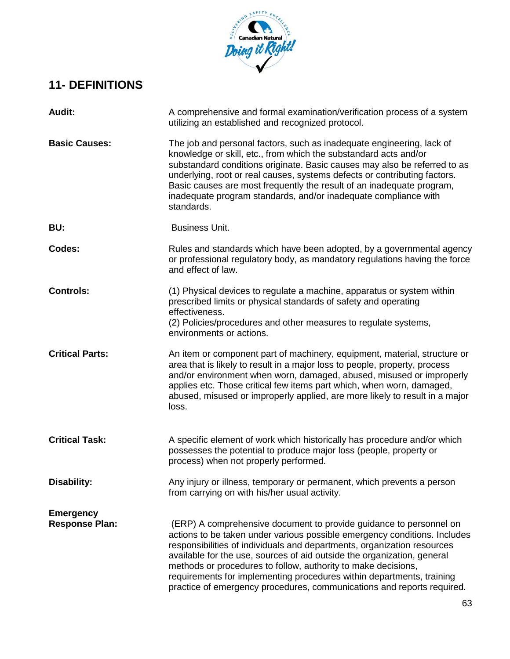

# **11- DEFINITIONS**

| <b>Audit:</b>                             | A comprehensive and formal examination/verification process of a system<br>utilizing an established and recognized protocol.                                                                                                                                                                                                                                                                                                                                                                                              |
|-------------------------------------------|---------------------------------------------------------------------------------------------------------------------------------------------------------------------------------------------------------------------------------------------------------------------------------------------------------------------------------------------------------------------------------------------------------------------------------------------------------------------------------------------------------------------------|
| <b>Basic Causes:</b>                      | The job and personal factors, such as inadequate engineering, lack of<br>knowledge or skill, etc., from which the substandard acts and/or<br>substandard conditions originate. Basic causes may also be referred to as<br>underlying, root or real causes, systems defects or contributing factors.<br>Basic causes are most frequently the result of an inadequate program,<br>inadequate program standards, and/or inadequate compliance with<br>standards.                                                             |
| BU:                                       | <b>Business Unit.</b>                                                                                                                                                                                                                                                                                                                                                                                                                                                                                                     |
| Codes:                                    | Rules and standards which have been adopted, by a governmental agency<br>or professional regulatory body, as mandatory regulations having the force<br>and effect of law.                                                                                                                                                                                                                                                                                                                                                 |
| <b>Controls:</b>                          | (1) Physical devices to regulate a machine, apparatus or system within<br>prescribed limits or physical standards of safety and operating<br>effectiveness.<br>(2) Policies/procedures and other measures to regulate systems,<br>environments or actions.                                                                                                                                                                                                                                                                |
| <b>Critical Parts:</b>                    | An item or component part of machinery, equipment, material, structure or<br>area that is likely to result in a major loss to people, property, process<br>and/or environment when worn, damaged, abused, misused or improperly<br>applies etc. Those critical few items part which, when worn, damaged,<br>abused, misused or improperly applied, are more likely to result in a major<br>loss.                                                                                                                          |
| <b>Critical Task:</b>                     | A specific element of work which historically has procedure and/or which<br>possesses the potential to produce major loss (people, property or<br>process) when not properly performed.                                                                                                                                                                                                                                                                                                                                   |
| <b>Disability:</b>                        | Any injury or illness, temporary or permanent, which prevents a person<br>from carrying on with his/her usual activity.                                                                                                                                                                                                                                                                                                                                                                                                   |
| <b>Emergency</b><br><b>Response Plan:</b> | (ERP) A comprehensive document to provide guidance to personnel on<br>actions to be taken under various possible emergency conditions. Includes<br>responsibilities of individuals and departments, organization resources<br>available for the use, sources of aid outside the organization, general<br>methods or procedures to follow, authority to make decisions,<br>requirements for implementing procedures within departments, training<br>practice of emergency procedures, communications and reports required. |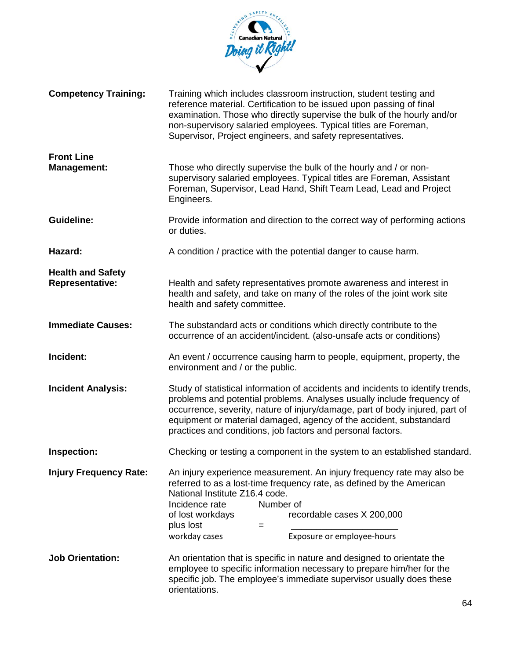

| <b>Competency Training:</b>                        | Training which includes classroom instruction, student testing and<br>reference material. Certification to be issued upon passing of final<br>examination. Those who directly supervise the bulk of the hourly and/or<br>non-supervisory salaried employees. Typical titles are Foreman,<br>Supervisor, Project engineers, and safety representatives.                         |
|----------------------------------------------------|--------------------------------------------------------------------------------------------------------------------------------------------------------------------------------------------------------------------------------------------------------------------------------------------------------------------------------------------------------------------------------|
| <b>Front Line</b><br><b>Management:</b>            | Those who directly supervise the bulk of the hourly and / or non-<br>supervisory salaried employees. Typical titles are Foreman, Assistant<br>Foreman, Supervisor, Lead Hand, Shift Team Lead, Lead and Project<br>Engineers.                                                                                                                                                  |
| <b>Guideline:</b>                                  | Provide information and direction to the correct way of performing actions<br>or duties.                                                                                                                                                                                                                                                                                       |
| Hazard:                                            | A condition / practice with the potential danger to cause harm.                                                                                                                                                                                                                                                                                                                |
| <b>Health and Safety</b><br><b>Representative:</b> | Health and safety representatives promote awareness and interest in<br>health and safety, and take on many of the roles of the joint work site<br>health and safety committee.                                                                                                                                                                                                 |
| <b>Immediate Causes:</b>                           | The substandard acts or conditions which directly contribute to the<br>occurrence of an accident/incident. (also-unsafe acts or conditions)                                                                                                                                                                                                                                    |
| Incident:                                          | An event / occurrence causing harm to people, equipment, property, the<br>environment and / or the public.                                                                                                                                                                                                                                                                     |
| <b>Incident Analysis:</b>                          | Study of statistical information of accidents and incidents to identify trends,<br>problems and potential problems. Analyses usually include frequency of<br>occurrence, severity, nature of injury/damage, part of body injured, part of<br>equipment or material damaged, agency of the accident, substandard<br>practices and conditions, job factors and personal factors. |
| Inspection:                                        | Checking or testing a component in the system to an established standard.                                                                                                                                                                                                                                                                                                      |
| <b>Injury Frequency Rate:</b>                      | An injury experience measurement. An injury frequency rate may also be<br>referred to as a lost-time frequency rate, as defined by the American<br>National Institute Z16.4 code.<br>Incidence rate<br>Number of<br>of lost workdays<br>recordable cases X 200,000<br>plus lost<br>$=$<br>Exposure or employee-hours<br>workday cases                                          |
| <b>Job Orientation:</b>                            | An orientation that is specific in nature and designed to orientate the<br>employee to specific information necessary to prepare him/her for the<br>specific job. The employee's immediate supervisor usually does these<br>orientations.                                                                                                                                      |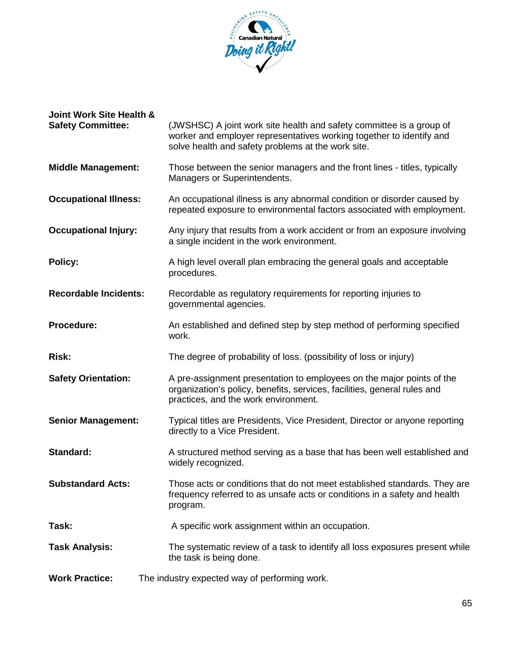

| <b>Joint Work Site Health &amp;</b><br><b>Safety Committee:</b> | (JWSHSC) A joint work site health and safety committee is a group of<br>worker and employer representatives working together to identify and<br>solve health and safety problems at the work site. |
|-----------------------------------------------------------------|----------------------------------------------------------------------------------------------------------------------------------------------------------------------------------------------------|
| <b>Middle Management:</b>                                       | Those between the senior managers and the front lines - titles, typically<br>Managers or Superintendents.                                                                                          |
| <b>Occupational Illness:</b>                                    | An occupational illness is any abnormal condition or disorder caused by<br>repeated exposure to environmental factors associated with employment.                                                  |
| <b>Occupational Injury:</b>                                     | Any injury that results from a work accident or from an exposure involving<br>a single incident in the work environment.                                                                           |
| <b>Policy:</b>                                                  | A high level overall plan embracing the general goals and acceptable<br>procedures.                                                                                                                |
| <b>Recordable Incidents:</b>                                    | Recordable as regulatory requirements for reporting injuries to<br>governmental agencies.                                                                                                          |
| Procedure:                                                      | An established and defined step by step method of performing specified<br>work.                                                                                                                    |
| <b>Risk:</b>                                                    | The degree of probability of loss. (possibility of loss or injury)                                                                                                                                 |
| <b>Safety Orientation:</b>                                      | A pre-assignment presentation to employees on the major points of the<br>organization's policy, benefits, services, facilities, general rules and<br>practices, and the work environment.          |
| <b>Senior Management:</b>                                       | Typical titles are Presidents, Vice President, Director or anyone reporting<br>directly to a Vice President.                                                                                       |
| Standard:                                                       | A structured method serving as a base that has been well established and<br>widely recognized.                                                                                                     |
| <b>Substandard Acts:</b>                                        | Those acts or conditions that do not meet established standards. They are<br>frequency referred to as unsafe acts or conditions in a safety and health<br>program.                                 |
| Task:                                                           | A specific work assignment within an occupation.                                                                                                                                                   |
| <b>Task Analysis:</b>                                           | The systematic review of a task to identify all loss exposures present while<br>the task is being done.                                                                                            |
| <b>Work Practice:</b>                                           | The industry expected way of performing work.                                                                                                                                                      |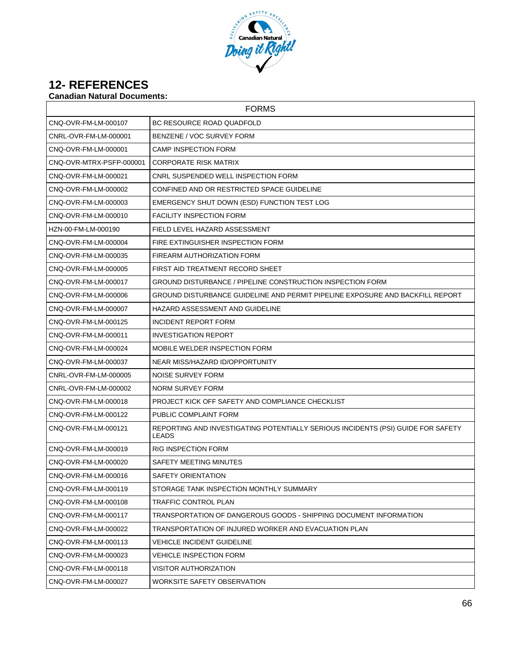

## **12- REFERENCES**

## **Canadian Natural Documents:**

| <b>FORMS</b>             |                                                                                                  |
|--------------------------|--------------------------------------------------------------------------------------------------|
| CNQ-OVR-FM-LM-000107     | BC RESOURCE ROAD QUADFOLD                                                                        |
| CNRL-OVR-FM-LM-000001    | BENZENE / VOC SURVEY FORM                                                                        |
| CNO-OVR-FM-LM-000001     | <b>CAMP INSPECTION FORM</b>                                                                      |
| CNQ-OVR-MTRX-PSFP-000001 | <b>CORPORATE RISK MATRIX</b>                                                                     |
| CNQ-OVR-FM-LM-000021     | CNRL SUSPENDED WELL INSPECTION FORM                                                              |
| CNQ-OVR-FM-LM-000002     | CONFINED AND OR RESTRICTED SPACE GUIDELINE                                                       |
| CNQ-OVR-FM-LM-000003     | EMERGENCY SHUT DOWN (ESD) FUNCTION TEST LOG                                                      |
| CNQ-OVR-FM-LM-000010     | <b>FACILITY INSPECTION FORM</b>                                                                  |
| HZN-00-FM-LM-000190      | FIELD LEVEL HAZARD ASSESSMENT                                                                    |
| CNQ-OVR-FM-LM-000004     | FIRE EXTINGUISHER INSPECTION FORM                                                                |
| CNQ-OVR-FM-LM-000035     | FIREARM AUTHORIZATION FORM                                                                       |
| CNQ-OVR-FM-LM-000005     | FIRST AID TREATMENT RECORD SHEET                                                                 |
| CNQ-OVR-FM-LM-000017     | GROUND DISTURBANCE / PIPELINE CONSTRUCTION INSPECTION FORM                                       |
| CNQ-OVR-FM-LM-000006     | GROUND DISTURBANCE GUIDELINE AND PERMIT PIPELINE EXPOSURE AND BACKFILL REPORT                    |
| CNQ-OVR-FM-LM-000007     | HAZARD ASSESSMENT AND GUIDELINE                                                                  |
| CNQ-OVR-FM-LM-000125     | INCIDENT REPORT FORM                                                                             |
| CNQ-OVR-FM-LM-000011     | <b>INVESTIGATION REPORT</b>                                                                      |
| CNQ-OVR-FM-LM-000024     | MOBILE WELDER INSPECTION FORM                                                                    |
| CNQ-OVR-FM-LM-000037     | NEAR MISS/HAZARD ID/OPPORTUNITY                                                                  |
| CNRL-OVR-FM-LM-000005    | NOISE SURVEY FORM                                                                                |
| CNRL-OVR-FM-LM-000002    | NORM SURVEY FORM                                                                                 |
| CNQ-OVR-FM-LM-000018     | PROJECT KICK OFF SAFETY AND COMPLIANCE CHECKLIST                                                 |
| CNQ-OVR-FM-LM-000122     | PUBLIC COMPLAINT FORM                                                                            |
| CNQ-OVR-FM-LM-000121     | REPORTING AND INVESTIGATING POTENTIALLY SERIOUS INCIDENTS (PSI) GUIDE FOR SAFETY<br><b>LEADS</b> |
| CNQ-OVR-FM-LM-000019     | <b>RIG INSPECTION FORM</b>                                                                       |
| CNQ-OVR-FM-LM-000020     | SAFETY MEETING MINUTES                                                                           |
| CNQ-OVR-FM-LM-000016     | SAFETY ORIENTATION                                                                               |
| CNQ-OVR-FM-LM-000119     | STORAGE TANK INSPECTION MONTHLY SUMMARY                                                          |
| CNQ-OVR-FM-LM-000108     | TRAFFIC CONTROL PLAN                                                                             |
| CNQ-OVR-FM-LM-000117     | TRANSPORTATION OF DANGEROUS GOODS - SHIPPING DOCUMENT INFORMATION                                |
| CNQ-OVR-FM-LM-000022     | TRANSPORTATION OF INJURED WORKER AND EVACUATION PLAN                                             |
| CNQ-OVR-FM-LM-000113     | <b>VEHICLE INCIDENT GUIDELINE</b>                                                                |
| CNQ-OVR-FM-LM-000023     | <b>VEHICLE INSPECTION FORM</b>                                                                   |
| CNQ-OVR-FM-LM-000118     | <b>VISITOR AUTHORIZATION</b>                                                                     |
| CNQ-OVR-FM-LM-000027     | WORKSITE SAFETY OBSERVATION                                                                      |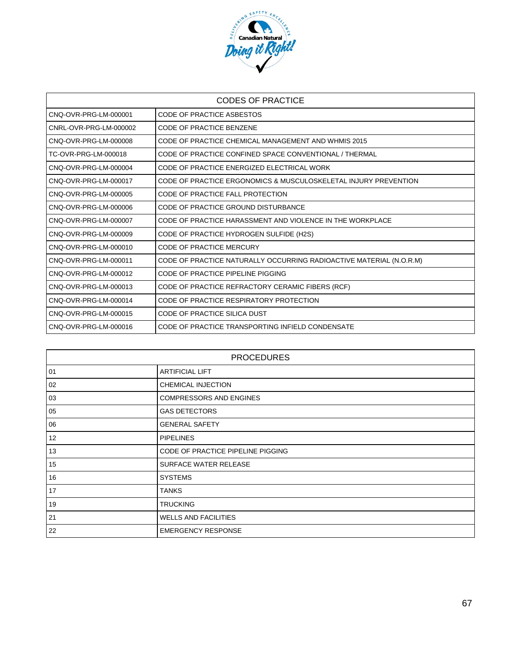

| <b>CODES OF PRACTICE</b> |                                                                     |  |  |  |  |
|--------------------------|---------------------------------------------------------------------|--|--|--|--|
| CNQ-OVR-PRG-LM-000001    | <b>CODE OF PRACTICE ASBESTOS</b>                                    |  |  |  |  |
| CNRL-OVR-PRG-LM-000002   | <b>CODE OF PRACTICE BENZENE</b>                                     |  |  |  |  |
| CNQ-OVR-PRG-LM-000008    | CODE OF PRACTICE CHEMICAL MANAGEMENT AND WHMIS 2015                 |  |  |  |  |
| TC-OVR-PRG-LM-000018     | CODE OF PRACTICE CONFINED SPACE CONVENTIONAL / THERMAL              |  |  |  |  |
| CNO-OVR-PRG-LM-000004    | CODE OF PRACTICE ENERGIZED ELECTRICAL WORK                          |  |  |  |  |
| CNQ-OVR-PRG-LM-000017    | CODE OF PRACTICE ERGONOMICS & MUSCULOSKELETAL INJURY PREVENTION     |  |  |  |  |
| CNQ-OVR-PRG-LM-000005    | CODE OF PRACTICE FALL PROTECTION                                    |  |  |  |  |
| CNQ-OVR-PRG-LM-000006    | CODE OF PRACTICE GROUND DISTURBANCE                                 |  |  |  |  |
| CNO-OVR-PRG-LM-000007    | CODE OF PRACTICE HARASSMENT AND VIOLENCE IN THE WORKPLACE           |  |  |  |  |
| CNO-OVR-PRG-LM-000009    | CODE OF PRACTICE HYDROGEN SULFIDE (H2S)                             |  |  |  |  |
| CNO-OVR-PRG-LM-000010    | CODE OF PRACTICE MERCURY                                            |  |  |  |  |
| CNO-OVR-PRG-LM-000011    | CODE OF PRACTICE NATURALLY OCCURRING RADIOACTIVE MATERIAL (N.O.R.M) |  |  |  |  |
| CNO-OVR-PRG-LM-000012    | CODE OF PRACTICE PIPELINE PIGGING                                   |  |  |  |  |
| CNQ-OVR-PRG-LM-000013    | CODE OF PRACTICE REFRACTORY CERAMIC FIBERS (RCF)                    |  |  |  |  |
| CNQ-OVR-PRG-LM-000014    | CODE OF PRACTICE RESPIRATORY PROTECTION                             |  |  |  |  |
| CNQ-OVR-PRG-LM-000015    | <b>CODE OF PRACTICE SILICA DUST</b>                                 |  |  |  |  |
| CNQ-OVR-PRG-LM-000016    | CODE OF PRACTICE TRANSPORTING INFIELD CONDENSATE                    |  |  |  |  |

| <b>PROCEDURES</b> |                                   |  |  |  |  |
|-------------------|-----------------------------------|--|--|--|--|
| 01                | <b>ARTIFICIAL LIFT</b>            |  |  |  |  |
| 02                | CHEMICAL INJECTION                |  |  |  |  |
| 03                | <b>COMPRESSORS AND ENGINES</b>    |  |  |  |  |
| 05                | <b>GAS DETECTORS</b>              |  |  |  |  |
| 06                | <b>GENERAL SAFETY</b>             |  |  |  |  |
| 12                | <b>PIPELINES</b>                  |  |  |  |  |
| 13                | CODE OF PRACTICE PIPELINE PIGGING |  |  |  |  |
| 15                | SURFACE WATER RELEASE             |  |  |  |  |
| 16                | <b>SYSTEMS</b>                    |  |  |  |  |
| 17                | <b>TANKS</b>                      |  |  |  |  |
| 19                | <b>TRUCKING</b>                   |  |  |  |  |
| 21                | <b>WELLS AND FACILITIES</b>       |  |  |  |  |
| 22                | <b>EMERGENCY RESPONSE</b>         |  |  |  |  |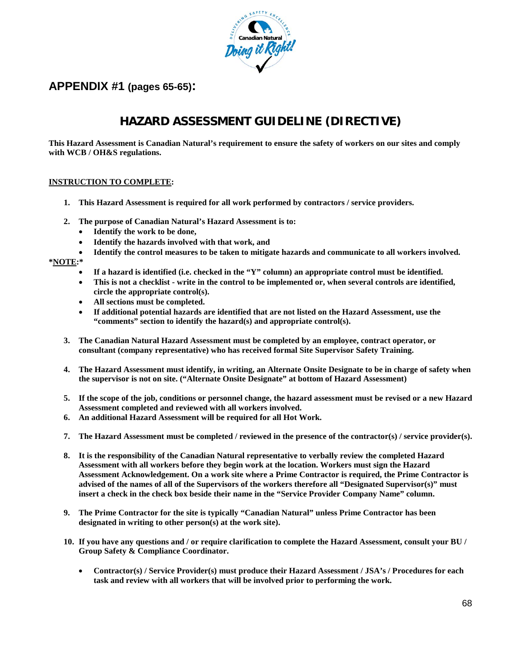

## **APPENDIX #1 (pages 65-65):**

# **HAZARD ASSESSMENT GUIDELINE (DIRECTIVE)**

**This Hazard Assessment is Canadian Natural's requirement to ensure the safety of workers on our sites and comply with WCB / OH&S regulations.**

#### **INSTRUCTION TO COMPLETE:**

- **1. This Hazard Assessment is required for all work performed by contractors / service providers.**
- **2. The purpose of Canadian Natural's Hazard Assessment is to:** 
	- **Identify the work to be done,**
	- **Identify the hazards involved with that work, and**
- **Identify the control measures to be taken to mitigate hazards and communicate to all workers involved. \*NOTE:\***
	- **If a hazard is identified (i.e. checked in the "Y" column) an appropriate control must be identified.**
	- **This is not a checklist - write in the control to be implemented or, when several controls are identified, circle the appropriate control(s).**
	- **All sections must be completed.**
	- **If additional potential hazards are identified that are not listed on the Hazard Assessment, use the "comments" section to identify the hazard(s) and appropriate control(s).**
	- **3. The Canadian Natural Hazard Assessment must be completed by an employee, contract operator, or consultant (company representative) who has received formal Site Supervisor Safety Training.**
	- **4. The Hazard Assessment must identify, in writing, an Alternate Onsite Designate to be in charge of safety when the supervisor is not on site. ("Alternate Onsite Designate" at bottom of Hazard Assessment)**
	- **5. If the scope of the job, conditions or personnel change, the hazard assessment must be revised or a new Hazard Assessment completed and reviewed with all workers involved.**
	- **6. An additional Hazard Assessment will be required for all Hot Work.**
	- **7. The Hazard Assessment must be completed / reviewed in the presence of the contractor(s) / service provider(s).**
	- **8. It is the responsibility of the Canadian Natural representative to verbally review the completed Hazard Assessment with all workers before they begin work at the location. Workers must sign the Hazard Assessment Acknowledgement. On a work site where a Prime Contractor is required, the Prime Contractor is advised of the names of all of the Supervisors of the workers therefore all "Designated Supervisor(s)" must insert a check in the check box beside their name in the "Service Provider Company Name" column.**
	- **9. The Prime Contractor for the site is typically "Canadian Natural" unless Prime Contractor has been designated in writing to other person(s) at the work site).**
	- **10. If you have any questions and / or require clarification to complete the Hazard Assessment, consult your BU / Group Safety & Compliance Coordinator.**
		- **Contractor(s) / Service Provider(s) must produce their Hazard Assessment / JSA's / Procedures for each task and review with all workers that will be involved prior to performing the work.**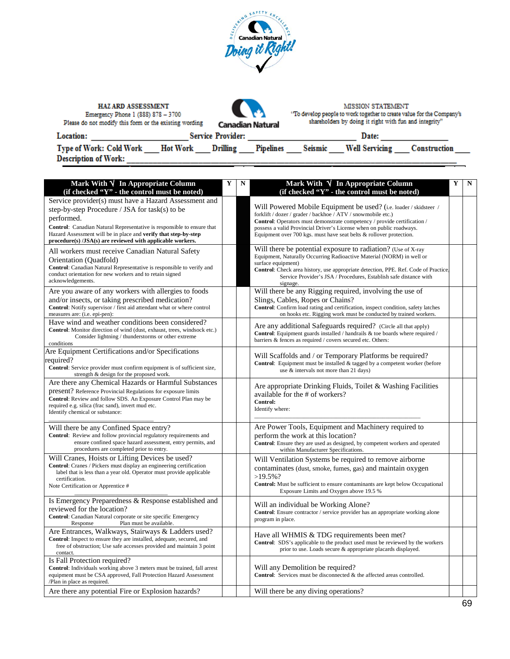|                                                                 |                 | JERING SAFETY<br>$\tilde{\epsilon}$<br><b>Canadian Natural</b><br>۵<br>Doing it Right: |         |                                                                                                   |              |
|-----------------------------------------------------------------|-----------------|----------------------------------------------------------------------------------------|---------|---------------------------------------------------------------------------------------------------|--------------|
| <b>HAZ ARD ASSESSMENT</b><br>Emergency Phone 1 (888) 878 - 3700 |                 |                                                                                        |         | <b>MISSION STATEMENT</b><br>'To develop people to work together to create value for the Company's |              |
| Please do not modify this form or the existing wording          |                 | <b>Canadian Natural</b>                                                                |         | shareholders by doing it right with fun and integrity"                                            |              |
| Location:                                                       |                 | <b>Service Provider:</b>                                                               |         | Date:                                                                                             |              |
| <b>Type of Work: Cold Work</b><br><b>Description of Work:</b>   | <b>Hot Work</b> | Drilling<br><b>Pipelines</b>                                                           | Seismic | <b>Well Servicing</b>                                                                             | Construction |

| Mark With √ In Appropriate Column<br>(if checked "Y" - the control must be noted)                                                                                                                                                                                                                                                | Y | $\mathbf N$ | Mark With $\sqrt{}$ In Appropriate Column<br>(if checked "Y" - the control must be noted)                                                                                                                                                                                                                                                                       | Y | N |
|----------------------------------------------------------------------------------------------------------------------------------------------------------------------------------------------------------------------------------------------------------------------------------------------------------------------------------|---|-------------|-----------------------------------------------------------------------------------------------------------------------------------------------------------------------------------------------------------------------------------------------------------------------------------------------------------------------------------------------------------------|---|---|
| Service provider(s) must have a Hazard Assessment and<br>step-by-step Procedure / JSA for task(s) to be<br>performed.<br>Control: Canadian Natural Representative is responsible to ensure that<br>Hazard Assessment will be in place and verify that step-by-step<br>procedure(s) /JSA(s) are reviewed with applicable workers. |   |             | Will Powered Mobile Equipment be used? (i.e. loader / skidsteer /<br>forklift / dozer / grader / backhoe / ATV / snowmobile etc.)<br>Control: Operators must demonstrate competency / provide certification /<br>possess a valid Provincial Driver's License when on public roadways.<br>Equipment over 700 kgs. must have seat belts $\&$ rollover protection. |   |   |
| All workers must receive Canadian Natural Safety<br>Orientation (Quadfold)<br>Control: Canadian Natural Representative is responsible to verify and<br>conduct orientation for new workers and to retain signed<br>acknowledgements.                                                                                             |   |             | Will there be potential exposure to radiation? (Use of X-ray<br>Equipment, Naturally Occurring Radioactive Material (NORM) in well or<br>surface equipment)<br>Control: Check area history, use appropriate detection, PPE. Ref. Code of Practice.<br>Service Provider's JSA / Procedures, Establish safe distance with<br>signage.                             |   |   |
| Are you aware of any workers with allergies to foods<br>and/or insects, or taking prescribed medication?<br>Control: Notify supervisor / first aid attendant what or where control<br>measures are: (i.e. epi-pen):                                                                                                              |   |             | Will there be any Rigging required, involving the use of<br>Slings, Cables, Ropes or Chains?<br>Control: Confirm load rating and certification, inspect condition, safety latches<br>on hooks etc. Rigging work must be conducted by trained workers.                                                                                                           |   |   |
| Have wind and weather conditions been considered?<br>Control: Monitor direction of wind (dust, exhaust, trees, windsock etc.)<br>Consider lightning / thunderstorms or other extreme<br>conditions                                                                                                                               |   |             | Are any additional Safeguards required? (Circle all that apply)<br><b>Control:</b> Equipment guards installed / handrails $\&$ toe boards where required /<br>barriers & fences as required / covers secured etc. Others:                                                                                                                                       |   |   |
| Are Equipment Certifications and/or Specifications<br>equired?<br>Control: Service provider must confirm equipment is of sufficient size,<br>strength & design for the proposed work.                                                                                                                                            |   |             | Will Scaffolds and / or Temporary Platforms be required?<br>Control: Equipment must be installed & tagged by a competent worker (before<br>use & intervals not more than 21 days)                                                                                                                                                                               |   |   |
| Are there any Chemical Hazards or Harmful Substances<br>present? Reference Provincial Regulations for exposure limits<br>Control: Review and follow SDS. An Exposure Control Plan may be<br>required e.g. silica (frac sand), invert mud etc.<br>Identify chemical or substance:                                                 |   |             | Are appropriate Drinking Fluids, Toilet & Washing Facilities<br>available for the # of workers?<br>Control:<br>Identify where:                                                                                                                                                                                                                                  |   |   |
| Will there be any Confined Space entry?<br>Control: Review and follow provincial regulatory requirements and<br>ensure confined space hazard assessment, entry permits, and<br>procedures are completed prior to entry.                                                                                                          |   |             | Are Power Tools, Equipment and Machinery required to<br>perform the work at this location?<br>Control: Ensure they are used as designed, by competent workers and operated<br>within Manufacturer Specifications.                                                                                                                                               |   |   |
| Will Cranes, Hoists or Lifting Devices be used?<br>Control: Cranes / Pickers must display an engineering certification<br>label that is less than a year old. Operator must provide applicable<br>certification.<br>Note Certification or Apprentice #                                                                           |   |             | Will Ventilation Systems be required to remove airborne<br>contaminates (dust, smoke, fumes, gas) and maintain oxygen<br>$>19.5\%$ ?<br>Control: Must be sufficient to ensure contaminants are kept below Occupational<br>Exposure Limits and Oxygen above 19.5 %                                                                                               |   |   |
| Is Emergency Preparedness & Response established and<br>reviewed for the location?<br>Control: Canadian Natural corporate or site specific Emergency<br>Plan must be available.<br>Response                                                                                                                                      |   |             | Will an individual be Working Alone?<br><b>Control:</b> Ensure contractor / service provider has an appropriate working alone<br>program in place.                                                                                                                                                                                                              |   |   |
| Are Entrances, Walkways, Stairways & Ladders used?<br>Control: Inspect to ensure they are installed, adequate, secured, and<br>free of obstruction; Use safe accesses provided and maintain 3 point<br>contact.                                                                                                                  |   |             | Have all WHMIS & TDG requirements been met?<br>Control: SDS's applicable to the product used must be reviewed by the workers<br>prior to use. Loads secure & appropriate placards displayed.                                                                                                                                                                    |   |   |
| Is Fall Protection required?<br>Control: Individuals working above 3 meters must be trained, fall arrest<br>equipment must be CSA approved, Fall Protection Hazard Assessment<br>/Plan in place as required.                                                                                                                     |   |             | Will any Demolition be required?<br>Control: Services must be disconnected & the affected areas controlled.                                                                                                                                                                                                                                                     |   |   |
| Are there any potential Fire or Explosion hazards?                                                                                                                                                                                                                                                                               |   |             | Will there be any diving operations?                                                                                                                                                                                                                                                                                                                            |   |   |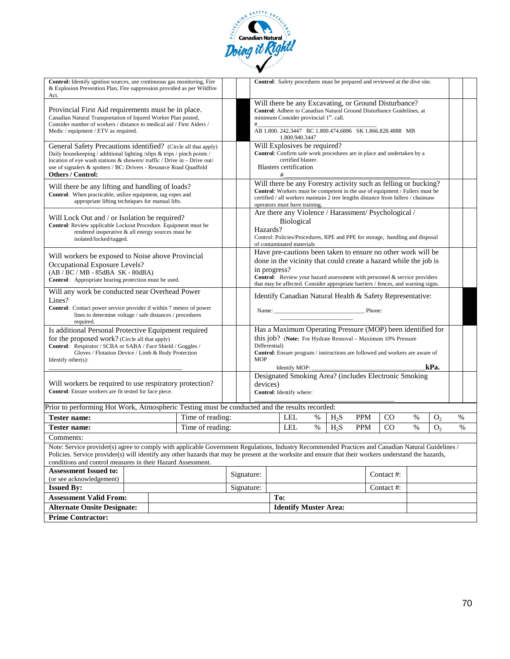

| Control: Identify ignition sources, use continuous gas monitoring, Fire<br>& Explosion Prevention Plan, Fire suppression provided as per Wildfire<br>Act.                                                                                                                                                                                                                    |  |  |                                                                                  |            |                                                                                                                                                                                                                                                                                                                   |          |                              |      |                  |            | Control: Safety procedures must be prepared and reviewed at the dive site. |      |                |      |
|------------------------------------------------------------------------------------------------------------------------------------------------------------------------------------------------------------------------------------------------------------------------------------------------------------------------------------------------------------------------------|--|--|----------------------------------------------------------------------------------|------------|-------------------------------------------------------------------------------------------------------------------------------------------------------------------------------------------------------------------------------------------------------------------------------------------------------------------|----------|------------------------------|------|------------------|------------|----------------------------------------------------------------------------|------|----------------|------|
| Provincial First Aid requirements must be in place.<br>Canadian Natural Transportation of Injured Worker Plan posted,<br>Consider number of workers / distance to medical aid / First Aiders /                                                                                                                                                                               |  |  |                                                                                  |            | Will there be any Excavating, or Ground Disturbance?<br>Control: Adhere to Canadian Natural Ground Disturbance Guidelines, at<br>minimum Consider provincial 1 <sup>st</sup> . call.<br>#                                                                                                                         |          |                              |      |                  |            |                                                                            |      |                |      |
| Medic / equipment / ETV as required.                                                                                                                                                                                                                                                                                                                                         |  |  | AB 1.800, 242, 3447 BC 1.800, 474, 6886 SK 1.866, 828, 4888 MB<br>1.800.940.3447 |            |                                                                                                                                                                                                                                                                                                                   |          |                              |      |                  |            |                                                                            |      |                |      |
| General Safety Precautions identified? (Circle all that apply)<br>Daily housekeeping / additional lighting /slips & trips / pinch points /<br>location of eye wash stations & showers/traffic / Drive in - Drive out/<br>use of signalers & spotters / BC: Drivers - Resource Road Quadfold<br><b>Others / Control:</b>                                                      |  |  |                                                                                  |            | Will Explosives be required?<br>Control: Confirm safe work procedures are in place and undertaken by a<br>certified blaster.<br><b>Blasters</b> certification<br>#                                                                                                                                                |          |                              |      |                  |            |                                                                            |      |                |      |
| Will there be any lifting and handling of loads?<br>Control: When practicable, utilize equipment, tag ropes and<br>appropriate lifting techniques for manual lifts.                                                                                                                                                                                                          |  |  |                                                                                  |            | Will there be any Forestry activity such as felling or bucking?<br>Control: Workers must be competent in the use of equipment / Fallers must be<br>certified / all workers maintain 2 tree lengths distance from fallers / chainsaw<br>operators must have training.                                              |          |                              |      |                  |            |                                                                            |      |                |      |
| Will Lock Out and / or Isolation be required?<br>Control: Review applicable Lockout Procedure. Equipment must be<br>rendered inoperative & all energy sources must be<br>isolated/locked/tagged.                                                                                                                                                                             |  |  |                                                                                  |            | Are there any Violence / Harassment/Psychological /<br><b>Biological</b><br>Hazards?<br>Control: Policies/Procedures, RPE and PPE for storage, handling and disposal<br>of contaminated materials                                                                                                                 |          |                              |      |                  |            |                                                                            |      |                |      |
| Will workers be exposed to Noise above Provincial<br>Occupational Exposure Levels?<br>$(AB/BC/MB - 85dBA SK - 80dBA)$<br>Control: Appropriate hearing protection must be used.                                                                                                                                                                                               |  |  |                                                                                  |            | Have pre-cautions been taken to ensure no other work will be<br>done in the vicinity that could create a hazard while the job is<br>in progress?<br>Control: Review your hazard assessment with personnel & service providers<br>that may be affected. Consider appropriate barriers / fences, and warning signs. |          |                              |      |                  |            |                                                                            |      |                |      |
| Will any work be conducted near Overhead Power<br>Lines?<br>Control: Contact power service provider if within 7 meters of power<br>lines to determine voltage / safe distances / procedures<br>required.                                                                                                                                                                     |  |  |                                                                                  |            | Identify Canadian Natural Health & Safety Representative:<br>Phone:                                                                                                                                                                                                                                               |          |                              |      |                  |            |                                                                            |      |                |      |
| Is additional Personal Protective Equipment required<br>for the proposed work? (Circle all that apply)<br>Control: Respirator / SCBA or SABA / Face Shield / Goggles /<br>Gloves / Flotation Device / Limb & Body Protection<br>Identify other $(s)$ :                                                                                                                       |  |  |                                                                                  |            | Has a Maximum Operating Pressure (MOP) been identified for<br>this job? (Note: For Hydrate Removal – Maximum 10% Pressure<br>Differential)<br>Control: Ensure program / instructions are followed and workers are aware of<br><b>MOP</b><br>kPa.<br>Identify MOP: _                                               |          |                              |      |                  |            |                                                                            |      |                |      |
| Will workers be required to use respiratory protection?<br>Control: Ensure workers are fit tested for face piece.                                                                                                                                                                                                                                                            |  |  |                                                                                  |            |                                                                                                                                                                                                                                                                                                                   | devices) | Control: Identify where:     |      |                  |            | Designated Smoking Area? (includes Electronic Smoking                      |      |                |      |
| Prior to performing Hot Work, Atmospheric Testing must be conducted and the results recorded:                                                                                                                                                                                                                                                                                |  |  |                                                                                  |            |                                                                                                                                                                                                                                                                                                                   |          |                              |      |                  |            |                                                                            |      |                |      |
| <b>Tester name:</b>                                                                                                                                                                                                                                                                                                                                                          |  |  | Time of reading:                                                                 |            |                                                                                                                                                                                                                                                                                                                   |          | <b>LEL</b>                   | %    | $H_2S$           | <b>PPM</b> | <sub>CO</sub>                                                              | %    | O <sub>2</sub> | %    |
| Tester name:                                                                                                                                                                                                                                                                                                                                                                 |  |  | Time of reading:                                                                 |            |                                                                                                                                                                                                                                                                                                                   |          | <b>LEL</b>                   | $\%$ | H <sub>2</sub> S | <b>PPM</b> | C <sub>O</sub>                                                             | $\%$ | O <sub>2</sub> | $\%$ |
| Comments:                                                                                                                                                                                                                                                                                                                                                                    |  |  |                                                                                  |            |                                                                                                                                                                                                                                                                                                                   |          |                              |      |                  |            |                                                                            |      |                |      |
| Note: Service provider(s) agree to comply with applicable Government Regulations, Industry Recommended Practices and Canadian Natural Guidelines /<br>Policies. Service provider(s) will identify any other hazards that may be present at the worksite and ensure that their workers understand the hazards,<br>conditions and control measures in their Hazard Assessment. |  |  |                                                                                  |            |                                                                                                                                                                                                                                                                                                                   |          |                              |      |                  |            |                                                                            |      |                |      |
| <b>Assessment Issued to:</b>                                                                                                                                                                                                                                                                                                                                                 |  |  |                                                                                  | Signature: |                                                                                                                                                                                                                                                                                                                   |          |                              |      |                  |            | Contact #:                                                                 |      |                |      |
| (or see acknowledgement)<br><b>Issued By:</b>                                                                                                                                                                                                                                                                                                                                |  |  |                                                                                  | Signature: |                                                                                                                                                                                                                                                                                                                   |          |                              |      |                  |            | Contact #:                                                                 |      |                |      |
|                                                                                                                                                                                                                                                                                                                                                                              |  |  |                                                                                  |            |                                                                                                                                                                                                                                                                                                                   |          |                              |      |                  |            |                                                                            |      |                |      |
| <b>Assessment Valid From:</b>                                                                                                                                                                                                                                                                                                                                                |  |  |                                                                                  |            |                                                                                                                                                                                                                                                                                                                   | To:      |                              |      |                  |            |                                                                            |      |                |      |
| <b>Alternate Onsite Designate:</b>                                                                                                                                                                                                                                                                                                                                           |  |  |                                                                                  |            |                                                                                                                                                                                                                                                                                                                   |          | <b>Identify Muster Area:</b> |      |                  |            |                                                                            |      |                |      |
| <b>Prime Contractor:</b>                                                                                                                                                                                                                                                                                                                                                     |  |  |                                                                                  |            |                                                                                                                                                                                                                                                                                                                   |          |                              |      |                  |            |                                                                            |      |                |      |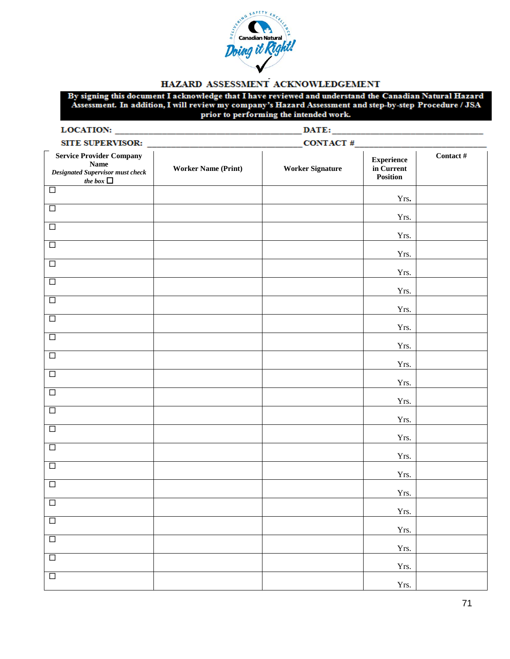

#### HAZARD ASSESSMENT ACKNOWLEDGEMENT

By signing this document I acknowledge that I have reviewed and understand the Canadian Natural Hazard Assessment. In addition, I will review my company's Hazard Assessment and step-by-step Procedure / JSA prior to performing the intended work.

| LOCATION:                                                                                                   | DATE:                      |                         |                                             |           |  |  |  |  |  |
|-------------------------------------------------------------------------------------------------------------|----------------------------|-------------------------|---------------------------------------------|-----------|--|--|--|--|--|
| SITE SUPERVISOR:                                                                                            |                            | CONTACT#                |                                             |           |  |  |  |  |  |
| <b>Service Provider Company</b><br><b>Name</b><br><b>Designated Supervisor must check</b><br>the box $\Box$ | <b>Worker Name (Print)</b> | <b>Worker Signature</b> | <b>Experience</b><br>in Current<br>Position | Contact # |  |  |  |  |  |
| $\Box$                                                                                                      |                            |                         | Yrs.                                        |           |  |  |  |  |  |
| $\overline{\square}$                                                                                        |                            |                         | Yrs.                                        |           |  |  |  |  |  |
| $\Box$                                                                                                      |                            |                         | Yrs.                                        |           |  |  |  |  |  |
| $\Box$                                                                                                      |                            |                         | Yrs.                                        |           |  |  |  |  |  |
| $\Box$                                                                                                      |                            |                         | Yrs.                                        |           |  |  |  |  |  |
| $\Box$                                                                                                      |                            |                         | Yrs.                                        |           |  |  |  |  |  |
| $\overline{\Box}$                                                                                           |                            |                         | Yrs.                                        |           |  |  |  |  |  |
| $\Box$                                                                                                      |                            |                         | Yrs.                                        |           |  |  |  |  |  |
| $\Box$                                                                                                      |                            |                         | Yrs.                                        |           |  |  |  |  |  |
| $\overline{\square}$                                                                                        |                            |                         | Yrs.                                        |           |  |  |  |  |  |
| $\Box$                                                                                                      |                            |                         | Yrs.                                        |           |  |  |  |  |  |
| $\Box$                                                                                                      |                            |                         | Yrs.                                        |           |  |  |  |  |  |
| $\Box$                                                                                                      |                            |                         | Yrs.                                        |           |  |  |  |  |  |
| $\overline{\square}$                                                                                        |                            |                         | Yrs.                                        |           |  |  |  |  |  |
| $\Box$                                                                                                      |                            |                         | Yrs.                                        |           |  |  |  |  |  |
| $\Box$                                                                                                      |                            |                         | Yrs.                                        |           |  |  |  |  |  |
| $\Box$                                                                                                      |                            |                         | Yrs.                                        |           |  |  |  |  |  |
| $\Box$                                                                                                      |                            |                         | Yrs.                                        |           |  |  |  |  |  |
| $\Box$                                                                                                      |                            |                         | Yrs.                                        |           |  |  |  |  |  |
| $\overline{\square}$                                                                                        |                            |                         | Yrs.                                        |           |  |  |  |  |  |
| $\Box$                                                                                                      |                            |                         | Yrs.                                        |           |  |  |  |  |  |
| $\Box$                                                                                                      |                            |                         | Yrs.                                        |           |  |  |  |  |  |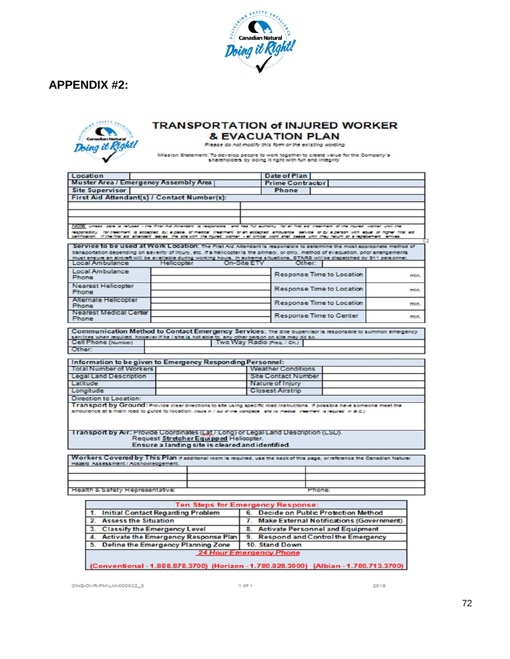





#### **TRANSPORTATION of INJURED WORKER & EVACUATION PLAN**

Please do not modify this form or the existing wording

Mission Statement: To develop people to work together to create value for the Company's shareholders by doing it right with fun and integrity

|                                                                                                                                                                                                                                                                                                                                  |                                                  |                         | Date of Plan                   |      |
|----------------------------------------------------------------------------------------------------------------------------------------------------------------------------------------------------------------------------------------------------------------------------------------------------------------------------------|--------------------------------------------------|-------------------------|--------------------------------|------|
| <b>Muster Area / Emergency Assembly Area</b>                                                                                                                                                                                                                                                                                     |                                                  |                         | <b>Prime Contractor</b>        |      |
| <b>Site Supervisor</b>                                                                                                                                                                                                                                                                                                           |                                                  |                         | Phone                          |      |
| First Aid Attendant(s) / Contact Number(s):                                                                                                                                                                                                                                                                                      |                                                  |                         |                                |      |
|                                                                                                                                                                                                                                                                                                                                  |                                                  |                         |                                |      |
|                                                                                                                                                                                                                                                                                                                                  |                                                  |                         |                                |      |
|                                                                                                                                                                                                                                                                                                                                  |                                                  |                         |                                |      |
| INOTE: Unless care is refused - the First Ald Attendent is responsible and has full authority. For all first aid theatment of the injured worker until the                                                                                                                                                                       |                                                  |                         |                                |      |
| responsibility. For treatment is accepted, by; a place, of medical treatment or an accepted, ambulance, service, or by a person with equal or higher first aid.<br>certification. If the first aid attendent leaves the site with the injured worker - all critical work shall cease until they return or a replacement annives. |                                                  |                         |                                |      |
|                                                                                                                                                                                                                                                                                                                                  |                                                  |                         |                                |      |
| Service to be used at Work Location: The First Aid Altendant is responsible to determine the most appropriate method of                                                                                                                                                                                                          |                                                  |                         |                                |      |
| transportation depending on severity of injury, etc. if a helicopter is the primary, or only, method of evacuation, prior arrangements<br>must ensure an aircraft will be available during working hours. In extreme situations, STARS will be dispatched by 911 personnel.                                                      |                                                  |                         |                                |      |
| Local Ambulance                                                                                                                                                                                                                                                                                                                  | Helicopter                                       | On-Site ETV             | Other:                         |      |
| Local Ambulance                                                                                                                                                                                                                                                                                                                  |                                                  |                         |                                |      |
| Phone                                                                                                                                                                                                                                                                                                                            |                                                  |                         | Response Time to Location      | min. |
| <b>Nearest Helicopter</b>                                                                                                                                                                                                                                                                                                        |                                                  |                         |                                |      |
| Phone                                                                                                                                                                                                                                                                                                                            |                                                  |                         | Response Time to Location      | min. |
| <b>Alternate Helicopter</b>                                                                                                                                                                                                                                                                                                      |                                                  |                         | Response Time to Location      |      |
| Phone                                                                                                                                                                                                                                                                                                                            |                                                  |                         |                                | min. |
| <b>Nearest Medical Center</b>                                                                                                                                                                                                                                                                                                    |                                                  |                         | <b>Response Time to Center</b> | min. |
| Phone                                                                                                                                                                                                                                                                                                                            |                                                  |                         |                                |      |
|                                                                                                                                                                                                                                                                                                                                  |                                                  |                         |                                |      |
| Cell Phone (Number)<br>Other:                                                                                                                                                                                                                                                                                                    |                                                  |                         |                                |      |
| Information to be given to Emergency Responding Personnel:                                                                                                                                                                                                                                                                       |                                                  |                         |                                |      |
|                                                                                                                                                                                                                                                                                                                                  |                                                  |                         | <b>Weather Conditions</b>      |      |
| <b>Total Number of Workers</b><br><b>Legal Land Description</b>                                                                                                                                                                                                                                                                  |                                                  |                         | <b>Site Contact Number</b>     |      |
|                                                                                                                                                                                                                                                                                                                                  |                                                  | Nature of Injury        |                                |      |
|                                                                                                                                                                                                                                                                                                                                  |                                                  | <b>Closest Airstrip</b> |                                |      |
|                                                                                                                                                                                                                                                                                                                                  |                                                  |                         |                                |      |
|                                                                                                                                                                                                                                                                                                                                  |                                                  |                         |                                |      |
|                                                                                                                                                                                                                                                                                                                                  |                                                  |                         |                                |      |
| Latitude<br>Longitude<br>Direction to Location:<br>Transport by Ground: Provide clear directions to site using specific road instructions. If possible have someone meet the<br>ambulance at a main road to guide to location: (route in / out of the worksteps, and to medial, treatment, a required in B.C.)                   |                                                  |                         |                                |      |
|                                                                                                                                                                                                                                                                                                                                  |                                                  |                         |                                |      |
| I ran sport by Air: Provide Coordinates (Lat / Long) or Legal Land Description (LSD).                                                                                                                                                                                                                                            |                                                  |                         |                                |      |
|                                                                                                                                                                                                                                                                                                                                  | Request Stretcher Equipped Helicopter.           |                         |                                |      |
|                                                                                                                                                                                                                                                                                                                                  | Ensure a landing site is cleared and identified. |                         |                                |      |
|                                                                                                                                                                                                                                                                                                                                  |                                                  |                         |                                |      |
|                                                                                                                                                                                                                                                                                                                                  |                                                  |                         |                                |      |
| Workers Covered by This Plan if additional room is required, use the back of this page, or reference the Canadian Natural<br>Hazard Assessment / Acknowledgement.                                                                                                                                                                |                                                  |                         |                                |      |
|                                                                                                                                                                                                                                                                                                                                  |                                                  |                         |                                |      |

| 1. Initial Contact Regarding Problem    | 6. Decide on Public Protection Method       |
|-----------------------------------------|---------------------------------------------|
| <b>Assess the Situation</b>             | 7. Make External Notifications (Government) |
| 3. Classify the Emergency Level         | 8. Activate Personnel and Equipment         |
| 4. Activate the Emergency Response Plan | 9. Respond and Control the Emergency        |
| 5. Define the Emergency Planning Zone   | 10. Stand Down                              |

(Conventional - 1.888.878.3700) (Horizon - 1.780.828.3000) (Albian - 1.780.713.3700)

CNQ-OVR-FM-LM-000022\_3

 $2018$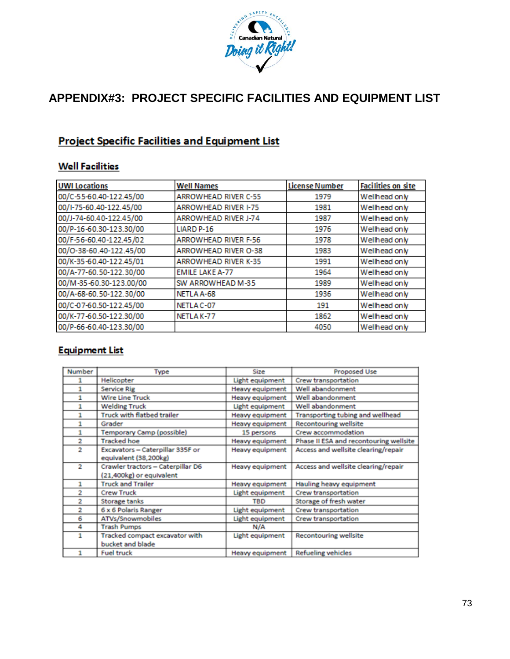

# **APPENDIX#3: PROJECT SPECIFIC FACILITIES AND EQUIPMENT LIST**

## **Project Specific Facilities and Equipment List**

### **Well Facilities**

| <b>UWI Locations</b>    | <b>Well Names</b>           | <b>License Number</b> | <b>Facilities on site</b> |
|-------------------------|-----------------------------|-----------------------|---------------------------|
| 00/C-55-60.40-122.45/00 | <b>ARROWHEAD RIVER C-55</b> | 1979                  | Wellhead only             |
| 00/I-75-60.40-122.45/00 | <b>ARROWHEAD RIVER I-75</b> | 1981                  | Wellhead only             |
| 00/J-74-60.40-122.45/00 | <b>ARROWHEAD RIVER J-74</b> | 1987                  | Wellhead only             |
| 00/P-16-60.30-123.30/00 | LIARD P-16                  | 1976                  | Wellhead only             |
| 00/F-56-60.40-122.45/02 | <b>ARROWHEAD RIVER F-56</b> | 1978                  | Wellhead only             |
| 00/0-38-60.40-122.45/00 | <b>ARROWHEAD RIVER O-38</b> | 1983                  | Wellhead only             |
| 00/K-35-60.40-122.45/01 | <b>ARROWHEAD RIVER K-35</b> | 1991                  | Wellhead only             |
| 00/A-77-60.50-122.30/00 | <b>EMILE LAKE A-77</b>      | 1964                  | Wellhead only             |
| 00/M-35-60.30-123.00/00 | SW ARROWHEAD M-35           | 1989                  | Wellhead only             |
| 00/A-68-60.50-122.30/00 | NETLA A-68                  | 1936                  | Wellhead only             |
| 00/C-07-60.50-122.45/00 | NETLA C-07                  | 191                   | Wellhead only             |
| 00/K-77-60.50-122.30/00 | NETLAK-77                   | 1862                  | Wellhead only             |
| 00/P-66-60.40-123.30/00 |                             | 4050                  | Wellhead only             |

### **Equipment List**

| <b>Number</b>  | Type                              | Size                   | <b>Proposed Use</b>                    |
|----------------|-----------------------------------|------------------------|----------------------------------------|
|                | Helicopter                        | Light equipment        | Crew transportation                    |
| 1              | Service Rig                       | Heavy equipment        | Well abandonment                       |
| 1              | <b>Wire Line Truck</b>            | <b>Heavy equipment</b> | Well abandonment                       |
| 1              | <b>Welding Truck</b>              | Light equipment        | Well abandonment                       |
| 1              | Truck with flatbed trailer        | <b>Heavy equipment</b> | Transporting tubing and wellhead       |
| 1              | Grader                            | <b>Heavy equipment</b> | <b>Recontouring wellsite</b>           |
| 1              | Temporary Camp (possible)         | 15 persons             | Crew accommodation                     |
| 2              | <b>Tracked hoe</b>                | <b>Heavy equipment</b> | Phase II ESA and recontouring wellsite |
| $\overline{c}$ | Excavators - Caterpillar 335F or  | <b>Heavy equipment</b> | Access and wellsite clearing/repair    |
|                | equivalent (38,200kg)             |                        |                                        |
| $\overline{2}$ | Crawler tractors - Caterpillar D6 | <b>Heavy equipment</b> | Access and wellsite clearing/repair    |
|                | (21,400kg) or equivalent          |                        |                                        |
| 1              | <b>Truck and Trailer</b>          | <b>Heavy equipment</b> | Hauling heavy equipment                |
| 2              | <b>Crew Truck</b>                 | Light equipment        | Crew transportation                    |
| 2              | Storage tanks                     | <b>TBD</b>             | Storage of fresh water                 |
| 2              | 6 x 6 Polaris Ranger              | Light equipment        | Crew transportation                    |
| 6              | ATVs/Snowmobiles                  | Light equipment        | Crew transportation                    |
| 4              | <b>Trash Pumps</b>                | N/A                    |                                        |
| 1              | Tracked compact excavator with    | Light equipment        | <b>Recontouring wellsite</b>           |
|                | bucket and blade                  |                        |                                        |
| 1              | <b>Fuel truck</b>                 | <b>Heavy equipment</b> | <b>Refueling vehicles</b>              |
|                |                                   |                        |                                        |